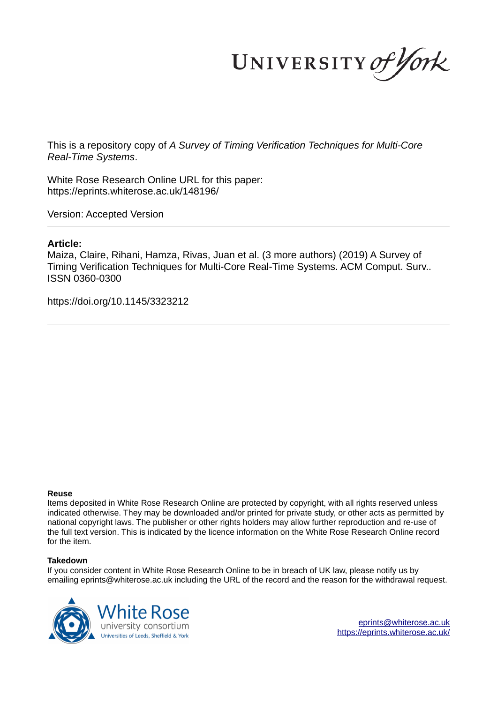UNIVERSITY of York

This is a repository copy of *A Survey of Timing Verification Techniques for Multi-Core Real-Time Systems*.

White Rose Research Online URL for this paper: https://eprints.whiterose.ac.uk/148196/

Version: Accepted Version

# **Article:**

Maiza, Claire, Rihani, Hamza, Rivas, Juan et al. (3 more authors) (2019) A Survey of Timing Verification Techniques for Multi-Core Real-Time Systems. ACM Comput. Surv.. ISSN 0360-0300

https://doi.org/10.1145/3323212

### **Reuse**

Items deposited in White Rose Research Online are protected by copyright, with all rights reserved unless indicated otherwise. They may be downloaded and/or printed for private study, or other acts as permitted by national copyright laws. The publisher or other rights holders may allow further reproduction and re-use of the full text version. This is indicated by the licence information on the White Rose Research Online record for the item.

# **Takedown**

If you consider content in White Rose Research Online to be in breach of UK law, please notify us by emailing eprints@whiterose.ac.uk including the URL of the record and the reason for the withdrawal request.



eprints@whiterose.ac.uk https://eprints.whiterose.ac.uk/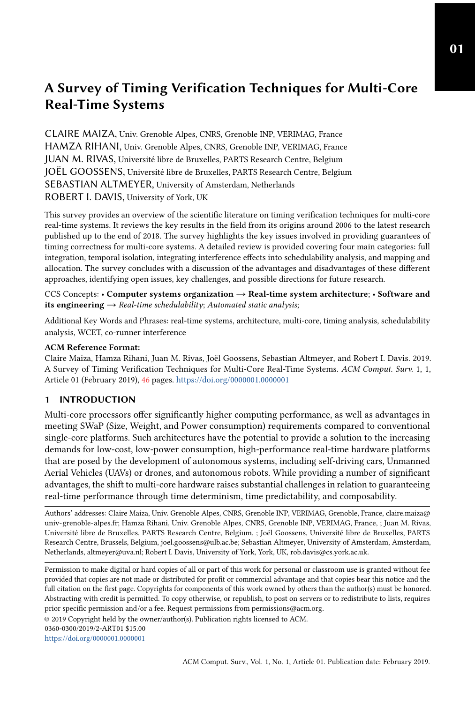CLAIRE MAIZA, Univ. Grenoble Alpes, CNRS, Grenoble INP, VERIMAG, France HAMZA RIHANI, Univ. Grenoble Alpes, CNRS, Grenoble INP, VERIMAG, France JUAN M. RIVAS, Université libre de Bruxelles, PARTS Research Centre, Belgium JOËL GOOSSENS, Université libre de Bruxelles, PARTS Research Centre, Belgium SEBASTIAN ALTMEYER, University of Amsterdam, Netherlands ROBERT I. DAVIS, University of York, UK

This survey provides an overview of the scientific literature on timing verification techniques for multi-core real-time systems. It reviews the key results in the field from its origins around 2006 to the latest research published up to the end of 2018. The survey highlights the key issues involved in providing guarantees of timing correctness for multi-core systems. A detailed review is provided covering four main categories: full integration, temporal isolation, integrating interference effects into schedulability analysis, and mapping and allocation. The survey concludes with a discussion of the advantages and disadvantages of these different approaches, identifying open issues, key challenges, and possible directions for future research.

CCS Concepts: • Computer systems organization  $\rightarrow$  Real-time system architecture; • Software and its engineering  $\rightarrow$  Real-time schedulability; Automated static analysis;

Additional Key Words and Phrases: real-time systems, architecture, multi-core, timing analysis, schedulability analysis, WCET, co-runner interference

#### ACM Reference Format:

Claire Maiza, Hamza Rihani, Juan M. Rivas, Joël Goossens, Sebastian Altmeyer, and Robert I. Davis. 2019. A Survey of Timing Verification Techniques for Multi-Core Real-Time Systems. ACM Comput. Surv. 1, 1, Article 01 (February 2019), 46 pages. https://doi.org/0000001.0000001

#### 1 INTRODUCTION

Multi-core processors offer significantly higher computing performance, as well as advantages in meeting SWaP (Size, Weight, and Power consumption) requirements compared to conventional single-core platforms. Such architectures have the potential to provide a solution to the increasing demands for low-cost, low-power consumption, high-performance real-time hardware platforms that are posed by the development of autonomous systems, including self-driving cars, Unmanned Aerial Vehicles (UAVs) or drones, and autonomous robots. While providing a number of significant advantages, the shift to multi-core hardware raises substantial challenges in relation to guaranteeing real-time performance through time determinism, time predictability, and composability.

Authors' addresses: Claire Maiza, Univ. Grenoble Alpes, CNRS, Grenoble INP, VERIMAG, Grenoble, France, claire.maiza@ univ-grenoble-alpes.fr; Hamza Rihani, Univ. Grenoble Alpes, CNRS, Grenoble INP, VERIMAG, France, ; Juan M. Rivas, Université libre de Bruxelles, PARTS Research Centre, Belgium, ; Joël Goossens, Université libre de Bruxelles, PARTS Research Centre, Brussels, Belgium, joel.goossens@ulb.ac.be; Sebastian Altmeyer, University of Amsterdam, Amsterdam, Netherlands, altmeyer@uva.nl; Robert I. Davis, University of York, York, UK, rob.davis@cs.york.ac.uk.

Permission to make digital or hard copies of all or part of this work for personal or classroom use is granted without fee provided that copies are not made or distributed for profit or commercial advantage and that copies bear this notice and the full citation on the first page. Copyrights for components of this work owned by others than the author(s) must be honored. Abstracting with credit is permitted. To copy otherwise, or republish, to post on servers or to redistribute to lists, requires prior specific permission and/or a fee. Request permissions from permissions@acm.org.

© 2019 Copyright held by the owner/author(s). Publication rights licensed to ACM.

0360-0300/2019/2-ART01 \$15.00

https://doi.org/0000001.0000001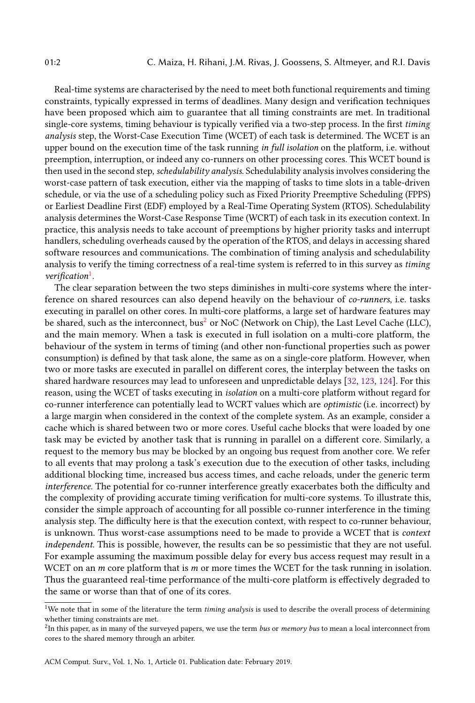Real-time systems are characterised by the need to meet both functional requirements and timing constraints, typically expressed in terms of deadlines. Many design and verification techniques have been proposed which aim to guarantee that all timing constraints are met. In traditional single-core systems, timing behaviour is typically verified via a two-step process. In the first timing analysis step, the Worst-Case Execution Time (WCET) of each task is determined. The WCET is an upper bound on the execution time of the task running in full isolation on the platform, i.e. without preemption, interruption, or indeed any co-runners on other processing cores. This WCET bound is then used in the second step, schedulability analysis. Schedulability analysis involves considering the worst-case pattern of task execution, either via the mapping of tasks to time slots in a table-driven schedule, or via the use of a scheduling policy such as Fixed Priority Preemptive Scheduling (FPPS) or Earliest Deadline First (EDF) employed by a Real-Time Operating System (RTOS). Schedulability analysis determines the Worst-Case Response Time (WCRT) of each task in its execution context. In practice, this analysis needs to take account of preemptions by higher priority tasks and interrupt handlers, scheduling overheads caused by the operation of the RTOS, and delays in accessing shared software resources and communications. The combination of timing analysis and schedulability analysis to verify the timing correctness of a real-time system is referred to in this survey as timing verification<sup>1</sup>.

The clear separation between the two steps diminishes in multi-core systems where the interference on shared resources can also depend heavily on the behaviour of co-runners, i.e. tasks executing in parallel on other cores. In multi-core platforms, a large set of hardware features may be shared, such as the interconnect, bus<sup>2</sup> or NoC (Network on Chip), the Last Level Cache (LLC), and the main memory. When a task is executed in full isolation on a multi-core platform, the behaviour of the system in terms of timing (and other non-functional properties such as power consumption) is defined by that task alone, the same as on a single-core platform. However, when two or more tasks are executed in parallel on different cores, the interplay between the tasks on shared hardware resources may lead to unforeseen and unpredictable delays [32, 123, 124]. For this reason, using the WCET of tasks executing in isolation on a multi-core platform without regard for co-runner interference can potentially lead to WCRT values which are optimistic (i.e. incorrect) by a large margin when considered in the context of the complete system. As an example, consider a cache which is shared between two or more cores. Useful cache blocks that were loaded by one task may be evicted by another task that is running in parallel on a different core. Similarly, a request to the memory bus may be blocked by an ongoing bus request from another core. We refer to all events that may prolong a task's execution due to the execution of other tasks, including additional blocking time, increased bus access times, and cache reloads, under the generic term interference. The potential for co-runner interference greatly exacerbates both the difficulty and the complexity of providing accurate timing verification for multi-core systems. To illustrate this, consider the simple approach of accounting for all possible co-runner interference in the timing analysis step. The difficulty here is that the execution context, with respect to co-runner behaviour, is unknown. Thus worst-case assumptions need to be made to provide a WCET that is context independent. This is possible, however, the results can be so pessimistic that they are not useful. For example assuming the maximum possible delay for every bus access request may result in a WCET on an  $m$  core platform that is  $m$  or more times the WCET for the task running in isolation. Thus the guaranteed real-time performance of the multi-core platform is effectively degraded to the same or worse than that of one of its cores.

<sup>&</sup>lt;sup>1</sup>We note that in some of the literature the term timing analysis is used to describe the overall process of determining whether timing constraints are met.

<sup>&</sup>lt;sup>2</sup>In this paper, as in many of the surveyed papers, we use the term bus or memory bus to mean a local interconnect from cores to the shared memory through an arbiter.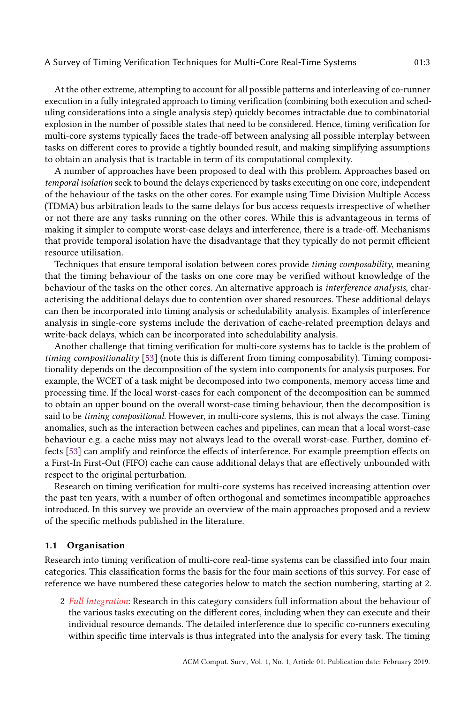At the other extreme, attempting to account for all possible patterns and interleaving of co-runner execution in a fully integrated approach to timing verification (combining both execution and scheduling considerations into a single analysis step) quickly becomes intractable due to combinatorial explosion in the number of possible states that need to be considered. Hence, timing verification for multi-core systems typically faces the trade-off between analysing all possible interplay between tasks on different cores to provide a tightly bounded result, and making simplifying assumptions to obtain an analysis that is tractable in term of its computational complexity.

A number of approaches have been proposed to deal with this problem. Approaches based on temporal isolation seek to bound the delays experienced by tasks executing on one core, independent of the behaviour of the tasks on the other cores. For example using Time Division Multiple Access (TDMA) bus arbitration leads to the same delays for bus access requests irrespective of whether or not there are any tasks running on the other cores. While this is advantageous in terms of making it simpler to compute worst-case delays and interference, there is a trade-off. Mechanisms that provide temporal isolation have the disadvantage that they typically do not permit efficient resource utilisation.

Techniques that ensure temporal isolation between cores provide timing composability, meaning that the timing behaviour of the tasks on one core may be verified without knowledge of the behaviour of the tasks on the other cores. An alternative approach is *interference analysis*, characterising the additional delays due to contention over shared resources. These additional delays can then be incorporated into timing analysis or schedulability analysis. Examples of interference analysis in single-core systems include the derivation of cache-related preemption delays and write-back delays, which can be incorporated into schedulability analysis.

Another challenge that timing verification for multi-core systems has to tackle is the problem of timing compositionality [53] (note this is different from timing composability). Timing compositionality depends on the decomposition of the system into components for analysis purposes. For example, the WCET of a task might be decomposed into two components, memory access time and processing time. If the local worst-cases for each component of the decomposition can be summed to obtain an upper bound on the overall worst-case timing behaviour, then the decomposition is said to be timing compositional. However, in multi-core systems, this is not always the case. Timing anomalies, such as the interaction between caches and pipelines, can mean that a local worst-case behaviour e.g. a cache miss may not always lead to the overall worst-case. Further, domino effects [53] can amplify and reinforce the effects of interference. For example preemption effects on a First-In First-Out (FIFO) cache can cause additional delays that are effectively unbounded with respect to the original perturbation.

Research on timing verification for multi-core systems has received increasing attention over the past ten years, with a number of often orthogonal and sometimes incompatible approaches introduced. In this survey we provide an overview of the main approaches proposed and a review of the specific methods published in the literature.

#### 1.1 Organisation

Research into timing verification of multi-core real-time systems can be classified into four main categories. This classification forms the basis for the four main sections of this survey. For ease of reference we have numbered these categories below to match the section numbering, starting at 2.

2 Full Integration: Research in this category considers full information about the behaviour of the various tasks executing on the different cores, including when they can execute and their individual resource demands. The detailed interference due to specific co-runners executing within specific time intervals is thus integrated into the analysis for every task. The timing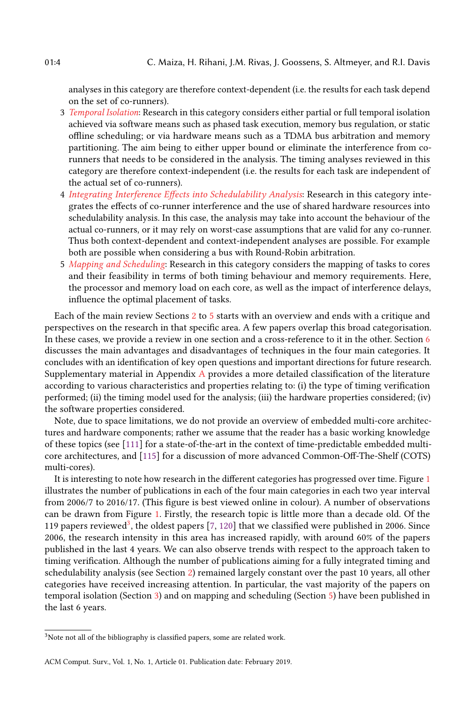analyses in this category are therefore context-dependent (i.e. the results for each task depend on the set of co-runners).

- 3 Temporal Isolation: Research in this category considers either partial or full temporal isolation achieved via software means such as phased task execution, memory bus regulation, or static offline scheduling; or via hardware means such as a TDMA bus arbitration and memory partitioning. The aim being to either upper bound or eliminate the interference from corunners that needs to be considered in the analysis. The timing analyses reviewed in this category are therefore context-independent (i.e. the results for each task are independent of the actual set of co-runners).
- 4 Integrating Interference Effects into Schedulability Analysis: Research in this category integrates the effects of co-runner interference and the use of shared hardware resources into schedulability analysis. In this case, the analysis may take into account the behaviour of the actual co-runners, or it may rely on worst-case assumptions that are valid for any co-runner. Thus both context-dependent and context-independent analyses are possible. For example both are possible when considering a bus with Round-Robin arbitration.
- 5 Mapping and Scheduling: Research in this category considers the mapping of tasks to cores and their feasibility in terms of both timing behaviour and memory requirements. Here, the processor and memory load on each core, as well as the impact of interference delays, influence the optimal placement of tasks.

Each of the main review Sections 2 to 5 starts with an overview and ends with a critique and perspectives on the research in that specific area. A few papers overlap this broad categorisation. In these cases, we provide a review in one section and a cross-reference to it in the other. Section 6 discusses the main advantages and disadvantages of techniques in the four main categories. It concludes with an identification of key open questions and important directions for future research. Supplementary material in Appendix  $\overline{A}$  provides a more detailed classification of the literature according to various characteristics and properties relating to: (i) the type of timing verification performed; (ii) the timing model used for the analysis; (iii) the hardware properties considered; (iv) the software properties considered.

Note, due to space limitations, we do not provide an overview of embedded multi-core architectures and hardware components; rather we assume that the reader has a basic working knowledge of these topics (see [111] for a state-of-the-art in the context of time-predictable embedded multicore architectures, and [115] for a discussion of more advanced Common-Off-The-Shelf (COTS) multi-cores).

It is interesting to note how research in the different categories has progressed over time. Figure 1 illustrates the number of publications in each of the four main categories in each two year interval from 2006/7 to 2016/17. (This figure is best viewed online in colour). A number of observations can be drawn from Figure 1. Firstly, the research topic is little more than a decade old. Of the 119 papers reviewed<sup>3</sup>, the oldest papers [7, 120] that we classified were published in 2006. Since 2006, the research intensity in this area has increased rapidly, with around 60% of the papers published in the last 4 years. We can also observe trends with respect to the approach taken to timing verification. Although the number of publications aiming for a fully integrated timing and schedulability analysis (see Section 2) remained largely constant over the past 10 years, all other categories have received increasing attention. In particular, the vast majority of the papers on temporal isolation (Section 3) and on mapping and scheduling (Section 5) have been published in the last 6 years.

 ${}^{3}{\rm Note}$  not all of the bibliography is classified papers, some are related work.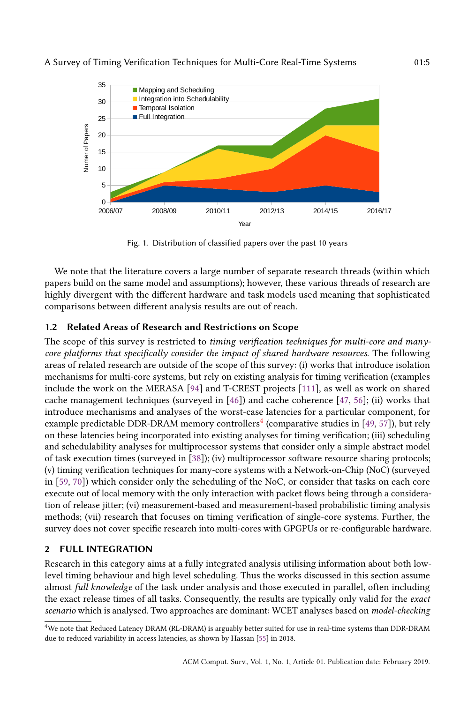

Fig. 1. Distribution of classified papers over the past 10 years

We note that the literature covers a large number of separate research threads (within which papers build on the same model and assumptions); however, these various threads of research are highly divergent with the different hardware and task models used meaning that sophisticated comparisons between different analysis results are out of reach.

# 1.2 Related Areas of Research and Restrictions on Scope

The scope of this survey is restricted to timing verification techniques for multi-core and manycore platforms that specifically consider the impact of shared hardware resources. The following areas of related research are outside of the scope of this survey: (i) works that introduce isolation mechanisms for multi-core systems, but rely on existing analysis for timing verification (examples include the work on the MERASA [94] and T-CREST projects [111], as well as work on shared cache management techniques (surveyed in  $[46]$ ) and cache coherence  $[47, 56]$ ; (ii) works that introduce mechanisms and analyses of the worst-case latencies for a particular component, for example predictable DDR-DRAM memory controllers $^4$  (comparative studies in [49, 57]), but rely on these latencies being incorporated into existing analyses for timing verification; (iii) scheduling and schedulability analyses for multiprocessor systems that consider only a simple abstract model of task execution times (surveyed in [38]); (iv) multiprocessor software resource sharing protocols; (v) timing verification techniques for many-core systems with a Network-on-Chip (NoC) (surveyed in [59, 70]) which consider only the scheduling of the NoC, or consider that tasks on each core execute out of local memory with the only interaction with packet flows being through a consideration of release jitter; (vi) measurement-based and measurement-based probabilistic timing analysis methods; (vii) research that focuses on timing verification of single-core systems. Further, the survey does not cover specific research into multi-cores with GPGPUs or re-configurable hardware.

#### 2 FULL INTEGRATION

Research in this category aims at a fully integrated analysis utilising information about both lowlevel timing behaviour and high level scheduling. Thus the works discussed in this section assume almost full knowledge of the task under analysis and those executed in parallel, often including the exact release times of all tasks. Consequently, the results are typically only valid for the exact scenario which is analysed. Two approaches are dominant: WCET analyses based on model-checking

<sup>4</sup>We note that Reduced Latency DRAM (RL-DRAM) is arguably better suited for use in real-time systems than DDR-DRAM due to reduced variability in access latencies, as shown by Hassan [55] in 2018.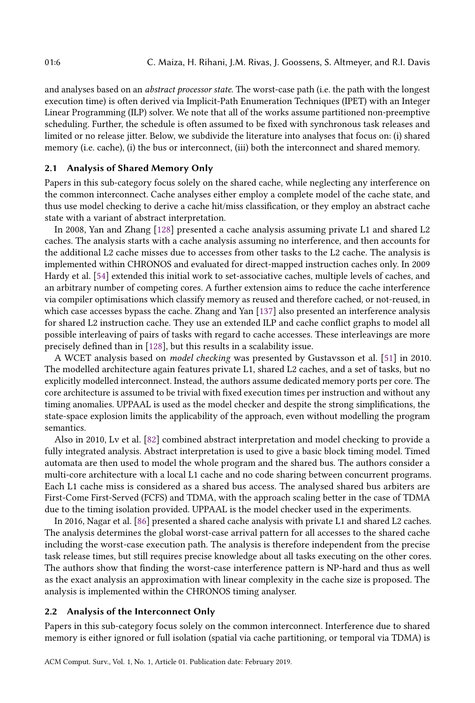and analyses based on an abstract processor state. The worst-case path (i.e. the path with the longest execution time) is often derived via Implicit-Path Enumeration Techniques (IPET) with an Integer Linear Programming (ILP) solver. We note that all of the works assume partitioned non-preemptive scheduling. Further, the schedule is often assumed to be fixed with synchronous task releases and limited or no release jitter. Below, we subdivide the literature into analyses that focus on: (i) shared memory (i.e. cache), (i) the bus or interconnect, (iii) both the interconnect and shared memory.

#### 2.1 Analysis of Shared Memory Only

Papers in this sub-category focus solely on the shared cache, while neglecting any interference on the common interconnect. Cache analyses either employ a complete model of the cache state, and thus use model checking to derive a cache hit/miss classification, or they employ an abstract cache state with a variant of abstract interpretation.

In 2008, Yan and Zhang [128] presented a cache analysis assuming private L1 and shared L2 caches. The analysis starts with a cache analysis assuming no interference, and then accounts for the additional L2 cache misses due to accesses from other tasks to the L2 cache. The analysis is implemented within CHRONOS and evaluated for direct-mapped instruction caches only. In 2009 Hardy et al. [54] extended this initial work to set-associative caches, multiple levels of caches, and an arbitrary number of competing cores. A further extension aims to reduce the cache interference via compiler optimisations which classify memory as reused and therefore cached, or not-reused, in which case accesses bypass the cache. Zhang and Yan [137] also presented an interference analysis for shared L2 instruction cache. They use an extended ILP and cache conflict graphs to model all possible interleaving of pairs of tasks with regard to cache accesses. These interleavings are more precisely defined than in [128], but this results in a scalability issue.

A WCET analysis based on model checking was presented by Gustavsson et al. [51] in 2010. The modelled architecture again features private L1, shared L2 caches, and a set of tasks, but no explicitly modelled interconnect. Instead, the authors assume dedicated memory ports per core. The core architecture is assumed to be trivial with fixed execution times per instruction and without any timing anomalies. UPPAAL is used as the model checker and despite the strong simplifications, the state-space explosion limits the applicability of the approach, even without modelling the program semantics.

Also in 2010, Lv et al. [82] combined abstract interpretation and model checking to provide a fully integrated analysis. Abstract interpretation is used to give a basic block timing model. Timed automata are then used to model the whole program and the shared bus. The authors consider a multi-core architecture with a local L1 cache and no code sharing between concurrent programs. Each L1 cache miss is considered as a shared bus access. The analysed shared bus arbiters are First-Come First-Served (FCFS) and TDMA, with the approach scaling better in the case of TDMA due to the timing isolation provided. UPPAAL is the model checker used in the experiments.

In 2016, Nagar et al. [86] presented a shared cache analysis with private L1 and shared L2 caches. The analysis determines the global worst-case arrival pattern for all accesses to the shared cache including the worst-case execution path. The analysis is therefore independent from the precise task release times, but still requires precise knowledge about all tasks executing on the other cores. The authors show that finding the worst-case interference pattern is NP-hard and thus as well as the exact analysis an approximation with linear complexity in the cache size is proposed. The analysis is implemented within the CHRONOS timing analyser.

#### 2.2 Analysis of the Interconnect Only

Papers in this sub-category focus solely on the common interconnect. Interference due to shared memory is either ignored or full isolation (spatial via cache partitioning, or temporal via TDMA) is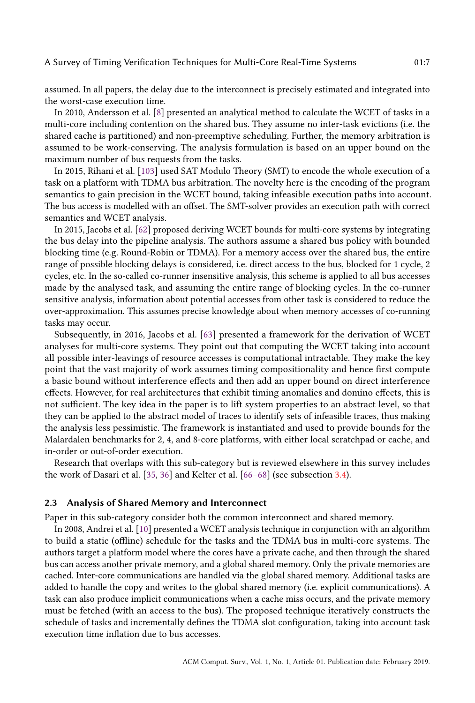assumed. In all papers, the delay due to the interconnect is precisely estimated and integrated into the worst-case execution time.

In 2010, Andersson et al. [8] presented an analytical method to calculate the WCET of tasks in a multi-core including contention on the shared bus. They assume no inter-task evictions (i.e. the shared cache is partitioned) and non-preemptive scheduling. Further, the memory arbitration is assumed to be work-conserving. The analysis formulation is based on an upper bound on the maximum number of bus requests from the tasks.

In 2015, Rihani et al. [103] used SAT Modulo Theory (SMT) to encode the whole execution of a task on a platform with TDMA bus arbitration. The novelty here is the encoding of the program semantics to gain precision in the WCET bound, taking infeasible execution paths into account. The bus access is modelled with an offset. The SMT-solver provides an execution path with correct semantics and WCET analysis.

In 2015, Jacobs et al. [62] proposed deriving WCET bounds for multi-core systems by integrating the bus delay into the pipeline analysis. The authors assume a shared bus policy with bounded blocking time (e.g. Round-Robin or TDMA). For a memory access over the shared bus, the entire range of possible blocking delays is considered, i.e. direct access to the bus, blocked for 1 cycle, 2 cycles, etc. In the so-called co-runner insensitive analysis, this scheme is applied to all bus accesses made by the analysed task, and assuming the entire range of blocking cycles. In the co-runner sensitive analysis, information about potential accesses from other task is considered to reduce the over-approximation. This assumes precise knowledge about when memory accesses of co-running tasks may occur.

Subsequently, in 2016, Jacobs et al. [63] presented a framework for the derivation of WCET analyses for multi-core systems. They point out that computing the WCET taking into account all possible inter-leavings of resource accesses is computational intractable. They make the key point that the vast majority of work assumes timing compositionality and hence first compute a basic bound without interference effects and then add an upper bound on direct interference effects. However, for real architectures that exhibit timing anomalies and domino effects, this is not sufficient. The key idea in the paper is to lift system properties to an abstract level, so that they can be applied to the abstract model of traces to identify sets of infeasible traces, thus making the analysis less pessimistic. The framework is instantiated and used to provide bounds for the Malardalen benchmarks for 2, 4, and 8-core platforms, with either local scratchpad or cache, and in-order or out-of-order execution.

Research that overlaps with this sub-category but is reviewed elsewhere in this survey includes the work of Dasari et al. [35, 36] and Kelter et al. [66–68] (see subsection 3.4).

### 2.3 Analysis of Shared Memory and Interconnect

Paper in this sub-category consider both the common interconnect and shared memory.

In 2008, Andrei et al. [10] presented a WCET analysis technique in conjunction with an algorithm to build a static (offline) schedule for the tasks and the TDMA bus in multi-core systems. The authors target a platform model where the cores have a private cache, and then through the shared bus can access another private memory, and a global shared memory. Only the private memories are cached. Inter-core communications are handled via the global shared memory. Additional tasks are added to handle the copy and writes to the global shared memory (i.e. explicit communications). A task can also produce implicit communications when a cache miss occurs, and the private memory must be fetched (with an access to the bus). The proposed technique iteratively constructs the schedule of tasks and incrementally defines the TDMA slot configuration, taking into account task execution time inflation due to bus accesses.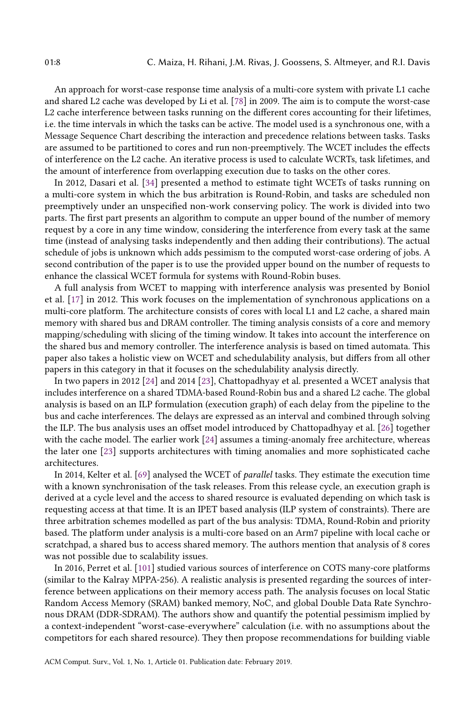An approach for worst-case response time analysis of a multi-core system with private L1 cache and shared L2 cache was developed by Li et al. [78] in 2009. The aim is to compute the worst-case L2 cache interference between tasks running on the different cores accounting for their lifetimes, i.e. the time intervals in which the tasks can be active. The model used is a synchronous one, with a Message Sequence Chart describing the interaction and precedence relations between tasks. Tasks are assumed to be partitioned to cores and run non-preemptively. The WCET includes the effects of interference on the L2 cache. An iterative process is used to calculate WCRTs, task lifetimes, and the amount of interference from overlapping execution due to tasks on the other cores.

In 2012, Dasari et al. [34] presented a method to estimate tight WCETs of tasks running on a multi-core system in which the bus arbitration is Round-Robin, and tasks are scheduled non preemptively under an unspecified non-work conserving policy. The work is divided into two parts. The first part presents an algorithm to compute an upper bound of the number of memory request by a core in any time window, considering the interference from every task at the same time (instead of analysing tasks independently and then adding their contributions). The actual schedule of jobs is unknown which adds pessimism to the computed worst-case ordering of jobs. A second contribution of the paper is to use the provided upper bound on the number of requests to enhance the classical WCET formula for systems with Round-Robin buses.

A full analysis from WCET to mapping with interference analysis was presented by Boniol et al. [17] in 2012. This work focuses on the implementation of synchronous applications on a multi-core platform. The architecture consists of cores with local L1 and L2 cache, a shared main memory with shared bus and DRAM controller. The timing analysis consists of a core and memory mapping/scheduling with slicing of the timing window. It takes into account the interference on the shared bus and memory controller. The interference analysis is based on timed automata. This paper also takes a holistic view on WCET and schedulability analysis, but differs from all other papers in this category in that it focuses on the schedulability analysis directly.

In two papers in 2012 [24] and 2014 [23], Chattopadhyay et al. presented a WCET analysis that includes interference on a shared TDMA-based Round-Robin bus and a shared L2 cache. The global analysis is based on an ILP formulation (execution graph) of each delay from the pipeline to the bus and cache interferences. The delays are expressed as an interval and combined through solving the ILP. The bus analysis uses an offset model introduced by Chattopadhyay et al. [26] together with the cache model. The earlier work [24] assumes a timing-anomaly free architecture, whereas the later one [23] supports architectures with timing anomalies and more sophisticated cache architectures.

In 2014, Kelter et al. [69] analysed the WCET of parallel tasks. They estimate the execution time with a known synchronisation of the task releases. From this release cycle, an execution graph is derived at a cycle level and the access to shared resource is evaluated depending on which task is requesting access at that time. It is an IPET based analysis (ILP system of constraints). There are three arbitration schemes modelled as part of the bus analysis: TDMA, Round-Robin and priority based. The platform under analysis is a multi-core based on an Arm7 pipeline with local cache or scratchpad, a shared bus to access shared memory. The authors mention that analysis of 8 cores was not possible due to scalability issues.

In 2016, Perret et al. [101] studied various sources of interference on COTS many-core platforms (similar to the Kalray MPPA-256). A realistic analysis is presented regarding the sources of interference between applications on their memory access path. The analysis focuses on local Static Random Access Memory (SRAM) banked memory, NoC, and global Double Data Rate Synchronous DRAM (DDR-SDRAM). The authors show and quantify the potential pessimism implied by a context-independent "worst-case-everywhere" calculation (i.e. with no assumptions about the competitors for each shared resource). They then propose recommendations for building viable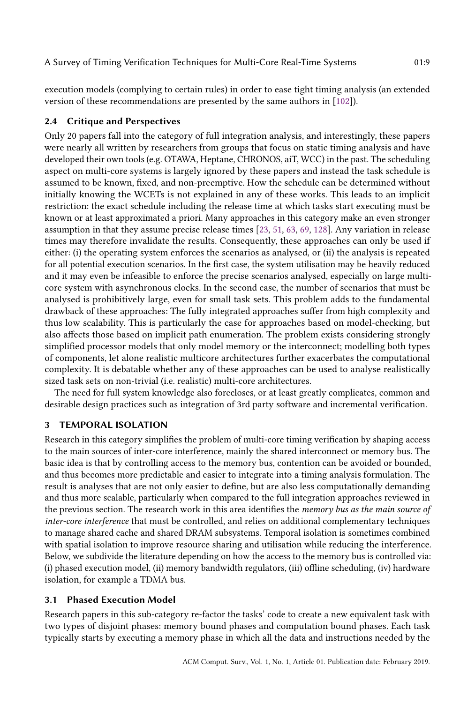execution models (complying to certain rules) in order to ease tight timing analysis (an extended version of these recommendations are presented by the same authors in [102]).

# 2.4 Critique and Perspectives

Only 20 papers fall into the category of full integration analysis, and interestingly, these papers were nearly all written by researchers from groups that focus on static timing analysis and have developed their own tools (e.g. OTAWA, Heptane, CHRONOS, aiT, WCC) in the past. The scheduling aspect on multi-core systems is largely ignored by these papers and instead the task schedule is assumed to be known, fixed, and non-preemptive. How the schedule can be determined without initially knowing the WCETs is not explained in any of these works. This leads to an implicit restriction: the exact schedule including the release time at which tasks start executing must be known or at least approximated a priori. Many approaches in this category make an even stronger assumption in that they assume precise release times [23, 51, 63, 69, 128]. Any variation in release times may therefore invalidate the results. Consequently, these approaches can only be used if either: (i) the operating system enforces the scenarios as analysed, or (ii) the analysis is repeated for all potential execution scenarios. In the first case, the system utilisation may be heavily reduced and it may even be infeasible to enforce the precise scenarios analysed, especially on large multicore system with asynchronous clocks. In the second case, the number of scenarios that must be analysed is prohibitively large, even for small task sets. This problem adds to the fundamental drawback of these approaches: The fully integrated approaches suffer from high complexity and thus low scalability. This is particularly the case for approaches based on model-checking, but also affects those based on implicit path enumeration. The problem exists considering strongly simplified processor models that only model memory or the interconnect; modelling both types of components, let alone realistic multicore architectures further exacerbates the computational complexity. It is debatable whether any of these approaches can be used to analyse realistically sized task sets on non-trivial (i.e. realistic) multi-core architectures.

The need for full system knowledge also forecloses, or at least greatly complicates, common and desirable design practices such as integration of 3rd party software and incremental verification.

# 3 TEMPORAL ISOLATION

Research in this category simplifies the problem of multi-core timing verification by shaping access to the main sources of inter-core interference, mainly the shared interconnect or memory bus. The basic idea is that by controlling access to the memory bus, contention can be avoided or bounded, and thus becomes more predictable and easier to integrate into a timing analysis formulation. The result is analyses that are not only easier to define, but are also less computationally demanding and thus more scalable, particularly when compared to the full integration approaches reviewed in the previous section. The research work in this area identifies the memory bus as the main source of inter-core interference that must be controlled, and relies on additional complementary techniques to manage shared cache and shared DRAM subsystems. Temporal isolation is sometimes combined with spatial isolation to improve resource sharing and utilisation while reducing the interference. Below, we subdivide the literature depending on how the access to the memory bus is controlled via: (i) phased execution model, (ii) memory bandwidth regulators, (iii) offline scheduling, (iv) hardware isolation, for example a TDMA bus.

# 3.1 Phased Execution Model

Research papers in this sub-category re-factor the tasks' code to create a new equivalent task with two types of disjoint phases: memory bound phases and computation bound phases. Each task typically starts by executing a memory phase in which all the data and instructions needed by the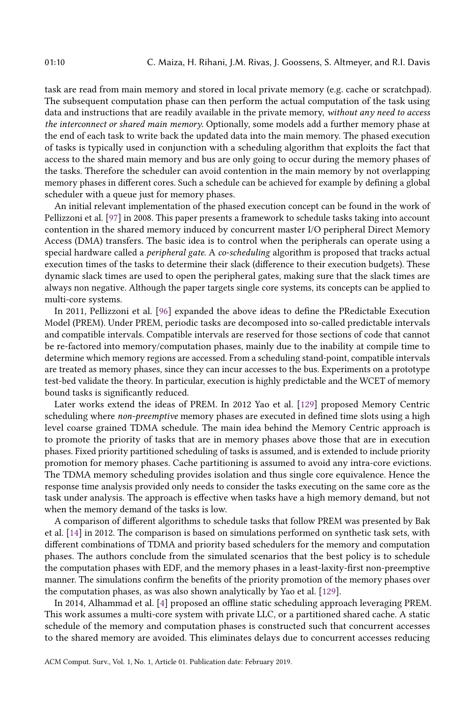task are read from main memory and stored in local private memory (e.g. cache or scratchpad). The subsequent computation phase can then perform the actual computation of the task using data and instructions that are readily available in the private memory, without any need to access the interconnect or shared main memory. Optionally, some models add a further memory phase at the end of each task to write back the updated data into the main memory. The phased execution of tasks is typically used in conjunction with a scheduling algorithm that exploits the fact that access to the shared main memory and bus are only going to occur during the memory phases of the tasks. Therefore the scheduler can avoid contention in the main memory by not overlapping memory phases in different cores. Such a schedule can be achieved for example by defining a global scheduler with a queue just for memory phases.

An initial relevant implementation of the phased execution concept can be found in the work of Pellizzoni et al. [97] in 2008. This paper presents a framework to schedule tasks taking into account contention in the shared memory induced by concurrent master I/O peripheral Direct Memory Access (DMA) transfers. The basic idea is to control when the peripherals can operate using a special hardware called a peripheral gate. A co-scheduling algorithm is proposed that tracks actual execution times of the tasks to determine their slack (difference to their execution budgets). These dynamic slack times are used to open the peripheral gates, making sure that the slack times are always non negative. Although the paper targets single core systems, its concepts can be applied to multi-core systems.

In 2011, Pellizzoni et al. [96] expanded the above ideas to define the PRedictable Execution Model (PREM). Under PREM, periodic tasks are decomposed into so-called predictable intervals and compatible intervals. Compatible intervals are reserved for those sections of code that cannot be re-factored into memory/computation phases, mainly due to the inability at compile time to determine which memory regions are accessed. From a scheduling stand-point, compatible intervals are treated as memory phases, since they can incur accesses to the bus. Experiments on a prototype test-bed validate the theory. In particular, execution is highly predictable and the WCET of memory bound tasks is significantly reduced.

Later works extend the ideas of PREM. In 2012 Yao et al. [129] proposed Memory Centric scheduling where *non-preemptive* memory phases are executed in defined time slots using a high level coarse grained TDMA schedule. The main idea behind the Memory Centric approach is to promote the priority of tasks that are in memory phases above those that are in execution phases. Fixed priority partitioned scheduling of tasks is assumed, and is extended to include priority promotion for memory phases. Cache partitioning is assumed to avoid any intra-core evictions. The TDMA memory scheduling provides isolation and thus single core equivalence. Hence the response time analysis provided only needs to consider the tasks executing on the same core as the task under analysis. The approach is effective when tasks have a high memory demand, but not when the memory demand of the tasks is low.

A comparison of different algorithms to schedule tasks that follow PREM was presented by Bak et al. [14] in 2012. The comparison is based on simulations performed on synthetic task sets, with different combinations of TDMA and priority based schedulers for the memory and computation phases. The authors conclude from the simulated scenarios that the best policy is to schedule the computation phases with EDF, and the memory phases in a least-laxity-first non-preemptive manner. The simulations confirm the benefits of the priority promotion of the memory phases over the computation phases, as was also shown analytically by Yao et al. [129].

In 2014, Alhammad et al. [4] proposed an offline static scheduling approach leveraging PREM. This work assumes a multi-core system with private LLC, or a partitioned shared cache. A static schedule of the memory and computation phases is constructed such that concurrent accesses to the shared memory are avoided. This eliminates delays due to concurrent accesses reducing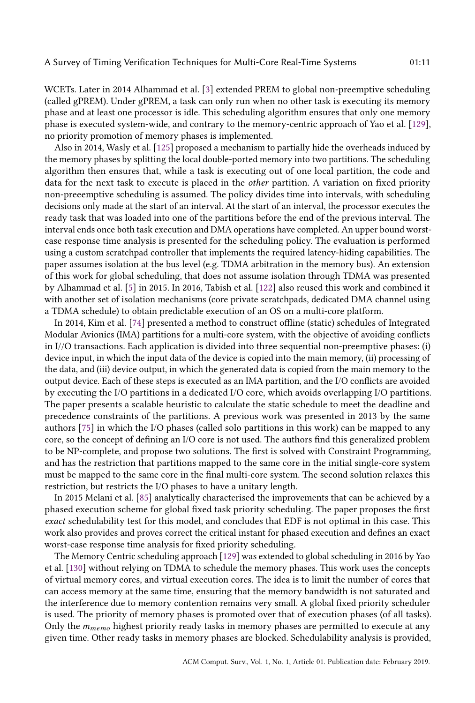WCETs. Later in 2014 Alhammad et al. [3] extended PREM to global non-preemptive scheduling (called gPREM). Under gPREM, a task can only run when no other task is executing its memory phase and at least one processor is idle. This scheduling algorithm ensures that only one memory phase is executed system-wide, and contrary to the memory-centric approach of Yao et al. [129], no priority promotion of memory phases is implemented.

Also in 2014, Wasly et al. [125] proposed a mechanism to partially hide the overheads induced by the memory phases by splitting the local double-ported memory into two partitions. The scheduling algorithm then ensures that, while a task is executing out of one local partition, the code and data for the next task to execute is placed in the other partition. A variation on fixed priority non-preeemptive scheduling is assumed. The policy divides time into intervals, with scheduling decisions only made at the start of an interval. At the start of an interval, the processor executes the ready task that was loaded into one of the partitions before the end of the previous interval. The interval ends once both task execution and DMA operations have completed. An upper bound worstcase response time analysis is presented for the scheduling policy. The evaluation is performed using a custom scratchpad controller that implements the required latency-hiding capabilities. The paper assumes isolation at the bus level (e.g. TDMA arbitration in the memory bus). An extension of this work for global scheduling, that does not assume isolation through TDMA was presented by Alhammad et al. [5] in 2015. In 2016, Tabish et al. [122] also reused this work and combined it with another set of isolation mechanisms (core private scratchpads, dedicated DMA channel using a TDMA schedule) to obtain predictable execution of an OS on a multi-core platform.

In 2014, Kim et al. [74] presented a method to construct offline (static) schedules of Integrated Modular Avionics (IMA) partitions for a multi-core system, with the objective of avoiding conflicts in I//O transactions. Each application is divided into three sequential non-preemptive phases: (i) device input, in which the input data of the device is copied into the main memory, (ii) processing of the data, and (iii) device output, in which the generated data is copied from the main memory to the output device. Each of these steps is executed as an IMA partition, and the I/O conflicts are avoided by executing the I/O partitions in a dedicated I/O core, which avoids overlapping I/O partitions. The paper presents a scalable heuristic to calculate the static schedule to meet the deadline and precedence constraints of the partitions. A previous work was presented in 2013 by the same authors [75] in which the I/O phases (called solo partitions in this work) can be mapped to any core, so the concept of defining an I/O core is not used. The authors find this generalized problem to be NP-complete, and propose two solutions. The first is solved with Constraint Programming, and has the restriction that partitions mapped to the same core in the initial single-core system must be mapped to the same core in the final multi-core system. The second solution relaxes this restriction, but restricts the I/O phases to have a unitary length.

In 2015 Melani et al. [85] analytically characterised the improvements that can be achieved by a phased execution scheme for global fixed task priority scheduling. The paper proposes the first exact schedulability test for this model, and concludes that EDF is not optimal in this case. This work also provides and proves correct the critical instant for phased execution and defines an exact worst-case response time analysis for fixed priority scheduling.

The Memory Centric scheduling approach [129] was extended to global scheduling in 2016 by Yao et al. [130] without relying on TDMA to schedule the memory phases. This work uses the concepts of virtual memory cores, and virtual execution cores. The idea is to limit the number of cores that can access memory at the same time, ensuring that the memory bandwidth is not saturated and the interference due to memory contention remains very small. A global fixed priority scheduler is used. The priority of memory phases is promoted over that of execution phases (of all tasks). Only the  $m_{memo}$  highest priority ready tasks in memory phases are permitted to execute at any given time. Other ready tasks in memory phases are blocked. Schedulability analysis is provided,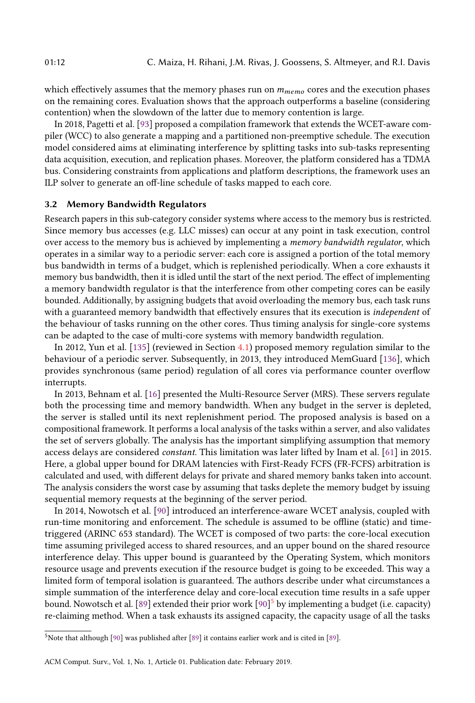which effectively assumes that the memory phases run on  $m_{memo}$  cores and the execution phases on the remaining cores. Evaluation shows that the approach outperforms a baseline (considering contention) when the slowdown of the latter due to memory contention is large.

In 2018, Pagetti et al. [93] proposed a compilation framework that extends the WCET-aware compiler (WCC) to also generate a mapping and a partitioned non-preemptive schedule. The execution model considered aims at eliminating interference by splitting tasks into sub-tasks representing data acquisition, execution, and replication phases. Moreover, the platform considered has a TDMA bus. Considering constraints from applications and platform descriptions, the framework uses an ILP solver to generate an off-line schedule of tasks mapped to each core.

# 3.2 Memory Bandwidth Regulators

Research papers in this sub-category consider systems where access to the memory bus is restricted. Since memory bus accesses (e.g. LLC misses) can occur at any point in task execution, control over access to the memory bus is achieved by implementing a memory bandwidth regulator, which operates in a similar way to a periodic server: each core is assigned a portion of the total memory bus bandwidth in terms of a budget, which is replenished periodically. When a core exhausts it memory bus bandwidth, then it is idled until the start of the next period. The effect of implementing a memory bandwidth regulator is that the interference from other competing cores can be easily bounded. Additionally, by assigning budgets that avoid overloading the memory bus, each task runs with a guaranteed memory bandwidth that effectively ensures that its execution is independent of the behaviour of tasks running on the other cores. Thus timing analysis for single-core systems can be adapted to the case of multi-core systems with memory bandwidth regulation.

In 2012, Yun et al. [135] (reviewed in Section 4.1) proposed memory regulation similar to the behaviour of a periodic server. Subsequently, in 2013, they introduced MemGuard [136], which provides synchronous (same period) regulation of all cores via performance counter overflow interrupts.

In 2013, Behnam et al. [16] presented the Multi-Resource Server (MRS). These servers regulate both the processing time and memory bandwidth. When any budget in the server is depleted, the server is stalled until its next replenishment period. The proposed analysis is based on a compositional framework. It performs a local analysis of the tasks within a server, and also validates the set of servers globally. The analysis has the important simplifying assumption that memory access delays are considered constant. This limitation was later lifted by Inam et al. [61] in 2015. Here, a global upper bound for DRAM latencies with First-Ready FCFS (FR-FCFS) arbitration is calculated and used, with different delays for private and shared memory banks taken into account. The analysis considers the worst case by assuming that tasks deplete the memory budget by issuing sequential memory requests at the beginning of the server period.

In 2014, Nowotsch et al. [90] introduced an interference-aware WCET analysis, coupled with run-time monitoring and enforcement. The schedule is assumed to be offline (static) and timetriggered (ARINC 653 standard). The WCET is composed of two parts: the core-local execution time assuming privileged access to shared resources, and an upper bound on the shared resource interference delay. This upper bound is guaranteed by the Operating System, which monitors resource usage and prevents execution if the resource budget is going to be exceeded. This way a limited form of temporal isolation is guaranteed. The authors describe under what circumstances a simple summation of the interference delay and core-local execution time results in a safe upper bound. Nowotsch et al. [89] extended their prior work [90]<sup>5</sup> by implementing a budget (i.e. capacity) re-claiming method. When a task exhausts its assigned capacity, the capacity usage of all the tasks

<sup>&</sup>lt;sup>5</sup>Note that although [90] was published after [89] it contains earlier work and is cited in [89].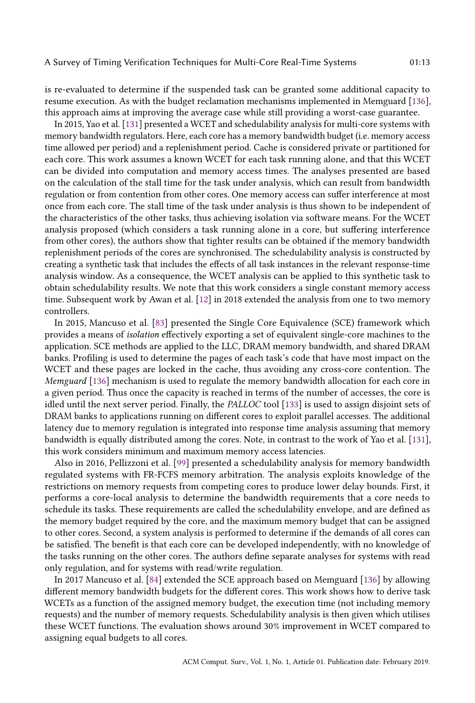is re-evaluated to determine if the suspended task can be granted some additional capacity to resume execution. As with the budget reclamation mechanisms implemented in Memguard [136], this approach aims at improving the average case while still providing a worst-case guarantee.

In 2015, Yao et al. [131] presented a WCET and schedulability analysis for multi-core systems with memory bandwidth regulators. Here, each core has a memory bandwidth budget (i.e. memory access time allowed per period) and a replenishment period. Cache is considered private or partitioned for each core. This work assumes a known WCET for each task running alone, and that this WCET can be divided into computation and memory access times. The analyses presented are based on the calculation of the stall time for the task under analysis, which can result from bandwidth regulation or from contention from other cores. One memory access can suffer interference at most once from each core. The stall time of the task under analysis is thus shown to be independent of the characteristics of the other tasks, thus achieving isolation via software means. For the WCET analysis proposed (which considers a task running alone in a core, but suffering interference from other cores), the authors show that tighter results can be obtained if the memory bandwidth replenishment periods of the cores are synchronised. The schedulability analysis is constructed by creating a synthetic task that includes the effects of all task instances in the relevant response-time analysis window. As a consequence, the WCET analysis can be applied to this synthetic task to obtain schedulability results. We note that this work considers a single constant memory access time. Subsequent work by Awan et al. [12] in 2018 extended the analysis from one to two memory controllers.

In 2015, Mancuso et al. [83] presented the Single Core Equivalence (SCE) framework which provides a means of isolation effectively exporting a set of equivalent single-core machines to the application. SCE methods are applied to the LLC, DRAM memory bandwidth, and shared DRAM banks. Profiling is used to determine the pages of each task's code that have most impact on the WCET and these pages are locked in the cache, thus avoiding any cross-core contention. The Memguard [136] mechanism is used to regulate the memory bandwidth allocation for each core in a given period. Thus once the capacity is reached in terms of the number of accesses, the core is idled until the next server period. Finally, the PALLOC tool [133] is used to assign disjoint sets of DRAM banks to applications running on different cores to exploit parallel accesses. The additional latency due to memory regulation is integrated into response time analysis assuming that memory bandwidth is equally distributed among the cores. Note, in contrast to the work of Yao et al. [131], this work considers minimum and maximum memory access latencies.

Also in 2016, Pellizzoni et al. [99] presented a schedulability analysis for memory bandwidth regulated systems with FR-FCFS memory arbitration. The analysis exploits knowledge of the restrictions on memory requests from competing cores to produce lower delay bounds. First, it performs a core-local analysis to determine the bandwidth requirements that a core needs to schedule its tasks. These requirements are called the schedulability envelope, and are defined as the memory budget required by the core, and the maximum memory budget that can be assigned to other cores. Second, a system analysis is performed to determine if the demands of all cores can be satisfied. The benefit is that each core can be developed independently, with no knowledge of the tasks running on the other cores. The authors define separate analyses for systems with read only regulation, and for systems with read/write regulation.

In 2017 Mancuso et al. [84] extended the SCE approach based on Memguard [136] by allowing different memory bandwidth budgets for the different cores. This work shows how to derive task WCETs as a function of the assigned memory budget, the execution time (not including memory requests) and the number of memory requests. Schedulability analysis is then given which utilises these WCET functions. The evaluation shows around 30% improvement in WCET compared to assigning equal budgets to all cores.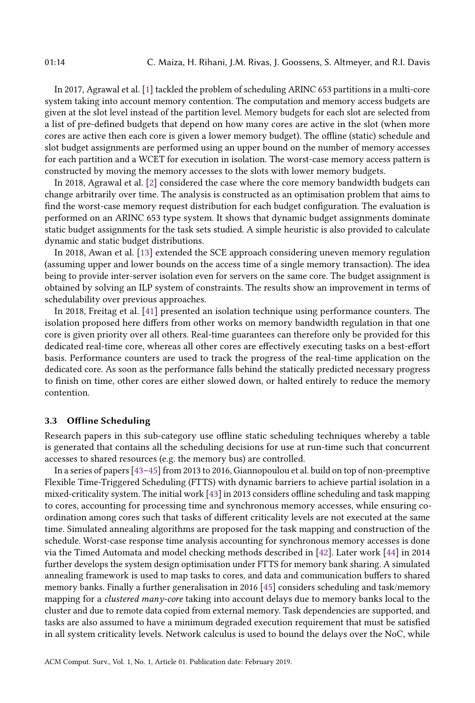In 2017, Agrawal et al. [1] tackled the problem of scheduling ARINC 653 partitions in a multi-core system taking into account memory contention. The computation and memory access budgets are given at the slot level instead of the partition level. Memory budgets for each slot are selected from a list of pre-defined budgets that depend on how many cores are active in the slot (when more cores are active then each core is given a lower memory budget). The offline (static) schedule and slot budget assignments are performed using an upper bound on the number of memory accesses for each partition and a WCET for execution in isolation. The worst-case memory access pattern is constructed by moving the memory accesses to the slots with lower memory budgets.

In 2018, Agrawal et al. [2] considered the case where the core memory bandwidth budgets can change arbitrarily over time. The analysis is constructed as an optimisation problem that aims to find the worst-case memory request distribution for each budget configuration. The evaluation is performed on an ARINC 653 type system. It shows that dynamic budget assignments dominate static budget assignments for the task sets studied. A simple heuristic is also provided to calculate dynamic and static budget distributions.

In 2018, Awan et al. [13] extended the SCE approach considering uneven memory regulation (assuming upper and lower bounds on the access time of a single memory transaction). The idea being to provide inter-server isolation even for servers on the same core. The budget assignment is obtained by solving an ILP system of constraints. The results show an improvement in terms of schedulability over previous approaches.

In 2018, Freitag et al. [41] presented an isolation technique using performance counters. The isolation proposed here differs from other works on memory bandwidth regulation in that one core is given priority over all others. Real-time guarantees can therefore only be provided for this dedicated real-time core, whereas all other cores are effectively executing tasks on a best-effort basis. Performance counters are used to track the progress of the real-time application on the dedicated core. As soon as the performance falls behind the statically predicted necessary progress to finish on time, other cores are either slowed down, or halted entirely to reduce the memory contention.

#### 3.3 Offline Scheduling

Research papers in this sub-category use offline static scheduling techniques whereby a table is generated that contains all the scheduling decisions for use at run-time such that concurrent accesses to shared resources (e.g. the memory bus) are controlled.

In a series of papers [43–45] from 2013 to 2016, Giannopoulou et al. build on top of non-preemptive Flexible Time-Triggered Scheduling (FTTS) with dynamic barriers to achieve partial isolation in a mixed-criticality system. The initial work [43] in 2013 considers offline scheduling and task mapping to cores, accounting for processing time and synchronous memory accesses, while ensuring coordination among cores such that tasks of different criticality levels are not executed at the same time. Simulated annealing algorithms are proposed for the task mapping and construction of the schedule. Worst-case response time analysis accounting for synchronous memory accesses is done via the Timed Automata and model checking methods described in [42]. Later work [44] in 2014 further develops the system design optimisation under FTTS for memory bank sharing. A simulated annealing framework is used to map tasks to cores, and data and communication buffers to shared memory banks. Finally a further generalisation in 2016 [45] considers scheduling and task/memory mapping for a clustered many-core taking into account delays due to memory banks local to the cluster and due to remote data copied from external memory. Task dependencies are supported, and tasks are also assumed to have a minimum degraded execution requirement that must be satisfied in all system criticality levels. Network calculus is used to bound the delays over the NoC, while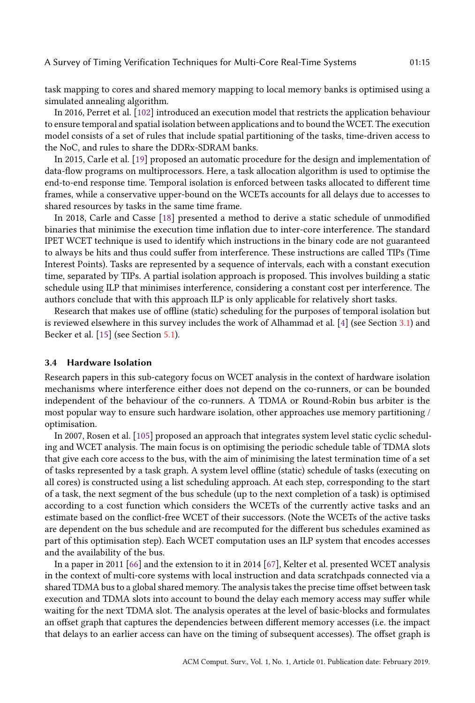task mapping to cores and shared memory mapping to local memory banks is optimised using a simulated annealing algorithm.

In 2016, Perret et al. [102] introduced an execution model that restricts the application behaviour to ensure temporal and spatial isolation between applications and to bound the WCET. The execution model consists of a set of rules that include spatial partitioning of the tasks, time-driven access to the NoC, and rules to share the DDRx-SDRAM banks.

In 2015, Carle et al. [19] proposed an automatic procedure for the design and implementation of data-flow programs on multiprocessors. Here, a task allocation algorithm is used to optimise the end-to-end response time. Temporal isolation is enforced between tasks allocated to different time frames, while a conservative upper-bound on the WCETs accounts for all delays due to accesses to shared resources by tasks in the same time frame.

In 2018, Carle and Casse [18] presented a method to derive a static schedule of unmodified binaries that minimise the execution time inflation due to inter-core interference. The standard IPET WCET technique is used to identify which instructions in the binary code are not guaranteed to always be hits and thus could suffer from interference. These instructions are called TIPs (Time Interest Points). Tasks are represented by a sequence of intervals, each with a constant execution time, separated by TIPs. A partial isolation approach is proposed. This involves building a static schedule using ILP that minimises interference, considering a constant cost per interference. The authors conclude that with this approach ILP is only applicable for relatively short tasks.

Research that makes use of offline (static) scheduling for the purposes of temporal isolation but is reviewed elsewhere in this survey includes the work of Alhammad et al. [4] (see Section 3.1) and Becker et al. [15] (see Section 5.1).

#### 3.4 Hardware Isolation

Research papers in this sub-category focus on WCET analysis in the context of hardware isolation mechanisms where interference either does not depend on the co-runners, or can be bounded independent of the behaviour of the co-runners. A TDMA or Round-Robin bus arbiter is the most popular way to ensure such hardware isolation, other approaches use memory partitioning / optimisation.

In 2007, Rosen et al. [105] proposed an approach that integrates system level static cyclic scheduling and WCET analysis. The main focus is on optimising the periodic schedule table of TDMA slots that give each core access to the bus, with the aim of minimising the latest termination time of a set of tasks represented by a task graph. A system level offline (static) schedule of tasks (executing on all cores) is constructed using a list scheduling approach. At each step, corresponding to the start of a task, the next segment of the bus schedule (up to the next completion of a task) is optimised according to a cost function which considers the WCETs of the currently active tasks and an estimate based on the conflict-free WCET of their successors. (Note the WCETs of the active tasks are dependent on the bus schedule and are recomputed for the different bus schedules examined as part of this optimisation step). Each WCET computation uses an ILP system that encodes accesses and the availability of the bus.

In a paper in 2011 [66] and the extension to it in 2014 [67], Kelter et al. presented WCET analysis in the context of multi-core systems with local instruction and data scratchpads connected via a shared TDMA bus to a global shared memory. The analysis takes the precise time offset between task execution and TDMA slots into account to bound the delay each memory access may suffer while waiting for the next TDMA slot. The analysis operates at the level of basic-blocks and formulates an offset graph that captures the dependencies between different memory accesses (i.e. the impact that delays to an earlier access can have on the timing of subsequent accesses). The offset graph is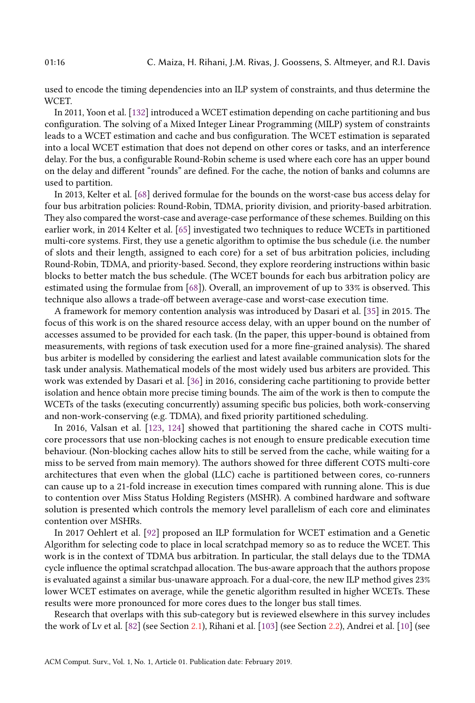used to encode the timing dependencies into an ILP system of constraints, and thus determine the WCET.

In 2011, Yoon et al. [132] introduced a WCET estimation depending on cache partitioning and bus configuration. The solving of a Mixed Integer Linear Programming (MILP) system of constraints leads to a WCET estimation and cache and bus configuration. The WCET estimation is separated into a local WCET estimation that does not depend on other cores or tasks, and an interference delay. For the bus, a configurable Round-Robin scheme is used where each core has an upper bound on the delay and different "rounds" are defined. For the cache, the notion of banks and columns are used to partition.

In 2013, Kelter et al. [68] derived formulae for the bounds on the worst-case bus access delay for four bus arbitration policies: Round-Robin, TDMA, priority division, and priority-based arbitration. They also compared the worst-case and average-case performance of these schemes. Building on this earlier work, in 2014 Kelter et al. [65] investigated two techniques to reduce WCETs in partitioned multi-core systems. First, they use a genetic algorithm to optimise the bus schedule (i.e. the number of slots and their length, assigned to each core) for a set of bus arbitration policies, including Round-Robin, TDMA, and priority-based. Second, they explore reordering instructions within basic blocks to better match the bus schedule. (The WCET bounds for each bus arbitration policy are estimated using the formulae from [68]). Overall, an improvement of up to 33% is observed. This technique also allows a trade-off between average-case and worst-case execution time.

A framework for memory contention analysis was introduced by Dasari et al. [35] in 2015. The focus of this work is on the shared resource access delay, with an upper bound on the number of accesses assumed to be provided for each task. (In the paper, this upper-bound is obtained from measurements, with regions of task execution used for a more fine-grained analysis). The shared bus arbiter is modelled by considering the earliest and latest available communication slots for the task under analysis. Mathematical models of the most widely used bus arbiters are provided. This work was extended by Dasari et al. [36] in 2016, considering cache partitioning to provide better isolation and hence obtain more precise timing bounds. The aim of the work is then to compute the WCETs of the tasks (executing concurrently) assuming specific bus policies, both work-conserving and non-work-conserving (e.g. TDMA), and fixed priority partitioned scheduling.

In 2016, Valsan et al. [123, 124] showed that partitioning the shared cache in COTS multicore processors that use non-blocking caches is not enough to ensure predicable execution time behaviour. (Non-blocking caches allow hits to still be served from the cache, while waiting for a miss to be served from main memory). The authors showed for three different COTS multi-core architectures that even when the global (LLC) cache is partitioned between cores, co-runners can cause up to a 21-fold increase in execution times compared with running alone. This is due to contention over Miss Status Holding Registers (MSHR). A combined hardware and software solution is presented which controls the memory level parallelism of each core and eliminates contention over MSHRs.

In 2017 Oehlert et al. [92] proposed an ILP formulation for WCET estimation and a Genetic Algorithm for selecting code to place in local scratchpad memory so as to reduce the WCET. This work is in the context of TDMA bus arbitration. In particular, the stall delays due to the TDMA cycle influence the optimal scratchpad allocation. The bus-aware approach that the authors propose is evaluated against a similar bus-unaware approach. For a dual-core, the new ILP method gives 23% lower WCET estimates on average, while the genetic algorithm resulted in higher WCETs. These results were more pronounced for more cores dues to the longer bus stall times.

Research that overlaps with this sub-category but is reviewed elsewhere in this survey includes the work of Lv et al. [82] (see Section 2.1), Rihani et al. [103] (see Section 2.2), Andrei et al. [10] (see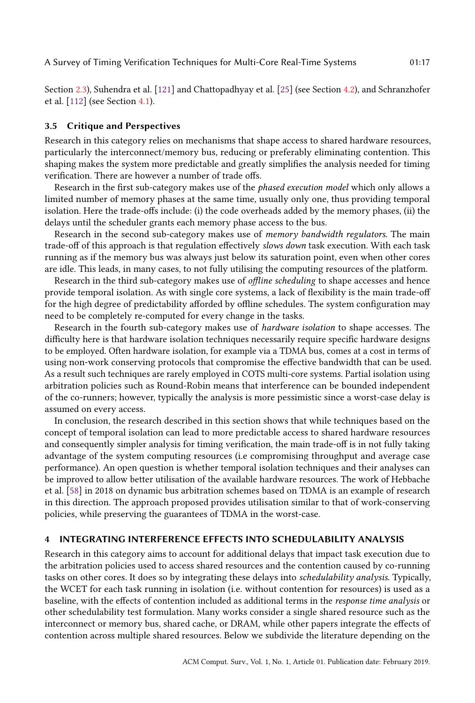Section 2.3), Suhendra et al. [121] and Chattopadhyay et al. [25] (see Section 4.2), and Schranzhofer et al. [112] (see Section 4.1).

#### 3.5 Critique and Perspectives

Research in this category relies on mechanisms that shape access to shared hardware resources, particularly the interconnect/memory bus, reducing or preferably eliminating contention. This shaping makes the system more predictable and greatly simplifies the analysis needed for timing verification. There are however a number of trade offs.

Research in the first sub-category makes use of the phased execution model which only allows a limited number of memory phases at the same time, usually only one, thus providing temporal isolation. Here the trade-offs include: (i) the code overheads added by the memory phases, (ii) the delays until the scheduler grants each memory phase access to the bus.

Research in the second sub-category makes use of memory bandwidth regulators. The main trade-off of this approach is that regulation effectively slows down task execution. With each task running as if the memory bus was always just below its saturation point, even when other cores are idle. This leads, in many cases, to not fully utilising the computing resources of the platform.

Research in the third sub-category makes use of offline scheduling to shape accesses and hence provide temporal isolation. As with single core systems, a lack of flexibility is the main trade-off for the high degree of predictability afforded by offline schedules. The system configuration may need to be completely re-computed for every change in the tasks.

Research in the fourth sub-category makes use of hardware isolation to shape accesses. The difficulty here is that hardware isolation techniques necessarily require specific hardware designs to be employed. Often hardware isolation, for example via a TDMA bus, comes at a cost in terms of using non-work conserving protocols that compromise the effective bandwidth that can be used. As a result such techniques are rarely employed in COTS multi-core systems. Partial isolation using arbitration policies such as Round-Robin means that interference can be bounded independent of the co-runners; however, typically the analysis is more pessimistic since a worst-case delay is assumed on every access.

In conclusion, the research described in this section shows that while techniques based on the concept of temporal isolation can lead to more predictable access to shared hardware resources and consequently simpler analysis for timing verification, the main trade-off is in not fully taking advantage of the system computing resources (i.e compromising throughput and average case performance). An open question is whether temporal isolation techniques and their analyses can be improved to allow better utilisation of the available hardware resources. The work of Hebbache et al. [58] in 2018 on dynamic bus arbitration schemes based on TDMA is an example of research in this direction. The approach proposed provides utilisation similar to that of work-conserving policies, while preserving the guarantees of TDMA in the worst-case.

#### 4 INTEGRATING INTERFERENCE EFFECTS INTO SCHEDULABILITY ANALYSIS

Research in this category aims to account for additional delays that impact task execution due to the arbitration policies used to access shared resources and the contention caused by co-running tasks on other cores. It does so by integrating these delays into schedulability analysis. Typically, the WCET for each task running in isolation (i.e. without contention for resources) is used as a baseline, with the effects of contention included as additional terms in the response time analysis or other schedulability test formulation. Many works consider a single shared resource such as the interconnect or memory bus, shared cache, or DRAM, while other papers integrate the effects of contention across multiple shared resources. Below we subdivide the literature depending on the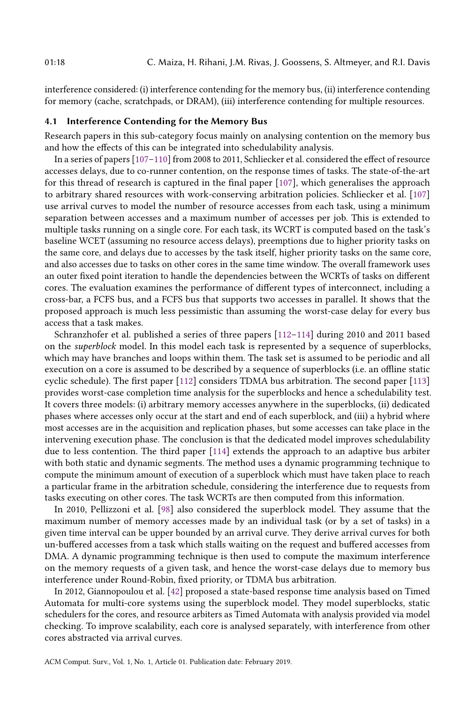interference considered: (i) interference contending for the memory bus, (ii) interference contending for memory (cache, scratchpads, or DRAM), (iii) interference contending for multiple resources.

#### 4.1 Interference Contending for the Memory Bus

Research papers in this sub-category focus mainly on analysing contention on the memory bus and how the effects of this can be integrated into schedulability analysis.

In a series of papers [107–110] from 2008 to 2011, Schliecker et al. considered the effect of resource accesses delays, due to co-runner contention, on the response times of tasks. The state-of-the-art for this thread of research is captured in the final paper [107], which generalises the approach to arbitrary shared resources with work-conserving arbitration policies. Schliecker et al. [107] use arrival curves to model the number of resource accesses from each task, using a minimum separation between accesses and a maximum number of accesses per job. This is extended to multiple tasks running on a single core. For each task, its WCRT is computed based on the task's baseline WCET (assuming no resource access delays), preemptions due to higher priority tasks on the same core, and delays due to accesses by the task itself, higher priority tasks on the same core, and also accesses due to tasks on other cores in the same time window. The overall framework uses an outer fixed point iteration to handle the dependencies between the WCRTs of tasks on different cores. The evaluation examines the performance of different types of interconnect, including a cross-bar, a FCFS bus, and a FCFS bus that supports two accesses in parallel. It shows that the proposed approach is much less pessimistic than assuming the worst-case delay for every bus access that a task makes.

Schranzhofer et al. published a series of three papers [112–114] during 2010 and 2011 based on the superblock model. In this model each task is represented by a sequence of superblocks, which may have branches and loops within them. The task set is assumed to be periodic and all execution on a core is assumed to be described by a sequence of superblocks (i.e. an offline static cyclic schedule). The first paper [112] considers TDMA bus arbitration. The second paper [113] provides worst-case completion time analysis for the superblocks and hence a schedulability test. It covers three models: (i) arbitrary memory accesses anywhere in the superblocks, (ii) dedicated phases where accesses only occur at the start and end of each superblock, and (iii) a hybrid where most accesses are in the acquisition and replication phases, but some accesses can take place in the intervening execution phase. The conclusion is that the dedicated model improves schedulability due to less contention. The third paper [114] extends the approach to an adaptive bus arbiter with both static and dynamic segments. The method uses a dynamic programming technique to compute the minimum amount of execution of a superblock which must have taken place to reach a particular frame in the arbitration schedule, considering the interference due to requests from tasks executing on other cores. The task WCRTs are then computed from this information.

In 2010, Pellizzoni et al. [98] also considered the superblock model. They assume that the maximum number of memory accesses made by an individual task (or by a set of tasks) in a given time interval can be upper bounded by an arrival curve. They derive arrival curves for both un-buffered accesses from a task which stalls waiting on the request and buffered accesses from DMA. A dynamic programming technique is then used to compute the maximum interference on the memory requests of a given task, and hence the worst-case delays due to memory bus interference under Round-Robin, fixed priority, or TDMA bus arbitration.

In 2012, Giannopoulou et al. [42] proposed a state-based response time analysis based on Timed Automata for multi-core systems using the superblock model. They model superblocks, static schedulers for the cores, and resource arbiters as Timed Automata with analysis provided via model checking. To improve scalability, each core is analysed separately, with interference from other cores abstracted via arrival curves.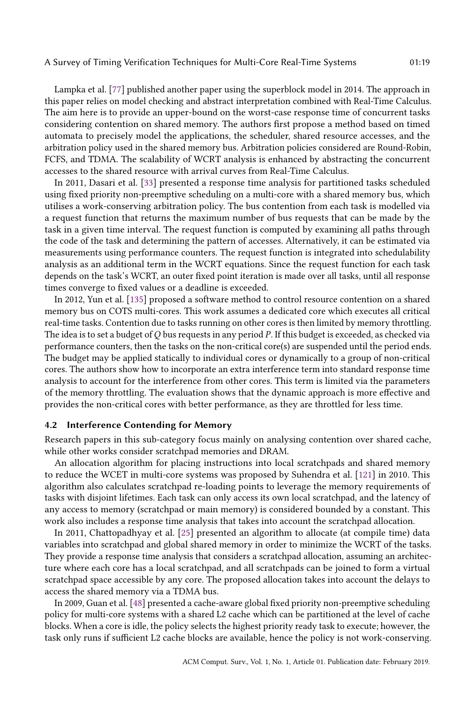Lampka et al. [77] published another paper using the superblock model in 2014. The approach in this paper relies on model checking and abstract interpretation combined with Real-Time Calculus. The aim here is to provide an upper-bound on the worst-case response time of concurrent tasks considering contention on shared memory. The authors first propose a method based on timed automata to precisely model the applications, the scheduler, shared resource accesses, and the arbitration policy used in the shared memory bus. Arbitration policies considered are Round-Robin, FCFS, and TDMA. The scalability of WCRT analysis is enhanced by abstracting the concurrent accesses to the shared resource with arrival curves from Real-Time Calculus.

In 2011, Dasari et al. [33] presented a response time analysis for partitioned tasks scheduled using fixed priority non-preemptive scheduling on a multi-core with a shared memory bus, which utilises a work-conserving arbitration policy. The bus contention from each task is modelled via a request function that returns the maximum number of bus requests that can be made by the task in a given time interval. The request function is computed by examining all paths through the code of the task and determining the pattern of accesses. Alternatively, it can be estimated via measurements using performance counters. The request function is integrated into schedulability analysis as an additional term in the WCRT equations. Since the request function for each task depends on the task's WCRT, an outer fixed point iteration is made over all tasks, until all response times converge to fixed values or a deadline is exceeded.

In 2012, Yun et al. [135] proposed a software method to control resource contention on a shared memory bus on COTS multi-cores. This work assumes a dedicated core which executes all critical real-time tasks. Contention due to tasks running on other cores is then limited by memory throttling. The idea is to set a budget of  $Q$  bus requests in any period  $P$ . If this budget is exceeded, as checked via performance counters, then the tasks on the non-critical core(s) are suspended until the period ends. The budget may be applied statically to individual cores or dynamically to a group of non-critical cores. The authors show how to incorporate an extra interference term into standard response time analysis to account for the interference from other cores. This term is limited via the parameters of the memory throttling. The evaluation shows that the dynamic approach is more effective and provides the non-critical cores with better performance, as they are throttled for less time.

# 4.2 Interference Contending for Memory

Research papers in this sub-category focus mainly on analysing contention over shared cache, while other works consider scratchpad memories and DRAM.

An allocation algorithm for placing instructions into local scratchpads and shared memory to reduce the WCET in multi-core systems was proposed by Suhendra et al. [121] in 2010. This algorithm also calculates scratchpad re-loading points to leverage the memory requirements of tasks with disjoint lifetimes. Each task can only access its own local scratchpad, and the latency of any access to memory (scratchpad or main memory) is considered bounded by a constant. This work also includes a response time analysis that takes into account the scratchpad allocation.

In 2011, Chattopadhyay et al. [25] presented an algorithm to allocate (at compile time) data variables into scratchpad and global shared memory in order to minimize the WCRT of the tasks. They provide a response time analysis that considers a scratchpad allocation, assuming an architecture where each core has a local scratchpad, and all scratchpads can be joined to form a virtual scratchpad space accessible by any core. The proposed allocation takes into account the delays to access the shared memory via a TDMA bus.

In 2009, Guan et al. [48] presented a cache-aware global fixed priority non-preemptive scheduling policy for multi-core systems with a shared L2 cache which can be partitioned at the level of cache blocks. When a core is idle, the policy selects the highest priority ready task to execute; however, the task only runs if sufficient L2 cache blocks are available, hence the policy is not work-conserving.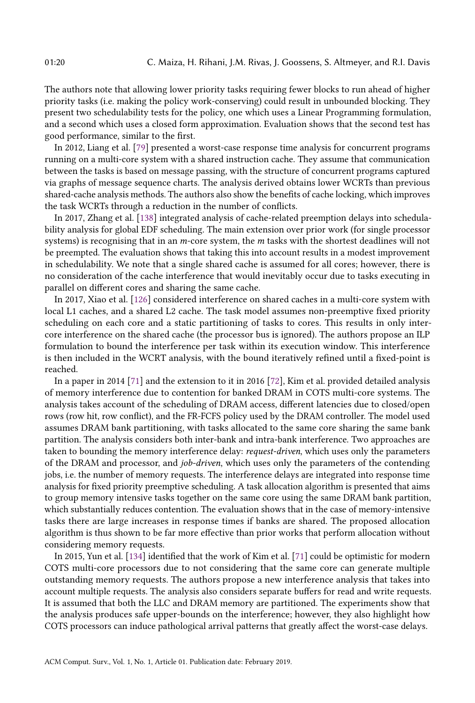The authors note that allowing lower priority tasks requiring fewer blocks to run ahead of higher priority tasks (i.e. making the policy work-conserving) could result in unbounded blocking. They present two schedulability tests for the policy, one which uses a Linear Programming formulation, and a second which uses a closed form approximation. Evaluation shows that the second test has good performance, similar to the first.

In 2012, Liang et al. [79] presented a worst-case response time analysis for concurrent programs running on a multi-core system with a shared instruction cache. They assume that communication between the tasks is based on message passing, with the structure of concurrent programs captured via graphs of message sequence charts. The analysis derived obtains lower WCRTs than previous shared-cache analysis methods. The authors also show the benefits of cache locking, which improves the task WCRTs through a reduction in the number of conflicts.

In 2017, Zhang et al. [138] integrated analysis of cache-related preemption delays into schedulability analysis for global EDF scheduling. The main extension over prior work (for single processor systems) is recognising that in an  $m$ -core system, the  $m$  tasks with the shortest deadlines will not be preempted. The evaluation shows that taking this into account results in a modest improvement in schedulability. We note that a single shared cache is assumed for all cores; however, there is no consideration of the cache interference that would inevitably occur due to tasks executing in parallel on different cores and sharing the same cache.

In 2017, Xiao et al. [126] considered interference on shared caches in a multi-core system with local L1 caches, and a shared L2 cache. The task model assumes non-preemptive fixed priority scheduling on each core and a static partitioning of tasks to cores. This results in only intercore interference on the shared cache (the processor bus is ignored). The authors propose an ILP formulation to bound the interference per task within its execution window. This interference is then included in the WCRT analysis, with the bound iteratively refined until a fixed-point is reached.

In a paper in 2014 [71] and the extension to it in 2016 [72], Kim et al. provided detailed analysis of memory interference due to contention for banked DRAM in COTS multi-core systems. The analysis takes account of the scheduling of DRAM access, different latencies due to closed/open rows (row hit, row conflict), and the FR-FCFS policy used by the DRAM controller. The model used assumes DRAM bank partitioning, with tasks allocated to the same core sharing the same bank partition. The analysis considers both inter-bank and intra-bank interference. Two approaches are taken to bounding the memory interference delay: request-driven, which uses only the parameters of the DRAM and processor, and job-driven, which uses only the parameters of the contending jobs, i.e. the number of memory requests. The interference delays are integrated into response time analysis for fixed priority preemptive scheduling. A task allocation algorithm is presented that aims to group memory intensive tasks together on the same core using the same DRAM bank partition, which substantially reduces contention. The evaluation shows that in the case of memory-intensive tasks there are large increases in response times if banks are shared. The proposed allocation algorithm is thus shown to be far more effective than prior works that perform allocation without considering memory requests.

In 2015, Yun et al. [134] identified that the work of Kim et al. [71] could be optimistic for modern COTS multi-core processors due to not considering that the same core can generate multiple outstanding memory requests. The authors propose a new interference analysis that takes into account multiple requests. The analysis also considers separate buffers for read and write requests. It is assumed that both the LLC and DRAM memory are partitioned. The experiments show that the analysis produces safe upper-bounds on the interference; however, they also highlight how COTS processors can induce pathological arrival patterns that greatly affect the worst-case delays.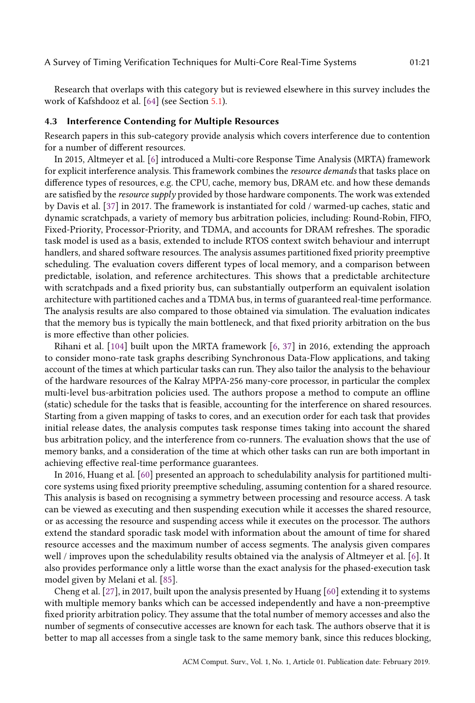Research that overlaps with this category but is reviewed elsewhere in this survey includes the work of Kafshdooz et al. [64] (see Section 5.1).

#### 4.3 Interference Contending for Multiple Resources

Research papers in this sub-category provide analysis which covers interference due to contention for a number of different resources.

In 2015, Altmeyer et al. [6] introduced a Multi-core Response Time Analysis (MRTA) framework for explicit interference analysis. This framework combines the resource demands that tasks place on difference types of resources, e.g. the CPU, cache, memory bus, DRAM etc. and how these demands are satisfied by the *resource supply* provided by those hardware components. The work was extended by Davis et al. [37] in 2017. The framework is instantiated for cold / warmed-up caches, static and dynamic scratchpads, a variety of memory bus arbitration policies, including: Round-Robin, FIFO, Fixed-Priority, Processor-Priority, and TDMA, and accounts for DRAM refreshes. The sporadic task model is used as a basis, extended to include RTOS context switch behaviour and interrupt handlers, and shared software resources. The analysis assumes partitioned fixed priority preemptive scheduling. The evaluation covers different types of local memory, and a comparison between predictable, isolation, and reference architectures. This shows that a predictable architecture with scratchpads and a fixed priority bus, can substantially outperform an equivalent isolation architecture with partitioned caches and a TDMA bus, in terms of guaranteed real-time performance. The analysis results are also compared to those obtained via simulation. The evaluation indicates that the memory bus is typically the main bottleneck, and that fixed priority arbitration on the bus is more effective than other policies.

Rihani et al. [104] built upon the MRTA framework [6, 37] in 2016, extending the approach to consider mono-rate task graphs describing Synchronous Data-Flow applications, and taking account of the times at which particular tasks can run. They also tailor the analysis to the behaviour of the hardware resources of the Kalray MPPA-256 many-core processor, in particular the complex multi-level bus-arbitration policies used. The authors propose a method to compute an offline (static) schedule for the tasks that is feasible, accounting for the interference on shared resources. Starting from a given mapping of tasks to cores, and an execution order for each task that provides initial release dates, the analysis computes task response times taking into account the shared bus arbitration policy, and the interference from co-runners. The evaluation shows that the use of memory banks, and a consideration of the time at which other tasks can run are both important in achieving effective real-time performance guarantees.

In 2016, Huang et al. [60] presented an approach to schedulability analysis for partitioned multicore systems using fixed priority preemptive scheduling, assuming contention for a shared resource. This analysis is based on recognising a symmetry between processing and resource access. A task can be viewed as executing and then suspending execution while it accesses the shared resource, or as accessing the resource and suspending access while it executes on the processor. The authors extend the standard sporadic task model with information about the amount of time for shared resource accesses and the maximum number of access segments. The analysis given compares well / improves upon the schedulability results obtained via the analysis of Altmeyer et al. [6]. It also provides performance only a little worse than the exact analysis for the phased-execution task model given by Melani et al. [85].

Cheng et al. [27], in 2017, built upon the analysis presented by Huang [60] extending it to systems with multiple memory banks which can be accessed independently and have a non-preemptive fixed priority arbitration policy. They assume that the total number of memory accesses and also the number of segments of consecutive accesses are known for each task. The authors observe that it is better to map all accesses from a single task to the same memory bank, since this reduces blocking,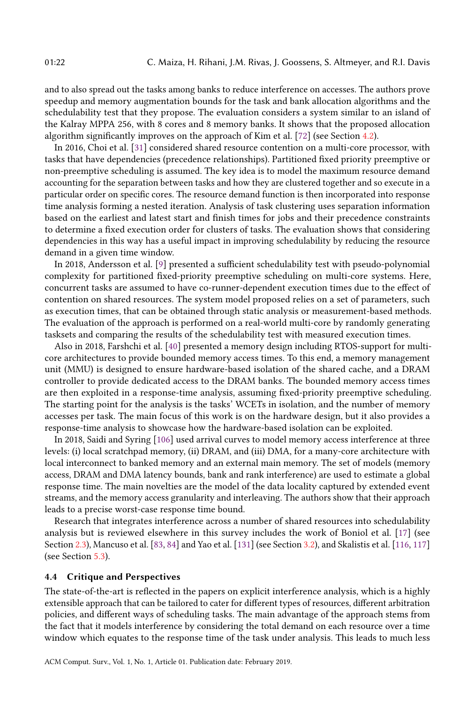and to also spread out the tasks among banks to reduce interference on accesses. The authors prove speedup and memory augmentation bounds for the task and bank allocation algorithms and the schedulability test that they propose. The evaluation considers a system similar to an island of the Kalray MPPA 256, with 8 cores and 8 memory banks. It shows that the proposed allocation algorithm significantly improves on the approach of Kim et al. [72] (see Section 4.2).

In 2016, Choi et al. [31] considered shared resource contention on a multi-core processor, with tasks that have dependencies (precedence relationships). Partitioned fixed priority preemptive or non-preemptive scheduling is assumed. The key idea is to model the maximum resource demand accounting for the separation between tasks and how they are clustered together and so execute in a particular order on specific cores. The resource demand function is then incorporated into response time analysis forming a nested iteration. Analysis of task clustering uses separation information based on the earliest and latest start and finish times for jobs and their precedence constraints to determine a fixed execution order for clusters of tasks. The evaluation shows that considering dependencies in this way has a useful impact in improving schedulability by reducing the resource demand in a given time window.

In 2018, Andersson et al. [9] presented a sufficient schedulability test with pseudo-polynomial complexity for partitioned fixed-priority preemptive scheduling on multi-core systems. Here, concurrent tasks are assumed to have co-runner-dependent execution times due to the effect of contention on shared resources. The system model proposed relies on a set of parameters, such as execution times, that can be obtained through static analysis or measurement-based methods. The evaluation of the approach is performed on a real-world multi-core by randomly generating tasksets and comparing the results of the schedulability test with measured execution times.

Also in 2018, Farshchi et al. [40] presented a memory design including RTOS-support for multicore architectures to provide bounded memory access times. To this end, a memory management unit (MMU) is designed to ensure hardware-based isolation of the shared cache, and a DRAM controller to provide dedicated access to the DRAM banks. The bounded memory access times are then exploited in a response-time analysis, assuming fixed-priority preemptive scheduling. The starting point for the analysis is the tasks' WCETs in isolation, and the number of memory accesses per task. The main focus of this work is on the hardware design, but it also provides a response-time analysis to showcase how the hardware-based isolation can be exploited.

In 2018, Saidi and Syring [106] used arrival curves to model memory access interference at three levels: (i) local scratchpad memory, (ii) DRAM, and (iii) DMA, for a many-core architecture with local interconnect to banked memory and an external main memory. The set of models (memory access, DRAM and DMA latency bounds, bank and rank interference) are used to estimate a global response time. The main novelties are the model of the data locality captured by extended event streams, and the memory access granularity and interleaving. The authors show that their approach leads to a precise worst-case response time bound.

Research that integrates interference across a number of shared resources into schedulability analysis but is reviewed elsewhere in this survey includes the work of Boniol et al. [17] (see Section 2.3), Mancuso et al. [83, 84] and Yao et al. [131] (see Section 3.2), and Skalistis et al. [116, 117] (see Section 5.3).

# 4.4 Critique and Perspectives

The state-of-the-art is reflected in the papers on explicit interference analysis, which is a highly extensible approach that can be tailored to cater for different types of resources, different arbitration policies, and different ways of scheduling tasks. The main advantage of the approach stems from the fact that it models interference by considering the total demand on each resource over a time window which equates to the response time of the task under analysis. This leads to much less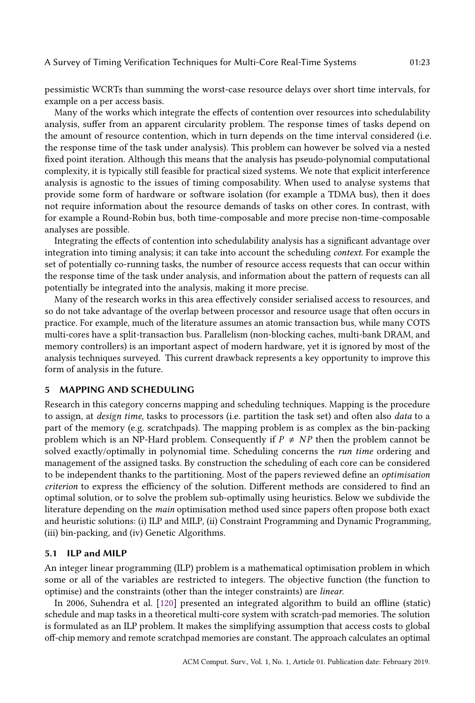pessimistic WCRTs than summing the worst-case resource delays over short time intervals, for example on a per access basis.

Many of the works which integrate the effects of contention over resources into schedulability analysis, suffer from an apparent circularity problem. The response times of tasks depend on the amount of resource contention, which in turn depends on the time interval considered (i.e. the response time of the task under analysis). This problem can however be solved via a nested fixed point iteration. Although this means that the analysis has pseudo-polynomial computational complexity, it is typically still feasible for practical sized systems. We note that explicit interference analysis is agnostic to the issues of timing composability. When used to analyse systems that provide some form of hardware or software isolation (for example a TDMA bus), then it does not require information about the resource demands of tasks on other cores. In contrast, with for example a Round-Robin bus, both time-composable and more precise non-time-composable analyses are possible.

Integrating the effects of contention into schedulability analysis has a significant advantage over integration into timing analysis; it can take into account the scheduling context. For example the set of potentially co-running tasks, the number of resource access requests that can occur within the response time of the task under analysis, and information about the pattern of requests can all potentially be integrated into the analysis, making it more precise.

Many of the research works in this area effectively consider serialised access to resources, and so do not take advantage of the overlap between processor and resource usage that often occurs in practice. For example, much of the literature assumes an atomic transaction bus, while many COTS multi-cores have a split-transaction bus. Parallelism (non-blocking caches, multi-bank DRAM, and memory controllers) is an important aspect of modern hardware, yet it is ignored by most of the analysis techniques surveyed. This current drawback represents a key opportunity to improve this form of analysis in the future.

#### 5 MAPPING AND SCHEDULING

Research in this category concerns mapping and scheduling techniques. Mapping is the procedure to assign, at design time, tasks to processors (i.e. partition the task set) and often also data to a part of the memory (e.g. scratchpads). The mapping problem is as complex as the bin-packing problem which is an NP-Hard problem. Consequently if  $P \neq NP$  then the problem cannot be solved exactly/optimally in polynomial time. Scheduling concerns the *run time* ordering and management of the assigned tasks. By construction the scheduling of each core can be considered to be independent thanks to the partitioning. Most of the papers reviewed define an optimisation criterion to express the efficiency of the solution. Different methods are considered to find an optimal solution, or to solve the problem sub-optimally using heuristics. Below we subdivide the literature depending on the main optimisation method used since papers often propose both exact and heuristic solutions: (i) ILP and MILP, (ii) Constraint Programming and Dynamic Programming, (iii) bin-packing, and (iv) Genetic Algorithms.

# 5.1 ILP and MILP

An integer linear programming (ILP) problem is a mathematical optimisation problem in which some or all of the variables are restricted to integers. The objective function (the function to optimise) and the constraints (other than the integer constraints) are linear.

In 2006, Suhendra et al. [120] presented an integrated algorithm to build an offline (static) schedule and map tasks in a theoretical multi-core system with scratch-pad memories. The solution is formulated as an ILP problem. It makes the simplifying assumption that access costs to global off-chip memory and remote scratchpad memories are constant. The approach calculates an optimal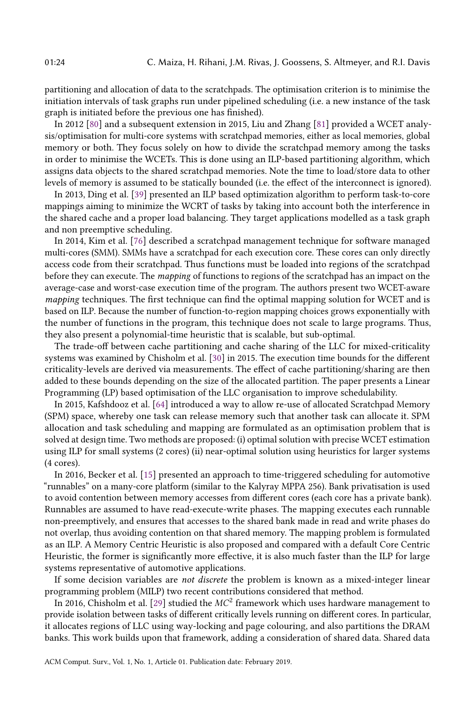partitioning and allocation of data to the scratchpads. The optimisation criterion is to minimise the initiation intervals of task graphs run under pipelined scheduling (i.e. a new instance of the task graph is initiated before the previous one has finished).

In 2012 [80] and a subsequent extension in 2015, Liu and Zhang [81] provided a WCET analysis/optimisation for multi-core systems with scratchpad memories, either as local memories, global memory or both. They focus solely on how to divide the scratchpad memory among the tasks in order to minimise the WCETs. This is done using an ILP-based partitioning algorithm, which assigns data objects to the shared scratchpad memories. Note the time to load/store data to other levels of memory is assumed to be statically bounded (i.e. the effect of the interconnect is ignored).

In 2013, Ding et al. [39] presented an ILP based optimization algorithm to perform task-to-core mappings aiming to minimize the WCRT of tasks by taking into account both the interference in the shared cache and a proper load balancing. They target applications modelled as a task graph and non preemptive scheduling.

In 2014, Kim et al. [76] described a scratchpad management technique for software managed multi-cores (SMM). SMMs have a scratchpad for each execution core. These cores can only directly access code from their scratchpad. Thus functions must be loaded into regions of the scratchpad before they can execute. The *mapping* of functions to regions of the scratchpad has an impact on the average-case and worst-case execution time of the program. The authors present two WCET-aware *mapping techniques.* The first technique can find the optimal mapping solution for WCET and is based on ILP. Because the number of function-to-region mapping choices grows exponentially with the number of functions in the program, this technique does not scale to large programs. Thus, they also present a polynomial-time heuristic that is scalable, but sub-optimal.

The trade-off between cache partitioning and cache sharing of the LLC for mixed-criticality systems was examined by Chisholm et al. [30] in 2015. The execution time bounds for the different criticality-levels are derived via measurements. The effect of cache partitioning/sharing are then added to these bounds depending on the size of the allocated partition. The paper presents a Linear Programming (LP) based optimisation of the LLC organisation to improve schedulability.

In 2015, Kafshdooz et al. [64] introduced a way to allow re-use of allocated Scratchpad Memory (SPM) space, whereby one task can release memory such that another task can allocate it. SPM allocation and task scheduling and mapping are formulated as an optimisation problem that is solved at design time. Two methods are proposed: (i) optimal solution with precise WCET estimation using ILP for small systems (2 cores) (ii) near-optimal solution using heuristics for larger systems (4 cores).

In 2016, Becker et al. [15] presented an approach to time-triggered scheduling for automotive łrunnablesž on a many-core platform (similar to the Kalyray MPPA 256). Bank privatisation is used to avoid contention between memory accesses from different cores (each core has a private bank). Runnables are assumed to have read-execute-write phases. The mapping executes each runnable non-preemptively, and ensures that accesses to the shared bank made in read and write phases do not overlap, thus avoiding contention on that shared memory. The mapping problem is formulated as an ILP. A Memory Centric Heuristic is also proposed and compared with a default Core Centric Heuristic, the former is significantly more effective, it is also much faster than the ILP for large systems representative of automotive applications.

If some decision variables are not discrete the problem is known as a mixed-integer linear programming problem (MILP) two recent contributions considered that method.

In 2016, Chisholm et al. [29] studied the  $MC^2$  framework which uses hardware management to provide isolation between tasks of different critically levels running on different cores. In particular, it allocates regions of LLC using way-locking and page colouring, and also partitions the DRAM banks. This work builds upon that framework, adding a consideration of shared data. Shared data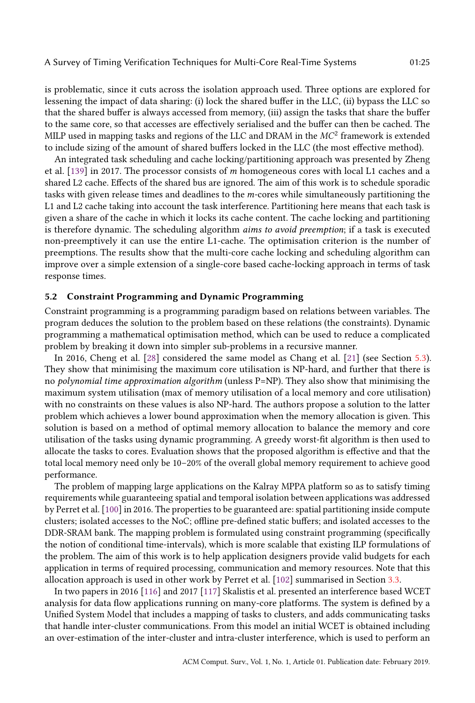is problematic, since it cuts across the isolation approach used. Three options are explored for lessening the impact of data sharing: (i) lock the shared buffer in the LLC, (ii) bypass the LLC so that the shared buffer is always accessed from memory, (iii) assign the tasks that share the buffer to the same core, so that accesses are effectively serialised and the buffer can then be cached. The MILP used in mapping tasks and regions of the LLC and DRAM in the  $MC^2$  framework is extended to include sizing of the amount of shared buffers locked in the LLC (the most effective method).

An integrated task scheduling and cache locking/partitioning approach was presented by Zheng et al. [139] in 2017. The processor consists of m homogeneous cores with local L1 caches and a shared L2 cache. Effects of the shared bus are ignored. The aim of this work is to schedule sporadic tasks with given release times and deadlines to the m-cores while simultaneously partitioning the L1 and L2 cache taking into account the task interference. Partitioning here means that each task is given a share of the cache in which it locks its cache content. The cache locking and partitioning is therefore dynamic. The scheduling algorithm *aims to avoid preemption*; if a task is executed non-preemptively it can use the entire L1-cache. The optimisation criterion is the number of preemptions. The results show that the multi-core cache locking and scheduling algorithm can improve over a simple extension of a single-core based cache-locking approach in terms of task response times.

#### 5.2 Constraint Programming and Dynamic Programming

Constraint programming is a programming paradigm based on relations between variables. The program deduces the solution to the problem based on these relations (the constraints). Dynamic programming a mathematical optimisation method, which can be used to reduce a complicated problem by breaking it down into simpler sub-problems in a recursive manner.

In 2016, Cheng et al. [28] considered the same model as Chang et al. [21] (see Section 5.3). They show that minimising the maximum core utilisation is NP-hard, and further that there is no polynomial time approximation algorithm (unless P=NP). They also show that minimising the maximum system utilisation (max of memory utilisation of a local memory and core utilisation) with no constraints on these values is also NP-hard. The authors propose a solution to the latter problem which achieves a lower bound approximation when the memory allocation is given. This solution is based on a method of optimal memory allocation to balance the memory and core utilisation of the tasks using dynamic programming. A greedy worst-fit algorithm is then used to allocate the tasks to cores. Evaluation shows that the proposed algorithm is effective and that the total local memory need only be 10–20% of the overall global memory requirement to achieve good performance.

The problem of mapping large applications on the Kalray MPPA platform so as to satisfy timing requirements while guaranteeing spatial and temporal isolation between applications was addressed by Perret et al. [100] in 2016. The properties to be guaranteed are: spatial partitioning inside compute clusters; isolated accesses to the NoC; offline pre-defined static buffers; and isolated accesses to the DDR-SRAM bank. The mapping problem is formulated using constraint programming (specifically the notion of conditional time-intervals), which is more scalable that existing ILP formulations of the problem. The aim of this work is to help application designers provide valid budgets for each application in terms of required processing, communication and memory resources. Note that this allocation approach is used in other work by Perret et al. [102] summarised in Section 3.3.

In two papers in 2016 [116] and 2017 [117] Skalistis et al. presented an interference based WCET analysis for data flow applications running on many-core platforms. The system is defined by a Unified System Model that includes a mapping of tasks to clusters, and adds communicating tasks that handle inter-cluster communications. From this model an initial WCET is obtained including an over-estimation of the inter-cluster and intra-cluster interference, which is used to perform an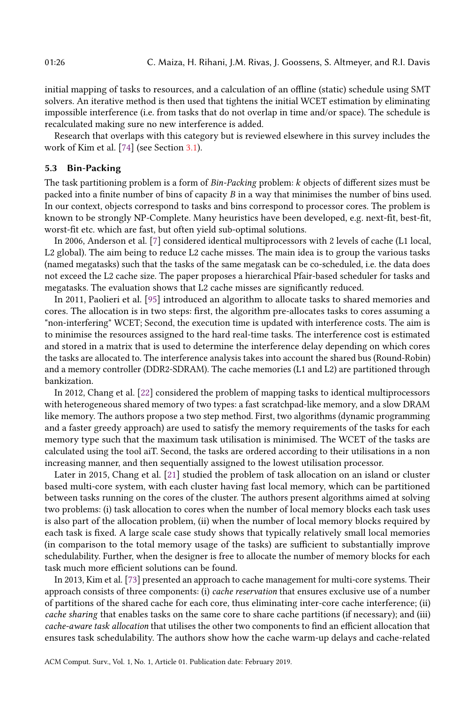initial mapping of tasks to resources, and a calculation of an offline (static) schedule using SMT solvers. An iterative method is then used that tightens the initial WCET estimation by eliminating impossible interference (i.e. from tasks that do not overlap in time and/or space). The schedule is recalculated making sure no new interference is added.

Research that overlaps with this category but is reviewed elsewhere in this survey includes the work of Kim et al. [74] (see Section 3.1).

#### 5.3 Bin-Packing

The task partitioning problem is a form of Bin-Packing problem: k objects of different sizes must be packed into a finite number of bins of capacity B in a way that minimises the number of bins used. In our context, objects correspond to tasks and bins correspond to processor cores. The problem is known to be strongly NP-Complete. Many heuristics have been developed, e.g. next-fit, best-fit, worst-fit etc. which are fast, but often yield sub-optimal solutions.

In 2006, Anderson et al. [7] considered identical multiprocessors with 2 levels of cache (L1 local, L2 global). The aim being to reduce L2 cache misses. The main idea is to group the various tasks (named megatasks) such that the tasks of the same megatask can be co-scheduled, i.e. the data does not exceed the L2 cache size. The paper proposes a hierarchical Pfair-based scheduler for tasks and megatasks. The evaluation shows that L2 cache misses are significantly reduced.

In 2011, Paolieri et al. [95] introduced an algorithm to allocate tasks to shared memories and cores. The allocation is in two steps: first, the algorithm pre-allocates tasks to cores assuming a "non-interfering" WCET; Second, the execution time is updated with interference costs. The aim is to minimise the resources assigned to the hard real-time tasks. The interference cost is estimated and stored in a matrix that is used to determine the interference delay depending on which cores the tasks are allocated to. The interference analysis takes into account the shared bus (Round-Robin) and a memory controller (DDR2-SDRAM). The cache memories (L1 and L2) are partitioned through bankization.

In 2012, Chang et al. [22] considered the problem of mapping tasks to identical multiprocessors with heterogeneous shared memory of two types: a fast scratchpad-like memory, and a slow DRAM like memory. The authors propose a two step method. First, two algorithms (dynamic programming and a faster greedy approach) are used to satisfy the memory requirements of the tasks for each memory type such that the maximum task utilisation is minimised. The WCET of the tasks are calculated using the tool aiT. Second, the tasks are ordered according to their utilisations in a non increasing manner, and then sequentially assigned to the lowest utilisation processor.

Later in 2015, Chang et al. [21] studied the problem of task allocation on an island or cluster based multi-core system, with each cluster having fast local memory, which can be partitioned between tasks running on the cores of the cluster. The authors present algorithms aimed at solving two problems: (i) task allocation to cores when the number of local memory blocks each task uses is also part of the allocation problem, (ii) when the number of local memory blocks required by each task is fixed. A large scale case study shows that typically relatively small local memories (in comparison to the total memory usage of the tasks) are sufficient to substantially improve schedulability. Further, when the designer is free to allocate the number of memory blocks for each task much more efficient solutions can be found.

In 2013, Kim et al. [73] presented an approach to cache management for multi-core systems. Their approach consists of three components: (i) *cache reservation* that ensures exclusive use of a number of partitions of the shared cache for each core, thus eliminating inter-core cache interference; (ii) cache sharing that enables tasks on the same core to share cache partitions (if necessary); and (iii) cache-aware task allocation that utilises the other two components to find an efficient allocation that ensures task schedulability. The authors show how the cache warm-up delays and cache-related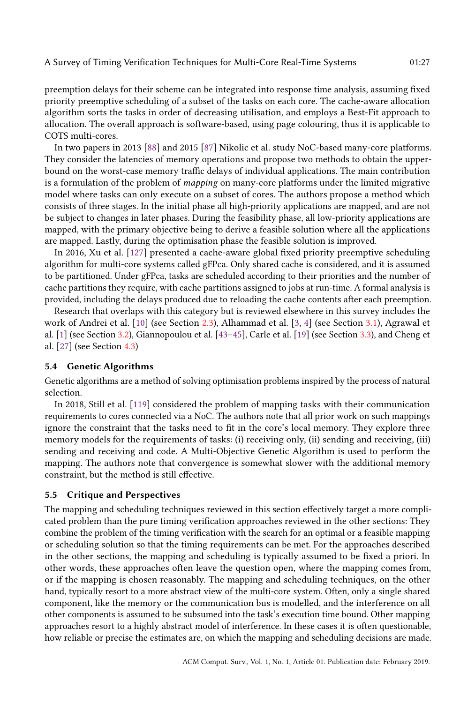preemption delays for their scheme can be integrated into response time analysis, assuming fixed priority preemptive scheduling of a subset of the tasks on each core. The cache-aware allocation algorithm sorts the tasks in order of decreasing utilisation, and employs a Best-Fit approach to allocation. The overall approach is software-based, using page colouring, thus it is applicable to COTS multi-cores.

In two papers in 2013 [88] and 2015 [87] Nikolic et al. study NoC-based many-core platforms. They consider the latencies of memory operations and propose two methods to obtain the upperbound on the worst-case memory traffic delays of individual applications. The main contribution is a formulation of the problem of mapping on many-core platforms under the limited migrative model where tasks can only execute on a subset of cores. The authors propose a method which consists of three stages. In the initial phase all high-priority applications are mapped, and are not be subject to changes in later phases. During the feasibility phase, all low-priority applications are mapped, with the primary objective being to derive a feasible solution where all the applications are mapped. Lastly, during the optimisation phase the feasible solution is improved.

In 2016, Xu et al. [127] presented a cache-aware global fixed priority preemptive scheduling algorithm for multi-core systems called gFPca. Only shared cache is considered, and it is assumed to be partitioned. Under gFPca, tasks are scheduled according to their priorities and the number of cache partitions they require, with cache partitions assigned to jobs at run-time. A formal analysis is provided, including the delays produced due to reloading the cache contents after each preemption.

Research that overlaps with this category but is reviewed elsewhere in this survey includes the work of Andrei et al. [10] (see Section 2.3), Alhammad et al. [3, 4] (see Section 3.1), Agrawal et al. [1] (see Section 3.2), Giannopoulou et al. [43–45], Carle et al. [19] (see Section 3.3), and Cheng et al. [27] (see Section 4.3)

#### 5.4 Genetic Algorithms

Genetic algorithms are a method of solving optimisation problems inspired by the process of natural selection.

In 2018, Still et al. [119] considered the problem of mapping tasks with their communication requirements to cores connected via a NoC. The authors note that all prior work on such mappings ignore the constraint that the tasks need to fit in the core's local memory. They explore three memory models for the requirements of tasks: (i) receiving only, (ii) sending and receiving, (iii) sending and receiving and code. A Multi-Objective Genetic Algorithm is used to perform the mapping. The authors note that convergence is somewhat slower with the additional memory constraint, but the method is still effective.

#### 5.5 Critique and Perspectives

The mapping and scheduling techniques reviewed in this section effectively target a more complicated problem than the pure timing verification approaches reviewed in the other sections: They combine the problem of the timing verification with the search for an optimal or a feasible mapping or scheduling solution so that the timing requirements can be met. For the approaches described in the other sections, the mapping and scheduling is typically assumed to be fixed a priori. In other words, these approaches often leave the question open, where the mapping comes from, or if the mapping is chosen reasonably. The mapping and scheduling techniques, on the other hand, typically resort to a more abstract view of the multi-core system. Often, only a single shared component, like the memory or the communication bus is modelled, and the interference on all other components is assumed to be subsumed into the task's execution time bound. Other mapping approaches resort to a highly abstract model of interference. In these cases it is often questionable, how reliable or precise the estimates are, on which the mapping and scheduling decisions are made.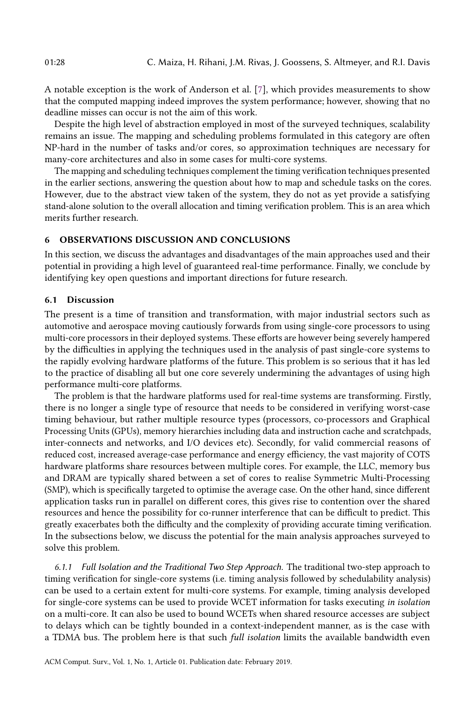A notable exception is the work of Anderson et al. [7], which provides measurements to show that the computed mapping indeed improves the system performance; however, showing that no deadline misses can occur is not the aim of this work.

Despite the high level of abstraction employed in most of the surveyed techniques, scalability remains an issue. The mapping and scheduling problems formulated in this category are often NP-hard in the number of tasks and/or cores, so approximation techniques are necessary for many-core architectures and also in some cases for multi-core systems.

The mapping and scheduling techniques complement the timing verification techniques presented in the earlier sections, answering the question about how to map and schedule tasks on the cores. However, due to the abstract view taken of the system, they do not as yet provide a satisfying stand-alone solution to the overall allocation and timing verification problem. This is an area which merits further research.

# 6 OBSERVATIONS DISCUSSION AND CONCLUSIONS

In this section, we discuss the advantages and disadvantages of the main approaches used and their potential in providing a high level of guaranteed real-time performance. Finally, we conclude by identifying key open questions and important directions for future research.

#### 6.1 Discussion

The present is a time of transition and transformation, with major industrial sectors such as automotive and aerospace moving cautiously forwards from using single-core processors to using multi-core processors in their deployed systems. These efforts are however being severely hampered by the difficulties in applying the techniques used in the analysis of past single-core systems to the rapidly evolving hardware platforms of the future. This problem is so serious that it has led to the practice of disabling all but one core severely undermining the advantages of using high performance multi-core platforms.

The problem is that the hardware platforms used for real-time systems are transforming. Firstly, there is no longer a single type of resource that needs to be considered in verifying worst-case timing behaviour, but rather multiple resource types (processors, co-processors and Graphical Processing Units (GPUs), memory hierarchies including data and instruction cache and scratchpads, inter-connects and networks, and I/O devices etc). Secondly, for valid commercial reasons of reduced cost, increased average-case performance and energy efficiency, the vast majority of COTS hardware platforms share resources between multiple cores. For example, the LLC, memory bus and DRAM are typically shared between a set of cores to realise Symmetric Multi-Processing (SMP), which is specifically targeted to optimise the average case. On the other hand, since different application tasks run in parallel on different cores, this gives rise to contention over the shared resources and hence the possibility for co-runner interference that can be difficult to predict. This greatly exacerbates both the difficulty and the complexity of providing accurate timing verification. In the subsections below, we discuss the potential for the main analysis approaches surveyed to solve this problem.

6.1.1 Full Isolation and the Traditional Two Step Approach. The traditional two-step approach to timing verification for single-core systems (i.e. timing analysis followed by schedulability analysis) can be used to a certain extent for multi-core systems. For example, timing analysis developed for single-core systems can be used to provide WCET information for tasks executing in isolation on a multi-core. It can also be used to bound WCETs when shared resource accesses are subject to delays which can be tightly bounded in a context-independent manner, as is the case with a TDMA bus. The problem here is that such full isolation limits the available bandwidth even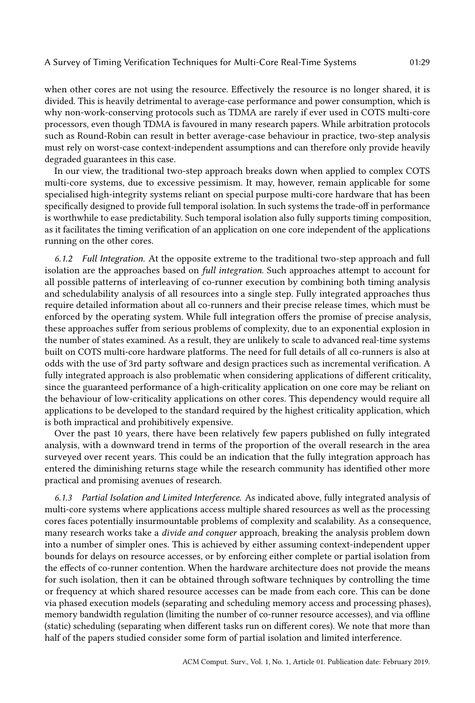when other cores are not using the resource. Effectively the resource is no longer shared, it is divided. This is heavily detrimental to average-case performance and power consumption, which is why non-work-conserving protocols such as TDMA are rarely if ever used in COTS multi-core processors, even though TDMA is favoured in many research papers. While arbitration protocols such as Round-Robin can result in better average-case behaviour in practice, two-step analysis must rely on worst-case context-independent assumptions and can therefore only provide heavily degraded guarantees in this case.

In our view, the traditional two-step approach breaks down when applied to complex COTS multi-core systems, due to excessive pessimism. It may, however, remain applicable for some specialised high-integrity systems reliant on special purpose multi-core hardware that has been specifically designed to provide full temporal isolation. In such systems the trade-off in performance is worthwhile to ease predictability. Such temporal isolation also fully supports timing composition, as it facilitates the timing verification of an application on one core independent of the applications running on the other cores.

6.1.2 Full Integration. At the opposite extreme to the traditional two-step approach and full isolation are the approaches based on full integration. Such approaches attempt to account for all possible patterns of interleaving of co-runner execution by combining both timing analysis and schedulability analysis of all resources into a single step. Fully integrated approaches thus require detailed information about all co-runners and their precise release times, which must be enforced by the operating system. While full integration offers the promise of precise analysis, these approaches suffer from serious problems of complexity, due to an exponential explosion in the number of states examined. As a result, they are unlikely to scale to advanced real-time systems built on COTS multi-core hardware platforms. The need for full details of all co-runners is also at odds with the use of 3rd party software and design practices such as incremental verification. A fully integrated approach is also problematic when considering applications of different criticality, since the guaranteed performance of a high-criticality application on one core may be reliant on the behaviour of low-criticality applications on other cores. This dependency would require all applications to be developed to the standard required by the highest criticality application, which is both impractical and prohibitively expensive.

Over the past 10 years, there have been relatively few papers published on fully integrated analysis, with a downward trend in terms of the proportion of the overall research in the area surveyed over recent years. This could be an indication that the fully integration approach has entered the diminishing returns stage while the research community has identified other more practical and promising avenues of research.

6.1.3 Partial Isolation and Limited Interference. As indicated above, fully integrated analysis of multi-core systems where applications access multiple shared resources as well as the processing cores faces potentially insurmountable problems of complexity and scalability. As a consequence, many research works take a divide and conquer approach, breaking the analysis problem down into a number of simpler ones. This is achieved by either assuming context-independent upper bounds for delays on resource accesses, or by enforcing either complete or partial isolation from the effects of co-runner contention. When the hardware architecture does not provide the means for such isolation, then it can be obtained through software techniques by controlling the time or frequency at which shared resource accesses can be made from each core. This can be done via phased execution models (separating and scheduling memory access and processing phases), memory bandwidth regulation (limiting the number of co-runner resource accesses), and via offline (static) scheduling (separating when different tasks run on different cores). We note that more than half of the papers studied consider some form of partial isolation and limited interference.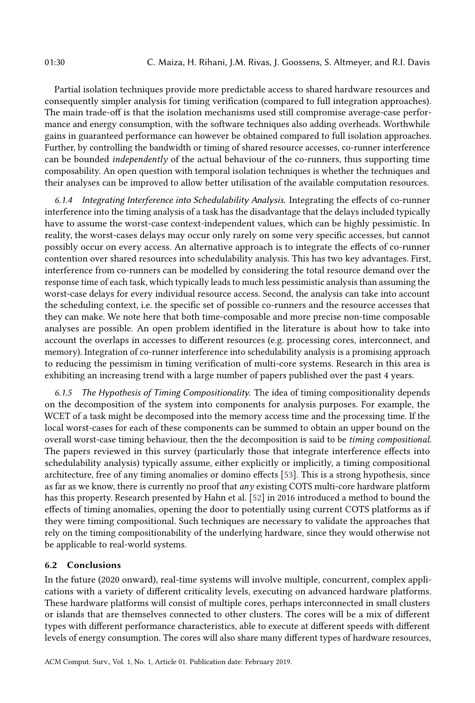Partial isolation techniques provide more predictable access to shared hardware resources and consequently simpler analysis for timing verification (compared to full integration approaches). The main trade-off is that the isolation mechanisms used still compromise average-case performance and energy consumption, with the software techniques also adding overheads. Worthwhile gains in guaranteed performance can however be obtained compared to full isolation approaches. Further, by controlling the bandwidth or timing of shared resource accesses, co-runner interference can be bounded independently of the actual behaviour of the co-runners, thus supporting time composability. An open question with temporal isolation techniques is whether the techniques and their analyses can be improved to allow better utilisation of the available computation resources.

6.1.4 Integrating Interference into Schedulability Analysis. Integrating the effects of co-runner interference into the timing analysis of a task has the disadvantage that the delays included typically have to assume the worst-case context-independent values, which can be highly pessimistic. In reality, the worst-cases delays may occur only rarely on some very specific accesses, but cannot possibly occur on every access. An alternative approach is to integrate the effects of co-runner contention over shared resources into schedulability analysis. This has two key advantages. First, interference from co-runners can be modelled by considering the total resource demand over the response time of each task, which typically leads to much less pessimistic analysis than assuming the worst-case delays for every individual resource access. Second, the analysis can take into account the scheduling context, i.e. the specific set of possible co-runners and the resource accesses that they can make. We note here that both time-composable and more precise non-time composable analyses are possible. An open problem identified in the literature is about how to take into account the overlaps in accesses to different resources (e.g. processing cores, interconnect, and memory). Integration of co-runner interference into schedulability analysis is a promising approach to reducing the pessimism in timing verification of multi-core systems. Research in this area is exhibiting an increasing trend with a large number of papers published over the past 4 years.

6.1.5 The Hypothesis of Timing Compositionality. The idea of timing compositionality depends on the decomposition of the system into components for analysis purposes. For example, the WCET of a task might be decomposed into the memory access time and the processing time. If the local worst-cases for each of these components can be summed to obtain an upper bound on the overall worst-case timing behaviour, then the the decomposition is said to be timing compositional. The papers reviewed in this survey (particularly those that integrate interference effects into schedulability analysis) typically assume, either explicitly or implicitly, a timing compositional architecture, free of any timing anomalies or domino effects [53]. This is a strong hypothesis, since as far as we know, there is currently no proof that  $any$  existing COTS multi-core hardware platform has this property. Research presented by Hahn et al. [52] in 2016 introduced a method to bound the effects of timing anomalies, opening the door to potentially using current COTS platforms as if they were timing compositional. Such techniques are necessary to validate the approaches that rely on the timing compositionability of the underlying hardware, since they would otherwise not be applicable to real-world systems.

# 6.2 Conclusions

In the future (2020 onward), real-time systems will involve multiple, concurrent, complex applications with a variety of different criticality levels, executing on advanced hardware platforms. These hardware platforms will consist of multiple cores, perhaps interconnected in small clusters or islands that are themselves connected to other clusters. The cores will be a mix of different types with different performance characteristics, able to execute at different speeds with different levels of energy consumption. The cores will also share many different types of hardware resources,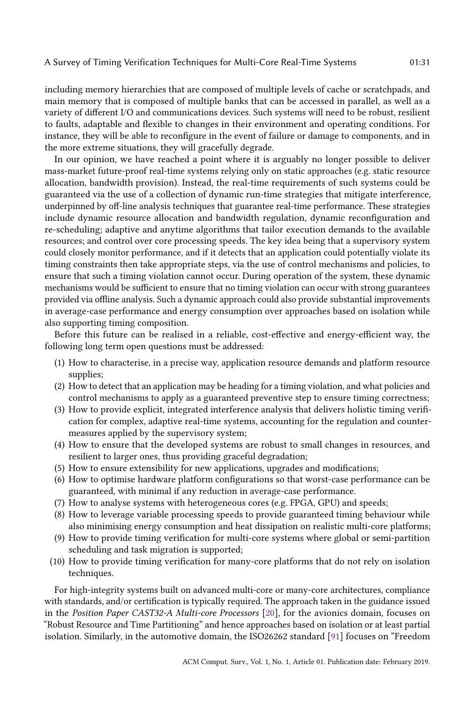including memory hierarchies that are composed of multiple levels of cache or scratchpads, and main memory that is composed of multiple banks that can be accessed in parallel, as well as a variety of different I/O and communications devices. Such systems will need to be robust, resilient to faults, adaptable and flexible to changes in their environment and operating conditions. For instance, they will be able to reconfigure in the event of failure or damage to components, and in the more extreme situations, they will gracefully degrade.

In our opinion, we have reached a point where it is arguably no longer possible to deliver mass-market future-proof real-time systems relying only on static approaches (e.g. static resource allocation, bandwidth provision). Instead, the real-time requirements of such systems could be guaranteed via the use of a collection of dynamic run-time strategies that mitigate interference, underpinned by off-line analysis techniques that guarantee real-time performance. These strategies include dynamic resource allocation and bandwidth regulation, dynamic reconfiguration and re-scheduling; adaptive and anytime algorithms that tailor execution demands to the available resources; and control over core processing speeds. The key idea being that a supervisory system could closely monitor performance, and if it detects that an application could potentially violate its timing constraints then take appropriate steps, via the use of control mechanisms and policies, to ensure that such a timing violation cannot occur. During operation of the system, these dynamic mechanisms would be sufficient to ensure that no timing violation can occur with strong guarantees provided via offline analysis. Such a dynamic approach could also provide substantial improvements in average-case performance and energy consumption over approaches based on isolation while also supporting timing composition.

Before this future can be realised in a reliable, cost-effective and energy-efficient way, the following long term open questions must be addressed:

- (1) How to characterise, in a precise way, application resource demands and platform resource supplies;
- (2) How to detect that an application may be heading for a timing violation, and what policies and control mechanisms to apply as a guaranteed preventive step to ensure timing correctness;
- (3) How to provide explicit, integrated interference analysis that delivers holistic timing verification for complex, adaptive real-time systems, accounting for the regulation and countermeasures applied by the supervisory system;
- (4) How to ensure that the developed systems are robust to small changes in resources, and resilient to larger ones, thus providing graceful degradation;
- (5) How to ensure extensibility for new applications, upgrades and modifications;
- (6) How to optimise hardware platform configurations so that worst-case performance can be guaranteed, with minimal if any reduction in average-case performance.
- (7) How to analyse systems with heterogeneous cores (e.g. FPGA, GPU) and speeds;
- (8) How to leverage variable processing speeds to provide guaranteed timing behaviour while also minimising energy consumption and heat dissipation on realistic multi-core platforms;
- (9) How to provide timing verification for multi-core systems where global or semi-partition scheduling and task migration is supported;
- (10) How to provide timing verification for many-core platforms that do not rely on isolation techniques.

For high-integrity systems built on advanced multi-core or many-core architectures, compliance with standards, and/or certification is typically required. The approach taken in the guidance issued in the Position Paper CAST32-A Multi-core Processors [20], for the avionics domain, focuses on łRobust Resource and Time Partitioningž and hence approaches based on isolation or at least partial isolation. Similarly, in the automotive domain, the ISO26262 standard [91] focuses on "Freedom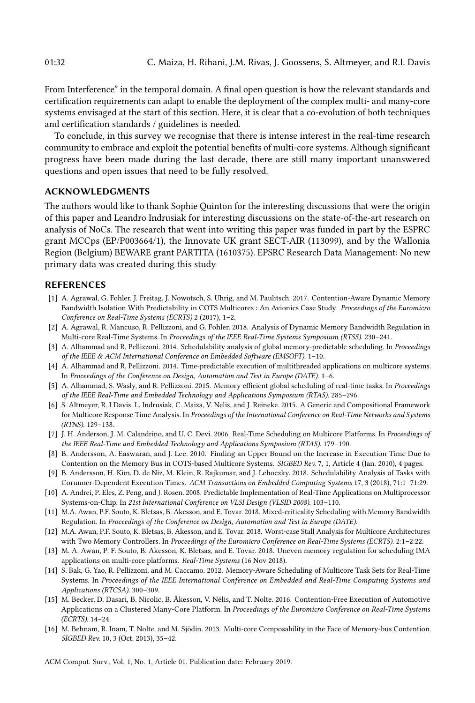From Interferencež in the temporal domain. A final open question is how the relevant standards and certification requirements can adapt to enable the deployment of the complex multi- and many-core systems envisaged at the start of this section. Here, it is clear that a co-evolution of both techniques and certification standards / guidelines is needed.

To conclude, in this survey we recognise that there is intense interest in the real-time research community to embrace and exploit the potential benefits of multi-core systems. Although significant progress have been made during the last decade, there are still many important unanswered questions and open issues that need to be fully resolved.

#### ACKNOWLEDGMENTS

The authors would like to thank Sophie Quinton for the interesting discussions that were the origin of this paper and Leandro Indrusiak for interesting discussions on the state-of-the-art research on analysis of NoCs. The research that went into writing this paper was funded in part by the ESPRC grant MCCps (EP/P003664/1), the Innovate UK grant SECT-AIR (113099), and by the Wallonia Region (Belgium) BEWARE grant PARTITA (1610375). EPSRC Research Data Management: No new primary data was created during this study

#### REFERENCES

- [1] A. Agrawal, G. Fohler, J. Freitag, J. Nowotsch, S. Uhrig, and M. Paulitsch. 2017. Contention-Aware Dynamic Memory Bandwidth Isolation With Predictability in COTS Multicores : An Avionics Case Study. Proceedings of the Euromicro Conference on Real-Time Systems (ECRTS) 2 (2017), 1–2.
- [2] A. Agrawal, R. Mancuso, R. Pellizzoni, and G. Fohler. 2018. Analysis of Dynamic Memory Bandwidth Regulation in Multi-core Real-Time Systems. In Proceedings of the IEEE Real-Time Systems Symposium (RTSS). 230–241.
- [3] A. Alhammad and R. Pellizzoni. 2014. Schedulability analysis of global memory-predictable scheduling. In Proceedings of the IEEE & ACM International Conference on Embedded Software (EMSOFT). 1–10.
- [4] A. Alhammad and R. Pellizzoni. 2014. Time-predictable execution of multithreaded applications on multicore systems. In Proceedings of the Conference on Design, Automation and Test in Europe (DATE). 1–6.
- [5] A. Alhammad, S. Wasly, and R. Pellizzoni. 2015. Memory efficient global scheduling of real-time tasks. In Proceedings of the IEEE Real-Time and Embedded Technology and Applications Symposium (RTAS). 285–296.
- [6] S. Altmeyer, R. I Davis, L. Indrusiak, C. Maiza, V. Nelis, and J. Reineke. 2015. A Generic and Compositional Framework for Multicore Response Time Analysis. In Proceedings of the International Conference on Real-Time Networks and Systems (RTNS). 129–138.
- [7] J. H. Anderson, J. M. Calandrino, and U. C. Devi. 2006. Real-Time Scheduling on Multicore Platforms. In Proceedings of the IEEE Real-Time and Embedded Technology and Applications Symposium (RTAS). 179–190.
- [8] B. Andersson, A. Easwaran, and J. Lee. 2010. Finding an Upper Bound on the Increase in Execution Time Due to Contention on the Memory Bus in COTS-based Multicore Systems. SIGBED Rev. 7, 1, Article 4 (Jan. 2010), 4 pages.
- [9] B. Andersson, H. Kim, D. de Niz, M. Klein, R. Rajkumar, and J. Lehoczky. 2018. Schedulability Analysis of Tasks with Corunner-Dependent Execution Times. ACM Transactions on Embedded Computing Systems 17, 3 (2018), 71:1–71:29.
- [10] A. Andrei, P. Eles, Z. Peng, and J. Rosen. 2008. Predictable Implementation of Real-Time Applications on Multiprocessor Systems-on-Chip. In 21st International Conference on VLSI Design (VLSID 2008). 103–110.
- [11] M.A. Awan, P.F. Souto, K. Bletsas, B. Akesson, and E. Tovar. 2018. Mixed-criticality Scheduling with Memory Bandwidth Regulation. In Proceedings of the Conference on Design, Automation and Test in Europe (DATE).
- [12] M.A. Awan, P.F. Souto, K. Bletsas, B. Akesson, and E. Tovar. 2018. Worst-case Stall Analysis for Multicore Architectures with Two Memory Controllers. In Proceedings of the Euromicro Conference on Real-Time Systems (ECRTS). 2:1–2:22.
- [13] M. A. Awan, P. F. Souto, B. Akesson, K. Bletsas, and E. Tovar. 2018. Uneven memory regulation for scheduling IMA applications on multi-core platforms. Real-Time Systems (16 Nov 2018).
- [14] S. Bak, G. Yao, R. Pellizzoni, and M. Caccamo. 2012. Memory-Aware Scheduling of Multicore Task Sets for Real-Time Systems. In Proceedings of the IEEE International Conference on Embedded and Real-Time Computing Systems and Applications (RTCSA). 300–309.
- [15] M. Becker, D. Dasari, B. Nicolic, B. Åkesson, V. Nélis, and T. Nolte. 2016. Contention-Free Execution of Automotive Applications on a Clustered Many-Core Platform. In Proceedings of the Euromicro Conference on Real-Time Systems (ECRTS). 14–24.
- [16] M. Behnam, R. Inam, T. Nolte, and M. Sjödin. 2013. Multi-core Composability in the Face of Memory-bus Contention. SIGBED Rev. 10, 3 (Oct. 2013), 35–42.

ACM Comput. Surv., Vol. 1, No. 1, Article 01. Publication date: February 2019.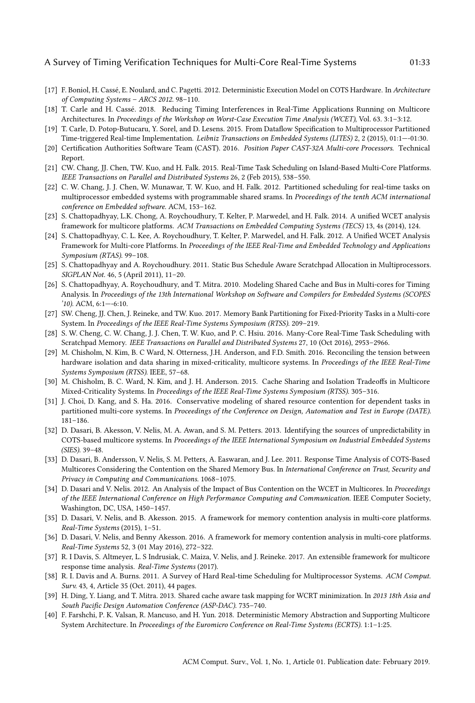- [17] F. Boniol, H. Cassé, E. Noulard, and C. Pagetti. 2012. Deterministic Execution Model on COTS Hardware. In Architecture of Computing Systems - ARCS 2012. 98-110.
- [18] T. Carle and H. Cassé. 2018. Reducing Timing Interferences in Real-Time Applications Running on Multicore Architectures. In Proceedings of the Workshop on Worst-Case Execution Time Analysis (WCET), Vol. 63. 3:1–3:12.
- [19] T. Carle, D. Potop-Butucaru, Y. Sorel, and D. Lesens. 2015. From Dataflow Specification to Multiprocessor Partitioned Time-triggered Real-time Implementation. Leibniz Transactions on Embedded Systems (LITES) 2, 2 (2015), 01:1--01:30.
- [20] Certification Authorities Software Team (CAST). 2016. Position Paper CAST-32A Multi-core Processors. Technical Report.
- [21] CW. Chang, JJ. Chen, TW. Kuo, and H. Falk. 2015. Real-Time Task Scheduling on Island-Based Multi-Core Platforms. IEEE Transactions on Parallel and Distributed Systems 26, 2 (Feb 2015), 538–550.
- [22] C. W. Chang, J. J. Chen, W. Munawar, T. W. Kuo, and H. Falk. 2012. Partitioned scheduling for real-time tasks on multiprocessor embedded systems with programmable shared srams. In Proceedings of the tenth ACM international conference on Embedded software. ACM, 153–162.
- [23] S. Chattopadhyay, L.K. Chong, A. Roychoudhury, T. Kelter, P. Marwedel, and H. Falk. 2014. A unified WCET analysis framework for multicore platforms. ACM Transactions on Embedded Computing Systems (TECS) 13, 4s (2014), 124.
- [24] S. Chattopadhyay, C. L. Kee, A. Roychoudhury, T. Kelter, P. Marwedel, and H. Falk. 2012. A Unified WCET Analysis Framework for Multi-core Platforms. In Proceedings of the IEEE Real-Time and Embedded Technology and Applications Symposium (RTAS). 99–108.
- [25] S. Chattopadhyay and A. Roychoudhury. 2011. Static Bus Schedule Aware Scratchpad Allocation in Multiprocessors. SIGPLAN Not. 46, 5 (April 2011), 11–20.
- [26] S. Chattopadhyay, A. Roychoudhury, and T. Mitra. 2010. Modeling Shared Cache and Bus in Multi-cores for Timing Analysis. In Proceedings of the 13th International Workshop on Software and Compilers for Embedded Systems (SCOPES  $'10$ ). ACM, 6:1--6:10.
- [27] SW. Cheng, JJ. Chen, J. Reineke, and TW. Kuo. 2017. Memory Bank Partitioning for Fixed-Priority Tasks in a Multi-core System. In Proceedings of the IEEE Real-Time Systems Symposium (RTSS). 209–219.
- [28] S. W. Cheng, C. W. Chang, J. J. Chen, T. W. Kuo, and P. C. Hsiu. 2016. Many-Core Real-Time Task Scheduling with Scratchpad Memory. IEEE Transactions on Parallel and Distributed Systems 27, 10 (Oct 2016), 2953–2966.
- [29] M. Chisholm, N. Kim, B. C Ward, N. Otterness, J.H. Anderson, and F.D. Smith. 2016. Reconciling the tension between hardware isolation and data sharing in mixed-criticality, multicore systems. In Proceedings of the IEEE Real-Time Systems Symposium (RTSS). IEEE, 57–68.
- [30] M. Chisholm, B. C. Ward, N. Kim, and J. H. Anderson. 2015. Cache Sharing and Isolation Tradeoffs in Multicore Mixed-Criticality Systems. In Proceedings of the IEEE Real-Time Systems Symposium (RTSS). 305–316.
- [31] J. Choi, D. Kang, and S. Ha. 2016. Conservative modeling of shared resource contention for dependent tasks in partitioned multi-core systems. In Proceedings of the Conference on Design, Automation and Test in Europe (DATE). 181–186.
- [32] D. Dasari, B. Akesson, V. Nelis, M. A. Awan, and S. M. Petters. 2013. Identifying the sources of unpredictability in COTS-based multicore systems. In Proceedings of the IEEE International Symposium on Industrial Embedded Systems (SIES). 39–48.
- [33] D. Dasari, B. Andersson, V. Nelis, S. M. Petters, A. Easwaran, and J. Lee. 2011. Response Time Analysis of COTS-Based Multicores Considering the Contention on the Shared Memory Bus. In International Conference on Trust, Security and Privacy in Computing and Communications. 1068–1075.
- [34] D. Dasari and V. Nelis. 2012. An Analysis of the Impact of Bus Contention on the WCET in Multicores. In Proceedings of the IEEE International Conference on High Performance Computing and Communication. IEEE Computer Society, Washington, DC, USA, 1450–1457.
- [35] D. Dasari, V. Nelis, and B. Akesson. 2015. A framework for memory contention analysis in multi-core platforms. Real-Time Systems (2015), 1–51.
- [36] D. Dasari, V. Nelis, and Benny Akesson. 2016. A framework for memory contention analysis in multi-core platforms. Real-Time Systems 52, 3 (01 May 2016), 272–322.
- [37] R. I Davis, S. Altmeyer, L. S Indrusiak, C. Maiza, V. Nelis, and J. Reineke. 2017. An extensible framework for multicore response time analysis. Real-Time Systems (2017).
- [38] R. I. Davis and A. Burns. 2011. A Survey of Hard Real-time Scheduling for Multiprocessor Systems. ACM Comput. Surv. 43, 4, Article 35 (Oct. 2011), 44 pages.
- [39] H. Ding, Y. Liang, and T. Mitra. 2013. Shared cache aware task mapping for WCRT minimization. In 2013 18th Asia and South Pacific Design Automation Conference (ASP-DAC). 735–740.
- [40] F. Farshchi, P. K. Valsan, R. Mancuso, and H. Yun. 2018. Deterministic Memory Abstraction and Supporting Multicore System Architecture. In Proceedings of the Euromicro Conference on Real-Time Systems (ECRTS). 1:1–1:25.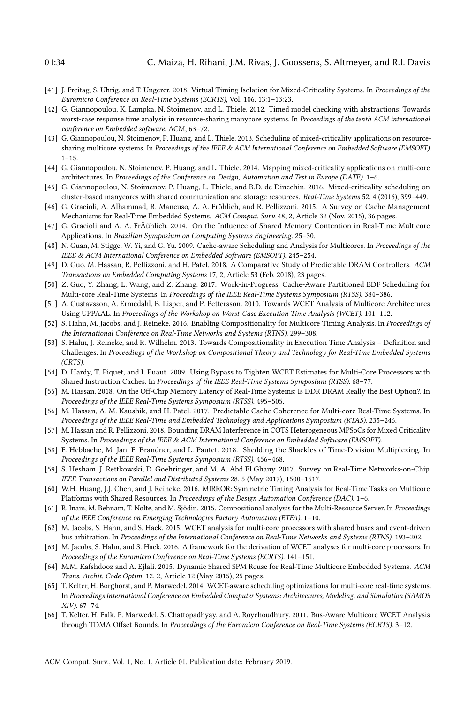- [41] J. Freitag, S. Uhrig, and T. Ungerer. 2018. Virtual Timing Isolation for Mixed-Criticality Systems. In Proceedings of the Euromicro Conference on Real-Time Systems (ECRTS), Vol. 106. 13:1–13:23.
- [42] G. Giannopoulou, K. Lampka, N. Stoimenov, and L. Thiele. 2012. Timed model checking with abstractions: Towards worst-case response time analysis in resource-sharing manycore systems. In Proceedings of the tenth ACM international conference on Embedded software. ACM, 63–72.
- [43] G. Giannopoulou, N. Stoimenov, P. Huang, and L. Thiele. 2013. Scheduling of mixed-criticality applications on resourcesharing multicore systems. In Proceedings of the IEEE & ACM International Conference on Embedded Software (EMSOFT).  $1 - 15$ .
- [44] G. Giannopoulou, N. Stoimenov, P. Huang, and L. Thiele. 2014. Mapping mixed-criticality applications on multi-core architectures. In Proceedings of the Conference on Design, Automation and Test in Europe (DATE). 1–6.
- [45] G. Giannopoulou, N. Stoimenov, P. Huang, L. Thiele, and B.D. de Dinechin. 2016. Mixed-criticality scheduling on cluster-based manycores with shared communication and storage resources. Real-Time Systems 52, 4 (2016), 399–449.
- [46] G. Gracioli, A. Alhammad, R. Mancuso, A. A. Fröhlich, and R. Pellizzoni. 2015. A Survey on Cache Management Mechanisms for Real-Time Embedded Systems. ACM Comput. Surv. 48, 2, Article 32 (Nov. 2015), 36 pages.
- [47] G. Gracioli and A. A. FrÃűhlich. 2014. On the Influence of Shared Memory Contention in Real-Time Multicore Applications. In Brazilian Symposium on Computing Systems Engineering. 25–30.
- [48] N. Guan, M. Stigge, W. Yi, and G. Yu. 2009. Cache-aware Scheduling and Analysis for Multicores. In Proceedings of the IEEE & ACM International Conference on Embedded Software (EMSOFT). 245–254.
- [49] D. Guo, M. Hassan, R. Pellizzoni, and H. Patel. 2018. A Comparative Study of Predictable DRAM Controllers. ACM Transactions on Embedded Computing Systems 17, 2, Article 53 (Feb. 2018), 23 pages.
- [50] Z. Guo, Y. Zhang, L. Wang, and Z. Zhang. 2017. Work-in-Progress: Cache-Aware Partitioned EDF Scheduling for Multi-core Real-Time Systems. In Proceedings of the IEEE Real-Time Systems Symposium (RTSS). 384–386.
- [51] A. Gustavsson, A. Ermedahl, B. Lisper, and P. Pettersson. 2010. Towards WCET Analysis of Multicore Architectures Using UPPAAL. In Proceedings of the Workshop on Worst-Case Execution Time Analysis (WCET). 101–112.
- [52] S. Hahn, M. Jacobs, and J. Reineke. 2016. Enabling Compositionality for Multicore Timing Analysis. In Proceedings of the International Conference on Real-Time Networks and Systems (RTNS). 299–308.
- [53] S. Hahn, J. Reineke, and R. Wilhelm. 2013. Towards Compositionality in Execution Time Analysis Definition and Challenges. In Proceedings of the Workshop on Compositional Theory and Technology for Real-Time Embedded Systems (CRTS).
- [54] D. Hardy, T. Piquet, and I. Puaut. 2009. Using Bypass to Tighten WCET Estimates for Multi-Core Processors with Shared Instruction Caches. In Proceedings of the IEEE Real-Time Systems Symposium (RTSS). 68–77.
- [55] M. Hassan. 2018. On the Off-Chip Memory Latency of Real-Time Systems: Is DDR DRAM Really the Best Option?. In Proceedings of the IEEE Real-Time Systems Symposium (RTSS). 495–505.
- [56] M. Hassan, A. M. Kaushik, and H. Patel. 2017. Predictable Cache Coherence for Multi-core Real-Time Systems. In Proceedings of the IEEE Real-Time and Embedded Technology and Applications Symposium (RTAS). 235–246.
- [57] M. Hassan and R. Pellizzoni. 2018. Bounding DRAM Interference in COTS Heterogeneous MPSoCs for Mixed Criticality Systems. In Proceedings of the IEEE & ACM International Conference on Embedded Software (EMSOFT).
- [58] F. Hebbache, M. Jan, F. Brandner, and L. Pautet. 2018. Shedding the Shackles of Time-Division Multiplexing. In Proceedings of the IEEE Real-Time Systems Symposium (RTSS). 456–468.
- [59] S. Hesham, J. Rettkowski, D. Goehringer, and M. A. Abd El Ghany. 2017. Survey on Real-Time Networks-on-Chip. IEEE Transactions on Parallel and Distributed Systems 28, 5 (May 2017), 1500–1517.
- [60] W.H. Huang, J.J. Chen, and J. Reineke. 2016. MIRROR: Symmetric Timing Analysis for Real-Time Tasks on Multicore Platforms with Shared Resources. In Proceedings of the Design Automation Conference (DAC). 1–6.
- [61] R. Inam, M. Behnam, T. Nolte, and M. Sjödin. 2015. Compositional analysis for the Multi-Resource Server. In Proceedings of the IEEE Conference on Emerging Technologies Factory Automation (ETFA). 1–10.
- [62] M. Jacobs, S. Hahn, and S. Hack. 2015. WCET analysis for multi-core processors with shared buses and event-driven bus arbitration. In Proceedings of the International Conference on Real-Time Networks and Systems (RTNS). 193–202.
- [63] M. Jacobs, S. Hahn, and S. Hack. 2016. A framework for the derivation of WCET analyses for multi-core processors. In Proceedings of the Euromicro Conference on Real-Time Systems (ECRTS). 141–151.
- [64] M.M. Kafshdooz and A. Ejlali. 2015. Dynamic Shared SPM Reuse for Real-Time Multicore Embedded Systems. ACM Trans. Archit. Code Optim. 12, 2, Article 12 (May 2015), 25 pages.
- [65] T. Kelter, H. Borghorst, and P. Marwedel. 2014. WCET-aware scheduling optimizations for multi-core real-time systems. In Proceedings International Conference on Embedded Computer Systems: Architectures, Modeling, and Simulation (SAMOS XIV). 67–74.
- [66] T. Kelter, H. Falk, P. Marwedel, S. Chattopadhyay, and A. Roychoudhury. 2011. Bus-Aware Multicore WCET Analysis through TDMA Offset Bounds. In Proceedings of the Euromicro Conference on Real-Time Systems (ECRTS). 3–12.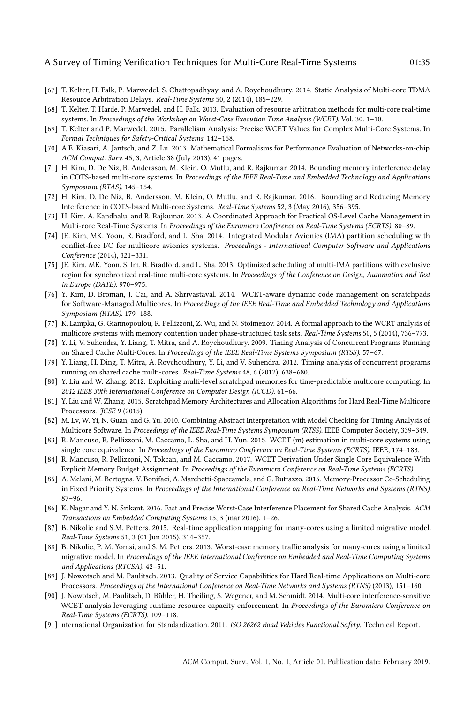- [67] T. Kelter, H. Falk, P. Marwedel, S. Chattopadhyay, and A. Roychoudhury. 2014. Static Analysis of Multi-core TDMA Resource Arbitration Delays. Real-Time Systems 50, 2 (2014), 185–229.
- [68] T. Kelter, T. Harde, P. Marwedel, and H. Falk. 2013. Evaluation of resource arbitration methods for multi-core real-time systems. In Proceedings of the Workshop on Worst-Case Execution Time Analysis (WCET), Vol. 30. 1–10.
- [69] T. Kelter and P. Marwedel. 2015. Parallelism Analysis: Precise WCET Values for Complex Multi-Core Systems. In Formal Techniques for Safety-Critical Systems. 142–158.
- [70] A.E. Kiasari, A. Jantsch, and Z. Lu. 2013. Mathematical Formalisms for Performance Evaluation of Networks-on-chip. ACM Comput. Surv. 45, 3, Article 38 (July 2013), 41 pages.
- [71] H. Kim, D. De Niz, B. Andersson, M. Klein, O. Mutlu, and R. Rajkumar. 2014. Bounding memory interference delay in COTS-based multi-core systems. In Proceedings of the IEEE Real-Time and Embedded Technology and Applications Symposium (RTAS). 145–154.
- [72] H. Kim, D. De Niz, B. Andersson, M. Klein, O. Mutlu, and R. Rajkumar. 2016. Bounding and Reducing Memory Interference in COTS-based Multi-core Systems. Real-Time Systems 52, 3 (May 2016), 356–395.
- [73] H. Kim, A. Kandhalu, and R. Rajkumar. 2013. A Coordinated Approach for Practical OS-Level Cache Management in Multi-core Real-Time Systems. In Proceedings of the Euromicro Conference on Real-Time Systems (ECRTS). 80–89.
- [74] JE. Kim, MK. Yoon, R. Bradford, and L. Sha. 2014. Integrated Modular Avionics (IMA) partition scheduling with conflict-free I/O for multicore avionics systems. Proceedings - International Computer Software and Applications Conference (2014), 321–331.
- [75] JE. Kim, MK. Yoon, S. Im, R. Bradford, and L. Sha. 2013. Optimized scheduling of multi-IMA partitions with exclusive region for synchronized real-time multi-core systems. In Proceedings of the Conference on Design, Automation and Test in Europe (DATE). 970–975.
- [76] Y. Kim, D. Broman, J. Cai, and A. Shrivastaval. 2014. WCET-aware dynamic code management on scratchpads for Software-Managed Multicores. In Proceedings of the IEEE Real-Time and Embedded Technology and Applications Symposium (RTAS). 179–188.
- [77] K. Lampka, G. Giannopoulou, R. Pellizzoni, Z. Wu, and N. Stoimenov. 2014. A formal approach to the WCRT analysis of multicore systems with memory contention under phase-structured task sets. Real-Time Systems 50, 5 (2014), 736-773.
- [78] Y. Li, V. Suhendra, Y. Liang, T. Mitra, and A. Roychoudhury. 2009. Timing Analysis of Concurrent Programs Running on Shared Cache Multi-Cores. In Proceedings of the IEEE Real-Time Systems Symposium (RTSS). 57–67.
- [79] Y. Liang, H. Ding, T. Mitra, A. Roychoudhury, Y. Li, and V. Suhendra. 2012. Timing analysis of concurrent programs running on shared cache multi-cores. Real-Time Systems 48, 6 (2012), 638–680.
- [80] Y. Liu and W. Zhang. 2012. Exploiting multi-level scratchpad memories for time-predictable multicore computing. In 2012 IEEE 30th International Conference on Computer Design (ICCD). 61–66.
- [81] Y. Liu and W. Zhang. 2015. Scratchpad Memory Architectures and Allocation Algorithms for Hard Real-Time Multicore Processors. *JCSE* 9 (2015).
- [82] M. Lv, W. Yi, N. Guan, and G. Yu. 2010. Combining Abstract Interpretation with Model Checking for Timing Analysis of Multicore Software. In Proceedings of the IEEE Real-Time Systems Symposium (RTSS). IEEE Computer Society, 339–349.
- [83] R. Mancuso, R. Pellizzoni, M. Caccamo, L. Sha, and H. Yun. 2015. WCET (m) estimation in multi-core systems using single core equivalence. In Proceedings of the Euromicro Conference on Real-Time Systems (ECRTS). IEEE, 174–183.
- [84] R. Mancuso, R. Pellizzoni, N. Tokcan, and M. Caccamo. 2017. WCET Derivation Under Single Core Equivalence With Explicit Memory Budget Assignment. In Proceedings of the Euromicro Conference on Real-Time Systems (ECRTS).
- [85] A. Melani, M. Bertogna, V. Bonifaci, A. Marchetti-Spaccamela, and G. Buttazzo. 2015. Memory-Processor Co-Scheduling in Fixed Priority Systems. In Proceedings of the International Conference on Real-Time Networks and Systems (RTNS). 87–96.
- [86] K. Nagar and Y. N. Srikant. 2016. Fast and Precise Worst-Case Interference Placement for Shared Cache Analysis. ACM Transactions on Embedded Computing Systems 15, 3 (mar 2016), 1–26.
- [87] B. Nikolic and S.M. Petters. 2015. Real-time application mapping for many-cores using a limited migrative model. Real-Time Systems 51, 3 (01 Jun 2015), 314–357.
- [88] B. Nikolic, P. M. Yomsi, and S. M. Petters. 2013. Worst-case memory traffic analysis for many-cores using a limited migrative model. In Proceedings of the IEEE International Conference on Embedded and Real-Time Computing Systems and Applications (RTCSA). 42–51.
- [89] J. Nowotsch and M. Paulitsch. 2013. Quality of Service Capabilities for Hard Real-time Applications on Multi-core Processors. Proceedings of the International Conference on Real-Time Networks and Systems (RTNS) (2013), 151–160.
- [90] J. Nowotsch, M. Paulitsch, D. Bühler, H. Theiling, S. Wegener, and M. Schmidt. 2014. Multi-core interference-sensitive WCET analysis leveraging runtime resource capacity enforcement. In Proceedings of the Euromicro Conference on Real-Time Systems (ECRTS). 109–118.
- [91] nternational Organization for Standardization. 2011. ISO 26262 Road Vehicles Functional Safety. Technical Report.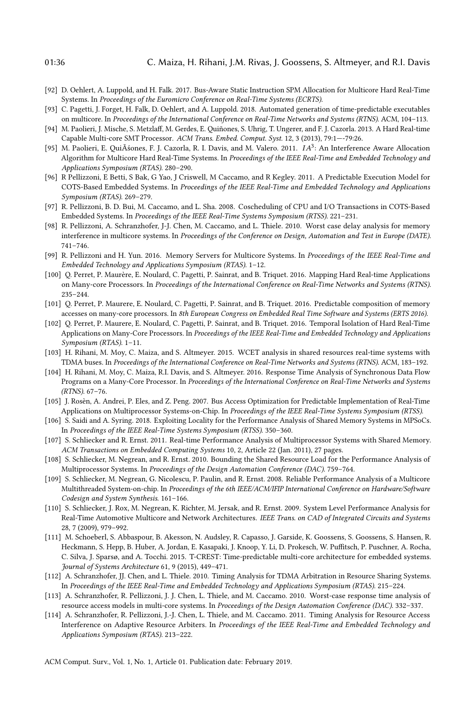- [92] D. Oehlert, A. Luppold, and H. Falk. 2017. Bus-Aware Static Instruction SPM Allocation for Multicore Hard Real-Time Systems. In Proceedings of the Euromicro Conference on Real-Time Systems (ECRTS).
- [93] C. Pagetti, J. Forget, H. Falk, D. Oehlert, and A. Luppold. 2018. Automated generation of time-predictable executables on multicore. In Proceedings of the International Conference on Real-Time Networks and Systems (RTNS). ACM, 104–113.
- [94] M. Paolieri, J. Mische, S. Metzlaff, M. Gerdes, E. Quiñones, S. Uhrig, T. Ungerer, and F. J. Cazorla. 2013. A Hard Real-time Capable Multi-core SMT Processor. ACM Trans. Embed. Comput. Syst. 12, 3 (2013), 79:1--79:26.
- [95] M. Paolieri, E. QuiÃśones, F. J. Cazorla, R. I. Davis, and M. Valero. 2011. IA3: An Interference Aware Allocation Algorithm for Multicore Hard Real-Time Systems. In Proceedings of the IEEE Real-Time and Embedded Technology and Applications Symposium (RTAS). 280–290.
- [96] R Pellizzoni, E Betti, S Bak, G Yao, J Criswell, M Caccamo, and R Kegley. 2011. A Predictable Execution Model for COTS-Based Embedded Systems. In Proceedings of the IEEE Real-Time and Embedded Technology and Applications Symposium (RTAS). 269–279.
- [97] R. Pellizzoni, B. D. Bui, M. Caccamo, and L. Sha. 2008. Coscheduling of CPU and I/O Transactions in COTS-Based Embedded Systems. In Proceedings of the IEEE Real-Time Systems Symposium (RTSS). 221–231.
- [98] R. Pellizzoni, A. Schranzhofer, J-J. Chen, M. Caccamo, and L. Thiele. 2010. Worst case delay analysis for memory interference in multicore systems. In Proceedings of the Conference on Design, Automation and Test in Europe (DATE). 741–746.
- [99] R. Pellizzoni and H. Yun. 2016. Memory Servers for Multicore Systems. In Proceedings of the IEEE Real-Time and Embedded Technology and Applications Symposium (RTAS). 1–12.
- [100] Q. Perret, P. Maurère, E. Noulard, C. Pagetti, P. Sainrat, and B. Triquet. 2016. Mapping Hard Real-time Applications on Many-core Processors. In Proceedings of the International Conference on Real-Time Networks and Systems (RTNS). 235–244.
- [101] Q. Perret, P. Maurere, E. Noulard, C. Pagetti, P. Sainrat, and B. Triquet. 2016. Predictable composition of memory accesses on many-core processors. In 8th European Congress on Embedded Real Time Software and Systems (ERTS 2016).
- [102] Q. Perret, P. Maurere, E. Noulard, C. Pagetti, P. Sainrat, and B. Triquet. 2016. Temporal Isolation of Hard Real-Time Applications on Many-Core Processors. In Proceedings of the IEEE Real-Time and Embedded Technology and Applications Symposium (RTAS). 1–11.
- [103] H. Rihani, M. Moy, C. Maiza, and S. Altmeyer. 2015. WCET analysis in shared resources real-time systems with TDMA buses. In Proceedings of the International Conference on Real-Time Networks and Systems (RTNS). ACM, 183–192.
- [104] H. Rihani, M. Moy, C. Maiza, R.I. Davis, and S. Altmeyer. 2016. Response Time Analysis of Synchronous Data Flow Programs on a Many-Core Processor. In Proceedings of the International Conference on Real-Time Networks and Systems (RTNS). 67–76.
- [105] J. Rosèn, A. Andrei, P. Eles, and Z. Peng. 2007. Bus Access Optimization for Predictable Implementation of Real-Time Applications on Multiprocessor Systems-on-Chip. In Proceedings of the IEEE Real-Time Systems Symposium (RTSS).
- [106] S. Saidi and A. Syring. 2018. Exploiting Locality for the Performance Analysis of Shared Memory Systems in MPSoCs. In Proceedings of the IEEE Real-Time Systems Symposium (RTSS). 350–360.
- [107] S. Schliecker and R. Ernst. 2011. Real-time Performance Analysis of Multiprocessor Systems with Shared Memory. ACM Transactions on Embedded Computing Systems 10, 2, Article 22 (Jan. 2011), 27 pages.
- [108] S. Schliecker, M. Negrean, and R. Ernst. 2010. Bounding the Shared Resource Load for the Performance Analysis of Multiprocessor Systems. In Proceedings of the Design Automation Conference (DAC). 759–764.
- [109] S. Schliecker, M. Negrean, G. Nicolescu, P. Paulin, and R. Ernst. 2008. Reliable Performance Analysis of a Multicore Multithreaded System-on-chip. In Proceedings of the 6th IEEE/ACM/IFIP International Conference on Hardware/Software Codesign and System Synthesis. 161–166.
- [110] S. Schliecker, J. Rox, M. Negrean, K. Richter, M. Jersak, and R. Ernst. 2009. System Level Performance Analysis for Real-Time Automotive Multicore and Network Architectures. IEEE Trans. on CAD of Integrated Circuits and Systems 28, 7 (2009), 979–992.
- [111] M. Schoeberl, S. Abbaspour, B. Akesson, N. Audsley, R. Capasso, J. Garside, K. Goossens, S. Goossens, S. Hansen, R. Heckmann, S. Hepp, B. Huber, A. Jordan, E. Kasapaki, J. Knoop, Y. Li, D. Prokesch, W. Puffitsch, P. Puschner, A. Rocha, C. Silva, J. Sparsø, and A. Tocchi. 2015. T-CREST: Time-predictable multi-core architecture for embedded systems. Journal of Systems Architecture 61, 9 (2015), 449–471.
- [112] A. Schranzhofer, JJ. Chen, and L. Thiele. 2010. Timing Analysis for TDMA Arbitration in Resource Sharing Systems. In Proceedings of the IEEE Real-Time and Embedded Technology and Applications Symposium (RTAS). 215–224.
- [113] A. Schranzhofer, R. Pellizzoni, J. J. Chen, L. Thiele, and M. Caccamo. 2010. Worst-case response time analysis of resource access models in multi-core systems. In Proceedings of the Design Automation Conference (DAC). 332–337.
- [114] A. Schranzhofer, R. Pellizzoni, J.-J. Chen, L. Thiele, and M. Caccamo. 2011. Timing Analysis for Resource Access Interference on Adaptive Resource Arbiters. In Proceedings of the IEEE Real-Time and Embedded Technology and Applications Symposium (RTAS). 213–222.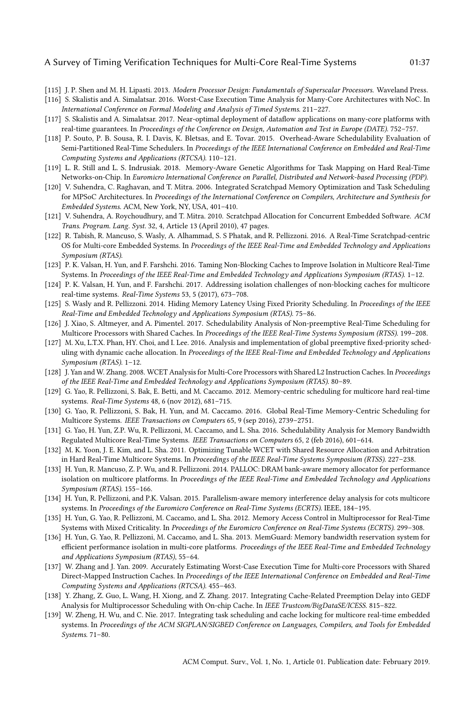- [115] J. P. Shen and M. H. Lipasti. 2013. Modern Processor Design: Fundamentals of Superscalar Processors. Waveland Press.
- [116] S. Skalistis and A. Simalatsar. 2016. Worst-Case Execution Time Analysis for Many-Core Architectures with NoC. In International Conference on Formal Modeling and Analysis of Timed Systems. 211–227.
- [117] S. Skalistis and A. Simalatsar. 2017. Near-optimal deployment of dataflow applications on many-core platforms with real-time guarantees. In Proceedings of the Conference on Design, Automation and Test in Europe (DATE). 752–757.
- [118] P. Souto, P. B. Sousa, R. I. Davis, K. Bletsas, and E. Tovar. 2015. Overhead-Aware Schedulability Evaluation of Semi-Partitioned Real-Time Schedulers. In Proceedings of the IEEE International Conference on Embedded and Real-Time Computing Systems and Applications (RTCSA). 110–121.
- [119] L. R. Still and L. S. Indrusiak. 2018. Memory-Aware Genetic Algorithms for Task Mapping on Hard Real-Time Networks-on-Chip. In Euromicro International Conference on Parallel, Distributed and Network-based Processing (PDP).
- [120] V. Suhendra, C. Raghavan, and T. Mitra. 2006. Integrated Scratchpad Memory Optimization and Task Scheduling for MPSoC Architectures. In Proceedings of the International Conference on Compilers, Architecture and Synthesis for Embedded Systems. ACM, New York, NY, USA, 401–410.
- [121] V. Suhendra, A. Roychoudhury, and T. Mitra. 2010. Scratchpad Allocation for Concurrent Embedded Software. ACM Trans. Program. Lang. Syst. 32, 4, Article 13 (April 2010), 47 pages.
- [122] R. Tabish, R. Mancuso, S. Wasly, A. Alhammad, S. S Phatak, and R. Pellizzoni. 2016. A Real-Time Scratchpad-centric OS for Multi-core Embedded Systems. In Proceedings of the IEEE Real-Time and Embedded Technology and Applications Symposium (RTAS).
- [123] P. K. Valsan, H. Yun, and F. Farshchi. 2016. Taming Non-Blocking Caches to Improve Isolation in Multicore Real-Time Systems. In Proceedings of the IEEE Real-Time and Embedded Technology and Applications Symposium (RTAS). 1–12.
- [124] P. K. Valsan, H. Yun, and F. Farshchi. 2017. Addressing isolation challenges of non-blocking caches for multicore real-time systems. Real-Time Systems 53, 5 (2017), 673–708.
- [125] S. Wasly and R. Pellizzoni. 2014. Hiding Memory Latency Using Fixed Priority Scheduling. In Proceedings of the IEEE Real-Time and Embedded Technology and Applications Symposium (RTAS). 75–86.
- [126] J. Xiao, S. Altmeyer, and A. Pimentel. 2017. Schedulability Analysis of Non-preemptive Real-Time Scheduling for Multicore Processors with Shared Caches. In Proceedings of the IEEE Real-Time Systems Symposium (RTSS). 199-208.
- [127] M. Xu, L.T.X. Phan, HY. Choi, and I. Lee. 2016. Analysis and implementation of global preemptive fixed-priority scheduling with dynamic cache allocation. In Proceedings of the IEEE Real-Time and Embedded Technology and Applications Symposium (RTAS). 1–12.
- [128] J. Yan and W. Zhang. 2008. WCET Analysis for Multi-Core Processors with Shared L2 Instruction Caches. In Proceedings of the IEEE Real-Time and Embedded Technology and Applications Symposium (RTAS). 80–89.
- [129] G. Yao, R. Pellizzoni, S. Bak, E. Betti, and M. Caccamo. 2012. Memory-centric scheduling for multicore hard real-time systems. Real-Time Systems 48, 6 (nov 2012), 681–715.
- [130] G. Yao, R. Pellizzoni, S. Bak, H. Yun, and M. Caccamo. 2016. Global Real-Time Memory-Centric Scheduling for Multicore Systems. IEEE Transactions on Computers 65, 9 (sep 2016), 2739–2751.
- [131] G. Yao, H. Yun, Z.P. Wu, R. Pellizzoni, M. Caccamo, and L. Sha. 2016. Schedulability Analysis for Memory Bandwidth Regulated Multicore Real-Time Systems. IEEE Transactions on Computers 65, 2 (feb 2016), 601–614.
- [132] M. K. Yoon, J. E. Kim, and L. Sha. 2011. Optimizing Tunable WCET with Shared Resource Allocation and Arbitration in Hard Real-Time Multicore Systems. In Proceedings of the IEEE Real-Time Systems Symposium (RTSS). 227–238.
- [133] H. Yun, R. Mancuso, Z. P. Wu, and R. Pellizzoni. 2014. PALLOC: DRAM bank-aware memory allocator for performance isolation on multicore platforms. In Proceedings of the IEEE Real-Time and Embedded Technology and Applications Symposium (RTAS). 155–166.
- [134] H. Yun, R. Pellizzoni, and P.K. Valsan. 2015. Parallelism-aware memory interference delay analysis for cots multicore systems. In Proceedings of the Euromicro Conference on Real-Time Systems (ECRTS). IEEE, 184–195.
- [135] H. Yun, G. Yao, R. Pellizzoni, M. Caccamo, and L. Sha. 2012. Memory Access Control in Multiprocessor for Real-Time Systems with Mixed Criticality. In Proceedings of the Euromicro Conference on Real-Time Systems (ECRTS). 299–308.
- [136] H. Yun, G. Yao, R. Pellizzoni, M. Caccamo, and L. Sha. 2013. MemGuard: Memory bandwidth reservation system for efficient performance isolation in multi-core platforms. Proceedings of the IEEE Real-Time and Embedded Technology and Applications Symposium (RTAS), 55–64.
- [137] W. Zhang and J. Yan. 2009. Accurately Estimating Worst-Case Execution Time for Multi-core Processors with Shared Direct-Mapped Instruction Caches. In Proceedings of the IEEE International Conference on Embedded and Real-Time Computing Systems and Applications (RTCSA). 455–463.
- [138] Y. Zhang, Z. Guo, L. Wang, H. Xiong, and Z. Zhang. 2017. Integrating Cache-Related Preemption Delay into GEDF Analysis for Multiprocessor Scheduling with On-chip Cache. In IEEE Trustcom/BigDataSE/ICESS. 815-822.
- [139] W. Zheng, H. Wu, and C. Nie. 2017. Integrating task scheduling and cache locking for multicore real-time embedded systems. In Proceedings of the ACM SIGPLAN/SIGBED Conference on Languages, Compilers, and Tools for Embedded Systems. 71–80.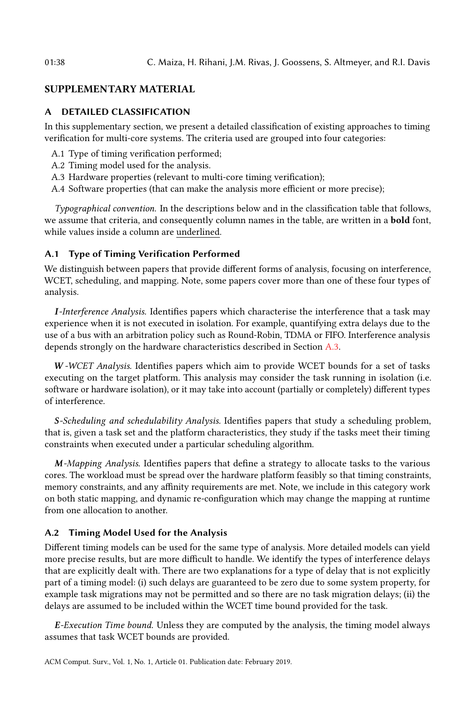# SUPPLEMENTARY MATERIAL

# A DETAILED CLASSIFICATION

In this supplementary section, we present a detailed classification of existing approaches to timing verification for multi-core systems. The criteria used are grouped into four categories:

- A.1 Type of timing verification performed;
- A.2 Timing model used for the analysis.
- A.3 Hardware properties (relevant to multi-core timing verification);
- A.4 Software properties (that can make the analysis more efficient or more precise);

Typographical convention. In the descriptions below and in the classification table that follows, we assume that criteria, and consequently column names in the table, are written in a bold font, while values inside a column are underlined.

# A.1 Type of Timing Verification Performed

We distinguish between papers that provide different forms of analysis, focusing on interference, WCET, scheduling, and mapping. Note, some papers cover more than one of these four types of analysis.

I-Interference Analysis. Identifies papers which characterise the interference that a task may experience when it is not executed in isolation. For example, quantifying extra delays due to the use of a bus with an arbitration policy such as Round-Robin, TDMA or FIFO. Interference analysis depends strongly on the hardware characteristics described in Section A.3.

W -WCET Analysis. Identifies papers which aim to provide WCET bounds for a set of tasks executing on the target platform. This analysis may consider the task running in isolation (i.e. software or hardware isolation), or it may take into account (partially or completely) different types of interference.

S-Scheduling and schedulability Analysis. Identifies papers that study a scheduling problem, that is, given a task set and the platform characteristics, they study if the tasks meet their timing constraints when executed under a particular scheduling algorithm.

 $M$ -Mapping Analysis. Identifies papers that define a strategy to allocate tasks to the various cores. The workload must be spread over the hardware platform feasibly so that timing constraints, memory constraints, and any affinity requirements are met. Note, we include in this category work on both static mapping, and dynamic re-configuration which may change the mapping at runtime from one allocation to another.

# A.2 Timing Model Used for the Analysis

Different timing models can be used for the same type of analysis. More detailed models can yield more precise results, but are more difficult to handle. We identify the types of interference delays that are explicitly dealt with. There are two explanations for a type of delay that is not explicitly part of a timing model: (i) such delays are guaranteed to be zero due to some system property, for example task migrations may not be permitted and so there are no task migration delays; (ii) the delays are assumed to be included within the WCET time bound provided for the task.

E-Execution Time bound. Unless they are computed by the analysis, the timing model always assumes that task WCET bounds are provided.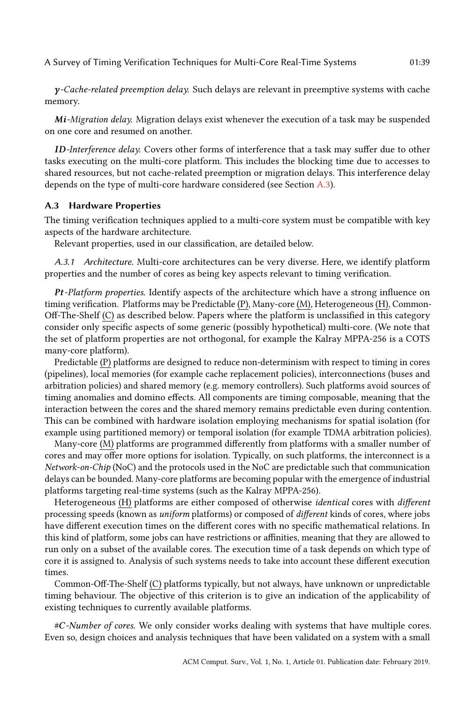$\gamma$ -Cache-related preemption delay. Such delays are relevant in preemptive systems with cache memory.

 $Mi-Migration$  delay. Migration delays exist whenever the execution of a task may be suspended on one core and resumed on another.

ID-Interference delay. Covers other forms of interference that a task may suffer due to other tasks executing on the multi-core platform. This includes the blocking time due to accesses to shared resources, but not cache-related preemption or migration delays. This interference delay depends on the type of multi-core hardware considered (see Section A.3).

#### A.3 Hardware Properties

The timing verification techniques applied to a multi-core system must be compatible with key aspects of the hardware architecture.

Relevant properties, used in our classification, are detailed below.

A.3.1 Architecture. Multi-core architectures can be very diverse. Here, we identify platform properties and the number of cores as being key aspects relevant to timing verification.

Pt-Platform properties. Identify aspects of the architecture which have a strong influence on timing verification. Platforms may be Predictable (P), Many-core (M), Heterogeneous (H), Common-Off-The-Shelf (C) as described below. Papers where the platform is unclassified in this category consider only specific aspects of some generic (possibly hypothetical) multi-core. (We note that the set of platform properties are not orthogonal, for example the Kalray MPPA-256 is a COTS many-core platform).

Predictable (P) platforms are designed to reduce non-determinism with respect to timing in cores (pipelines), local memories (for example cache replacement policies), interconnections (buses and arbitration policies) and shared memory (e.g. memory controllers). Such platforms avoid sources of timing anomalies and domino effects. All components are timing composable, meaning that the interaction between the cores and the shared memory remains predictable even during contention. This can be combined with hardware isolation employing mechanisms for spatial isolation (for example using partitioned memory) or temporal isolation (for example TDMA arbitration policies).

Many-core (M) platforms are programmed differently from platforms with a smaller number of cores and may offer more options for isolation. Typically, on such platforms, the interconnect is a Network-on-Chip (NoC) and the protocols used in the NoC are predictable such that communication delays can be bounded. Many-core platforms are becoming popular with the emergence of industrial platforms targeting real-time systems (such as the Kalray MPPA-256).

Heterogeneous (H) platforms are either composed of otherwise identical cores with different processing speeds (known as uniform platforms) or composed of different kinds of cores, where jobs have different execution times on the different cores with no specific mathematical relations. In this kind of platform, some jobs can have restrictions or affinities, meaning that they are allowed to run only on a subset of the available cores. The execution time of a task depends on which type of core it is assigned to. Analysis of such systems needs to take into account these different execution times.

Common-Off-The-Shelf (C) platforms typically, but not always, have unknown or unpredictable timing behaviour. The objective of this criterion is to give an indication of the applicability of existing techniques to currently available platforms.

#C-Number of cores. We only consider works dealing with systems that have multiple cores. Even so, design choices and analysis techniques that have been validated on a system with a small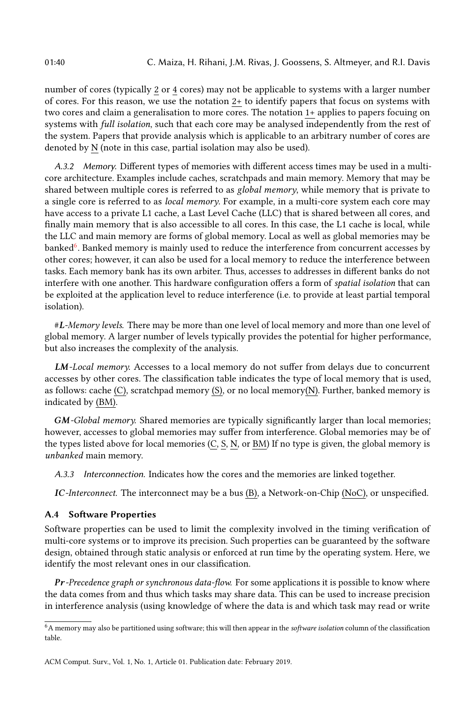number of cores (typically 2 or 4 cores) may not be applicable to systems with a larger number of cores. For this reason, we use the notation 2+ to identify papers that focus on systems with two cores and claim a generalisation to more cores. The notation 1+ applies to papers focuing on systems with *full isolation*, such that each core may be analysed independently from the rest of the system. Papers that provide analysis which is applicable to an arbitrary number of cores are denoted by N (note in this case, partial isolation may also be used).

A.3.2 Memory. Different types of memories with different access times may be used in a multicore architecture. Examples include caches, scratchpads and main memory. Memory that may be shared between multiple cores is referred to as *global memory*, while memory that is private to a single core is referred to as local memory. For example, in a multi-core system each core may have access to a private L1 cache, a Last Level Cache (LLC) that is shared between all cores, and finally main memory that is also accessible to all cores. In this case, the L1 cache is local, while the LLC and main memory are forms of global memory. Local as well as global memories may be banked $^6$ . Banked memory is mainly used to reduce the interference from concurrent accesses by other cores; however, it can also be used for a local memory to reduce the interference between tasks. Each memory bank has its own arbiter. Thus, accesses to addresses in different banks do not interfere with one another. This hardware configuration offers a form of spatial isolation that can be exploited at the application level to reduce interference (i.e. to provide at least partial temporal isolation).

#L-Memory levels. There may be more than one level of local memory and more than one level of global memory. A larger number of levels typically provides the potential for higher performance, but also increases the complexity of the analysis.

LM-Local memory. Accesses to a local memory do not suffer from delays due to concurrent accesses by other cores. The classification table indicates the type of local memory that is used, as follows: cache (C), scratchpad memory (S), or no local memory(N). Further, banked memory is indicated by (BM).

GM-Global memory. Shared memories are typically significantly larger than local memories; however, accesses to global memories may suffer from interference. Global memories may be of the types listed above for local memories (C, S, N, or BM) If no type is given, the global memory is unbanked main memory.

A.3.3 Interconnection. Indicates how the cores and the memories are linked together.

IC-Interconnect. The interconnect may be a bus (B), a Network-on-Chip (NoC), or unspecified.

# A.4 Software Properties

Software properties can be used to limit the complexity involved in the timing verification of multi-core systems or to improve its precision. Such properties can be guaranteed by the software design, obtained through static analysis or enforced at run time by the operating system. Here, we identify the most relevant ones in our classification.

Pr-Precedence graph or synchronous data-flow. For some applications it is possible to know where the data comes from and thus which tasks may share data. This can be used to increase precision in interference analysis (using knowledge of where the data is and which task may read or write

 $^6{\rm A}$  memory may also be partitioned using software; this will then appear in the software isolation column of the classification table.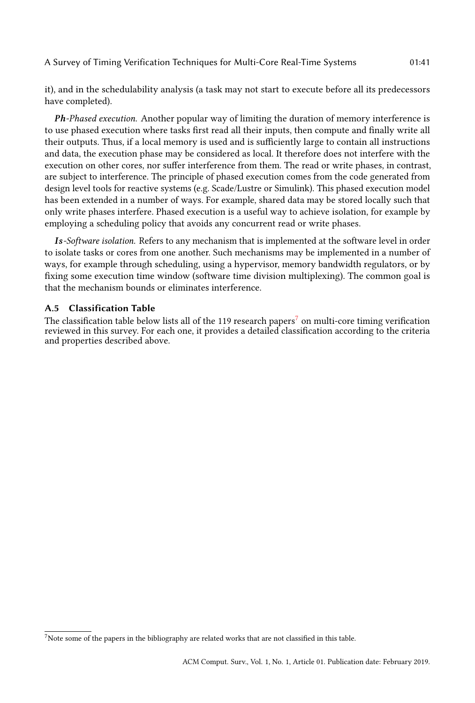it), and in the schedulability analysis (a task may not start to execute before all its predecessors have completed).

Ph-Phased execution. Another popular way of limiting the duration of memory interference is to use phased execution where tasks first read all their inputs, then compute and finally write all their outputs. Thus, if a local memory is used and is sufficiently large to contain all instructions and data, the execution phase may be considered as local. It therefore does not interfere with the execution on other cores, nor suffer interference from them. The read or write phases, in contrast, are subject to interference. The principle of phased execution comes from the code generated from design level tools for reactive systems (e.g. Scade/Lustre or Simulink). This phased execution model has been extended in a number of ways. For example, shared data may be stored locally such that only write phases interfere. Phased execution is a useful way to achieve isolation, for example by employing a scheduling policy that avoids any concurrent read or write phases.

Is-Software isolation. Refers to any mechanism that is implemented at the software level in order to isolate tasks or cores from one another. Such mechanisms may be implemented in a number of ways, for example through scheduling, using a hypervisor, memory bandwidth regulators, or by fixing some execution time window (software time division multiplexing). The common goal is that the mechanism bounds or eliminates interference.

# A.5 Classification Table

The classification table below lists all of the 119 research papers<sup>7</sup> on multi-core timing verification reviewed in this survey. For each one, it provides a detailed classification according to the criteria and properties described above.

 $<sup>7</sup>$ Note some of the papers in the bibliography are related works that are not classified in this table.</sup>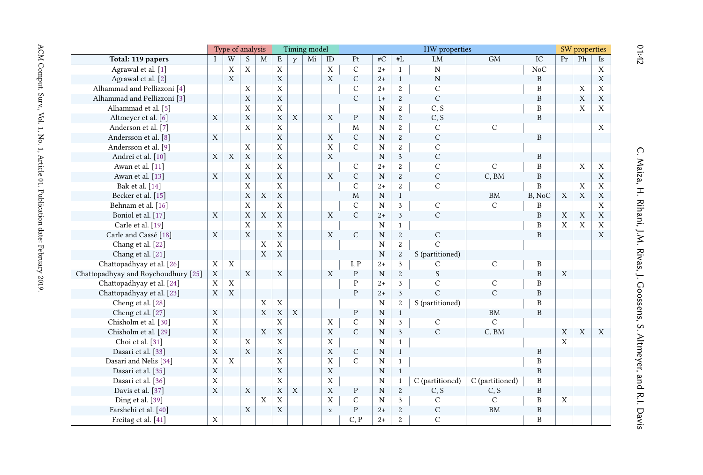|                                        | Type of analysis          |                |                         |             |                |             | Timing model |                         |               |                |                | SW properties   |                 |                  |    |             |                |
|----------------------------------------|---------------------------|----------------|-------------------------|-------------|----------------|-------------|--------------|-------------------------|---------------|----------------|----------------|-----------------|-----------------|------------------|----|-------------|----------------|
| Total: 119 papers                      |                           | W              | S                       | M           | $\mathbf E$    |             | Mi           | $\rm ID$                | Pt            | #C             | $\#\mathbf{L}$ | LM              | GM              | $\overline{IC}$  | Pr | Ph          | Is             |
| Agrawal et al. [1]                     |                           | $\overline{X}$ | $\overline{\mathbf{x}}$ |             | X              |             |              | $\overline{\mathbf{x}}$ | $\mathsf{C}$  | $2+$           | $\mathbf{1}$   | N               |                 | N <sub>o</sub> C |    |             | $\overline{X}$ |
| Agrawal et al. [2]                     |                           | $\mathbf X$    |                         |             | X              |             |              | X                       | $\mathsf{C}$  | $2+$           | $\mathbf{1}$   | ${\bf N}$       |                 | $\, {\bf B}$     |    |             | $\mathbf X$    |
| Alhammad and Pellizzoni <sup>[4]</sup> |                           |                | X                       |             | $\overline{X}$ |             |              |                         | C             | $2+$           | $\sqrt{2}$     | $\overline{C}$  |                 | $\, {\bf B}$     |    | X           | $\mathbf X$    |
| Alhammad and Pellizzoni <sup>[3]</sup> |                           |                | X                       |             | X              |             |              |                         | $\mathsf{C}$  | $1+$           | $\,2$          | $\mathsf{C}$    |                 | $\, {\bf B}$     |    | X           | $\mathbf X$    |
| Alhammad et al. [5]                    |                           |                | X                       |             | $\overline{X}$ |             |              |                         |               | N              | $\sqrt{2}$     | C, S            |                 | $\mathbf B$      |    | X           | X              |
| Altmeyer et al. [6]                    | X                         |                | X                       |             | X              | $\mathbf X$ |              | X                       | $\mathbf{P}$  | $\mathbf N$    | $\sqrt{2}$     | C, S            |                 | $\, {\bf B}$     |    |             |                |
| Anderson et al. [7]                    |                           |                | $\overline{X}$          |             | $\overline{X}$ |             |              |                         | M             | N              | $\sqrt{2}$     | $\mathsf C$     | $\mathsf C$     |                  |    |             | X              |
| Andersson et al. [8]                   | X                         |                |                         |             | X              |             |              | X                       | $\mathsf{C}$  | $\mathbf N$    | $\,2$          | $\mathsf C$     |                 | $\, {\bf B}$     |    |             |                |
| Andersson et al. [9]                   |                           |                | X                       |             | X              |             |              | X                       | $\mathcal{C}$ | N              | $\sqrt{2}$     | $\mathsf{C}$    |                 |                  |    |             |                |
| Andrei et al. [10]                     | X                         | X              | $\mathbf X$             |             | X              |             |              | $\mathbf X$             |               | $\mathbf N$    | $\overline{3}$ | $\mathbf C$     |                 | $\, {\bf B}$     |    |             |                |
| Awan et al. [11]                       |                           |                | X                       |             | $\overline{X}$ |             |              |                         | С             | $2+$           | $\sqrt{2}$     | $\mathcal{C}$   | $\mathsf{C}$    | $\mathbf B$      |    | $\mathbf X$ | X              |
| Awan et al. [13]                       | X                         |                | $\mathbf X$             |             | $\mathbf X$    |             |              | X                       | $\mathsf{C}$  | $\overline{N}$ | $\sqrt{2}$     | $\mathsf C$     | C, BM           | $\, {\bf B}$     |    |             | $\mathbf X$    |
| Bak et al. [14]                        |                           |                | X                       |             | X              |             |              |                         | $\mathcal{C}$ | $2+$           | $\sqrt{2}$     | $\mathcal{C}$   |                 | $\overline{B}$   |    | X           | X              |
| Becker et al. [15]                     |                           |                | X                       | $\mathbf X$ | $\mathbf X$    |             |              |                         | M             | N              | $\mathbf{1}$   |                 | <b>BM</b>       | B, NoC           | X  | $\mathbf X$ | X              |
| Behnam et al. [16]                     |                           |                | $\overline{X}$          |             | $\overline{X}$ |             |              |                         | $\mathcal{C}$ | N              | 3              | $\mathsf{C}$    | $\overline{C}$  | $\, {\bf B}$     |    |             | $\overline{X}$ |
| Boniol et al. [17]                     | X                         |                | X                       | X           | X              |             |              | X                       | $\mathsf{C}$  | $2+$           | $\sqrt{3}$     | $\mathbf C$     |                 | $\, {\bf B}$     | X  | $\mathbf X$ | $\mathbf X$    |
| Carle et al. [19]                      |                           |                | X                       |             | X              |             |              |                         |               | N              | $\mathbf{1}$   |                 |                 | $\, {\bf B}$     | X  | X           | X              |
| Carle and Cassé [18]                   | X                         |                | $\mathbf X$             |             | X              |             |              | X                       | $\mathsf{C}$  | N              | $\sqrt{2}$     | $\mathbf C$     |                 | $\, {\bf B}$     |    |             | X              |
| Chang et al. [22]                      |                           |                |                         | X           | $\overline{X}$ |             |              |                         |               | $\mathbf N$    | $\sqrt{2}$     | $\overline{C}$  |                 |                  |    |             |                |
| Chang et al. [21]                      |                           |                |                         | $\mathbf X$ | X              |             |              |                         |               | $\mathbf N$    | $\sqrt{2}$     | S (partitioned) |                 |                  |    |             |                |
| Chattopadhyay et al. [26]              | X                         | X              |                         |             |                |             |              |                         | I, P          | $2+$           | 3              | $\mathcal{C}$   | $\mathsf{C}$    | $\, {\bf B}$     |    |             |                |
| Chattopadhyay and Roychoudhury [25]    | $\boldsymbol{\mathrm{X}}$ |                | $\mathbf X$             |             | X              |             |              | X                       | ${\bf P}$     | $\mathbf N$    | $\sqrt{2}$     | S               |                 | $\, {\bf B}$     | X  |             |                |
| Chattopadhyay et al. [24]              | X                         | $\mathbf X$    |                         |             |                |             |              |                         | $\mathbf{P}$  | $2+$           | 3              | $\mathcal{C}$   | $\mathsf C$     | $\, {\bf B}$     |    |             |                |
| Chattopadhyay et al. [23]              | X                         | X              |                         |             |                |             |              |                         | $\mathbf{P}$  | $2+$           | 3              | $\mathcal{C}$   | $\mathcal{C}$   | $\, {\bf B}$     |    |             |                |
| Cheng et al. [28]                      |                           |                |                         | X           | X              |             |              |                         |               | N              | $\sqrt{2}$     | S (partitioned) |                 | $\mathbf B$      |    |             |                |
| Cheng et al. [27]                      | $\mathbf X$               |                |                         | $\mathbf X$ | $\mathbf X$    | $\mathbf X$ |              |                         | $\mathbf{P}$  | $\mathbf N$    | $\,1\,$        |                 | <b>BM</b>       | $\, {\bf B}$     |    |             |                |
| Chisholm et al. [30]                   | X                         |                |                         |             | X              |             |              | X                       | $\mathcal{C}$ | N              | 3              | $\mathsf{C}$    | $\mathsf{C}$    |                  |    |             |                |
| Chisholm et al. [29]                   | X                         |                |                         | $\mathbf X$ | X              |             |              | X                       | $\mathcal{C}$ | N              | 3              | $\mathsf{C}$    | C, BM           |                  | X  | X           | X              |
| Choi et al. [31]                       | X                         |                | X                       |             | $\overline{X}$ |             |              | X                       |               | N              | $\mathbf{1}$   |                 |                 |                  | X  |             |                |
| Dasari et al. [33]                     | X                         |                | $\mathbf X$             |             | X              |             |              | $\mathbf X$             | $\mathsf{C}$  | $\mathbf N$    | $\mathbf{1}$   |                 |                 | $\, {\bf B}$     |    |             |                |
| Dasari and Nelis [34]                  | X                         | X              |                         |             | $\overline{X}$ |             |              | X                       | $\mathcal{C}$ | $\mathbf N$    | $\mathbf{1}$   |                 |                 | $\mathbf B$      |    |             |                |
| Dasari et al. [35]                     | X                         |                |                         |             | X              |             |              | X                       |               | $\mathbf N$    | $\mathbf{1}$   |                 |                 | $\, {\bf B}$     |    |             |                |
| Dasari et al. [36]                     | X                         |                |                         |             | $\overline{X}$ |             |              | X                       |               | N              | $\mathbf{1}$   | C (partitioned) | C (partitioned) | B                |    |             |                |
| Davis et al. [37]                      | $\mathbf X$               |                | $\mathbf X$             |             | X              | $\mathbf X$ |              | X                       | $\mathbf{P}$  | $\mathbf N$    | $\sqrt{2}$     | C, S            | C, S            | $\, {\bf B}$     |    |             |                |
| Ding et al. [39]                       |                           |                |                         | X           | X              |             |              | X                       | $\mathcal{C}$ | N              | 3              | $\mathsf{C}$    | $\mathsf{C}$    | $\, {\bf B}$     | X  |             |                |
| Farshchi et al. [40]                   |                           |                | X                       |             | X              |             |              | $\mathbf x$             | $\mathbf{P}$  | $2+$           | $\sqrt{2}$     | $\mathcal{C}$   | <b>BM</b>       | $\, {\bf B}$     |    |             |                |
| Freitag et al. [41]                    | $\overline{X}$            |                |                         |             |                |             |              |                         | C, P          | $2+$           | 2              | $\mathsf{C}$    |                 | B                |    |             |                |

01:42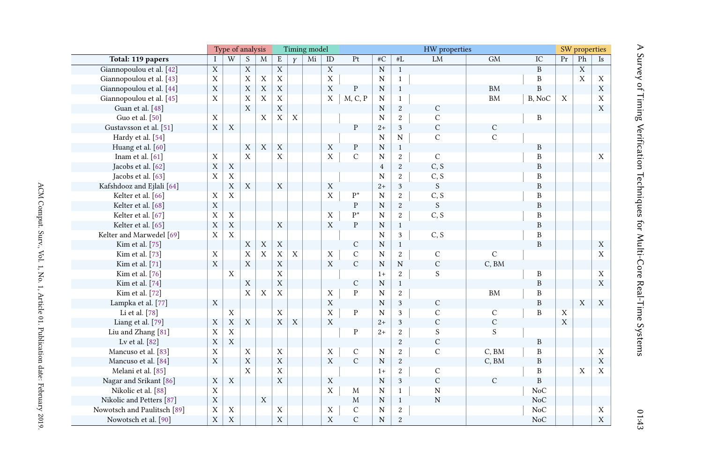|                               | Type of analysis          |                |                |                |                         |                  | Timing model |                |                |                |                | SW properties  |                |                  |             |                         |             |
|-------------------------------|---------------------------|----------------|----------------|----------------|-------------------------|------------------|--------------|----------------|----------------|----------------|----------------|----------------|----------------|------------------|-------------|-------------------------|-------------|
| Total: 119 papers             | T                         | W              | S              | M              | $\mathbf E$             | $\boldsymbol{Y}$ | Mi           | ID             | Pt             | #C             | $\#\mathrm{L}$ | LM             | <b>GM</b>      | IC               | Pr          | Ph                      | Is          |
| Giannopoulou et al. [42]      | X                         |                | $\mathbf X$    |                | $\mathbf X$             |                  |              | $\overline{X}$ |                | $\overline{N}$ | $\mathbf{1}$   |                |                | $\, {\bf B}$     |             | $\overline{\mathbf{X}}$ |             |
| Giannopoulou et al. [43]      | X                         |                | X              | X              | X                       |                  |              | $\mathbf X$    |                | N              | 1              |                |                | B                |             | X                       | X           |
| Giannopoulou et al. [44]      | X                         |                | X              | X              | X                       |                  |              | X              | $\overline{P}$ | N              | $\mathbf{1}$   |                | <b>BM</b>      | B                |             |                         | X           |
| Giannopoulou et al. [45]      | X                         |                | X              | X              | X                       |                  |              | X              | M, C, P        | N              | 1              |                | <b>BM</b>      | B, NoC           | X           |                         | X           |
| Guan et al. [48]              |                           |                | $\mathbf X$    |                | $\mathbf X$             |                  |              |                |                | $\mathbf N$    | $\,2$          | $\mathbf C$    |                |                  |             |                         | $\mathbf X$ |
| Guo et al. [50]               | X                         |                |                | $\overline{X}$ | X                       | $\overline{X}$   |              |                |                | N              | $\sqrt{2}$     | $\overline{C}$ |                | $\, {\bf B}$     |             |                         |             |
| Gustavsson et al. [51]        | X                         | X              |                |                |                         |                  |              |                | ${\bf P}$      | $2+$           | 3              | $\mathsf{C}$   | $\mathbf C$    |                  |             |                         |             |
| Hardy et al. [54]             |                           |                |                |                |                         |                  |              |                |                | N              | N              | $\overline{C}$ | $\overline{C}$ |                  |             |                         |             |
| Huang et al. [60]             |                           |                | X              | $\mathbf X$    | X                       |                  |              | X              | P              | $\mathbf N$    | $\mathbf{1}$   |                |                | B                |             |                         |             |
| Inam et al. $[61]$            | X                         |                | $\overline{X}$ |                | $\overline{X}$          |                  |              | $\overline{X}$ | $\overline{C}$ | N              | $\sqrt{2}$     | $\mathsf C$    |                | $\, {\bf B}$     |             |                         | X           |
| Jacobs et al. [62]            | $\boldsymbol{\mathrm{X}}$ | $\mathbf X$    |                |                |                         |                  |              |                |                | $\overline{4}$ | $\overline{2}$ | C, S           |                | $\, {\bf B}$     |             |                         |             |
| Jacobs et al. [63]            | $\overline{X}$            | X              |                |                |                         |                  |              |                |                | N              | $\sqrt{2}$     | C, S           |                | $\, {\bf B}$     |             |                         |             |
| Kafshdooz and Ejlali [64]     |                           | $\mathbf X$    | $\mathbf X$    |                | $\mathbf X$             |                  |              | X              |                | $2+$           | $\overline{3}$ | $\mathbf S$    |                | $\, {\bf B}$     |             |                         |             |
| Kelter et al. [66]            | X                         | X              |                |                |                         |                  |              | X              | $P^*$          | N              | $\sqrt{2}$     | C, S           |                | $\, {\bf B}$     |             |                         |             |
| Kelter et al. [68]            | $\mathbf X$               |                |                |                |                         |                  |              |                | $\mathbf{P}$   | ${\bf N}$      | $\overline{c}$ | S              |                | $\, {\bf B}$     |             |                         |             |
| Kelter et al. [67]            | X                         | X              |                |                |                         |                  |              | X              | $P^*$          | N              | $\sqrt{2}$     | C, S           |                | $\, {\bf B}$     |             |                         |             |
| Kelter et al. [65]            | $\boldsymbol{\mathrm{X}}$ | $\mathbf X$    |                |                | $\mathbf X$             |                  |              | X              | $\mathbf{P}$   | N              | $\mathbf{1}$   |                |                | $\, {\bf B}$     |             |                         |             |
| Kelter and Marwedel [69]      | X                         | X              |                |                |                         |                  |              |                |                | N              | 3              | C, S           |                | $\, {\bf B}$     |             |                         |             |
| Kim et al. [75]               |                           |                | X              | $\mathbf X$    | $\mathbf X$             |                  |              |                | $\mathsf{C}$   | $\mathbf N$    | $1\,$          |                |                | $\, {\bf B}$     |             |                         | $\mathbf X$ |
| Kim et al. [73]               | X                         |                | $\mathbf X$    | X              | X                       | $\mathbf X$      |              | $\mathbf X$    | $\mathsf{C}$   | $\mathbf N$    | 2              | $\mathsf C$    | $\mathsf{C}$   |                  |             |                         | X           |
| Kim et al. [71]               | X                         |                | $\mathbf X$    |                | $\mathbf X$             |                  |              | X              | $\mathcal{C}$  | N              | ${\bf N}$      | $\mathsf C$    | C, BM          |                  |             |                         |             |
| Kim et al. [76]               |                           | $\overline{X}$ |                |                | $\overline{X}$          |                  |              |                |                | $1+$           | $\sqrt{2}$     | S              |                | $\, {\bf B}$     |             |                         | X           |
| Kim et al. [74]               |                           |                | X              |                | $\mathbf X$             |                  |              |                | $\mathbf C$    | N              | $\mathbf{1}$   |                |                | $\, {\bf B}$     |             |                         | X           |
| Kim et al. [72]               |                           |                | X              | X              | X                       |                  |              | X              | $\mathbf P$    | N              | $\sqrt{2}$     |                | <b>BM</b>      | $\mathbf B$      |             |                         |             |
| Lampka et al. [77]            | $\boldsymbol{\mathrm{X}}$ |                |                |                |                         |                  |              | $\mathbf X$    |                | $\mathbf N$    | 3              | $\mathbf C$    |                | $\, {\bf B}$     |             | $\mathbf X$             | X           |
| Li et al. [78]                |                           | X              |                |                | $\overline{X}$          |                  |              | $\overline{X}$ | ${\bf P}$      | N              | 3              | $\overline{C}$ | $\mathsf C$    | $\, {\bf B}$     | $\mathbf X$ |                         |             |
| Liang et al. [79]             | X                         | $\mathbf X$    | $\mathbf X$    |                | $\mathbf X$             | $\mathbf X$      |              | $\mathbf X$    |                | $2+$           | $\sqrt{3}$     | $\mathsf C$    | $\mathsf C$    |                  | $\mathbf X$ |                         |             |
| Liu and Zhang <sup>[81]</sup> | $\overline{X}$            | X              |                |                |                         |                  |              |                | $\mathbf{P}$   | $2+$           | $\sqrt{2}$     | S              | S              |                  |             |                         |             |
| Lv et al. $[82]$              | X                         | $\mathbf X$    |                |                |                         |                  |              |                |                |                | $\,2$          | $\mathsf C$    |                | B                |             |                         |             |
| Mancuso et al. [83]           | $\mathbf X$               |                | X              |                | X                       |                  |              | X              | $\mathsf{C}$   | N              | $\sqrt{2}$     | $\mathsf C$    | C, BM          | B                |             |                         | X           |
| Mancuso et al. [84]           | X                         |                | $\mathbf X$    |                | X                       |                  |              | X              | $\mathsf{C}$   | N              | $\overline{2}$ |                | C, BM          | $\, {\bf B}$     |             |                         | $\mathbf X$ |
| Melani et al. [85]            |                           |                | X              |                | $\overline{\mathbf{X}}$ |                  |              |                |                | $1+$           | $\sqrt{2}$     | $\mathsf{C}$   |                | $\, {\bf B}$     |             | X                       | X           |
| Nagar and Srikant [86]        | X                         | $\mathbf X$    |                |                | $\mathbf X$             |                  |              | X              |                | $\mathbf N$    | 3              | $\mathsf C$    | $\mathsf C$    | $\mathbf B$      |             |                         |             |
| Nikolic et al. [88]           | X                         |                |                |                |                         |                  |              | X              | M              | N              | $\mathbf{1}$   | ${\bf N}$      |                | NoC              |             |                         |             |
| Nikolic and Petters [87]      | X                         |                |                | $\mathbf X$    |                         |                  |              |                | M              | $\mathbf N$    | $\mathbf{1}$   | ${\rm N}$      |                | N <sub>o</sub> C |             |                         |             |
| Nowotsch and Paulitsch [89]   | X                         | X              |                |                | X                       |                  |              | X              | $\mathsf{C}$   | N              | 2              |                |                | N <sub>o</sub> C |             |                         | X           |
| Nowotsch et al. [90]          | $\boldsymbol{\mathrm{X}}$ | $\mathbf X$    |                |                | $\mathbf X$             |                  |              | X              | $\overline{C}$ | $\mathbf N$    | $\overline{2}$ |                |                | N <sub>o</sub> C |             |                         | $\mathbf X$ |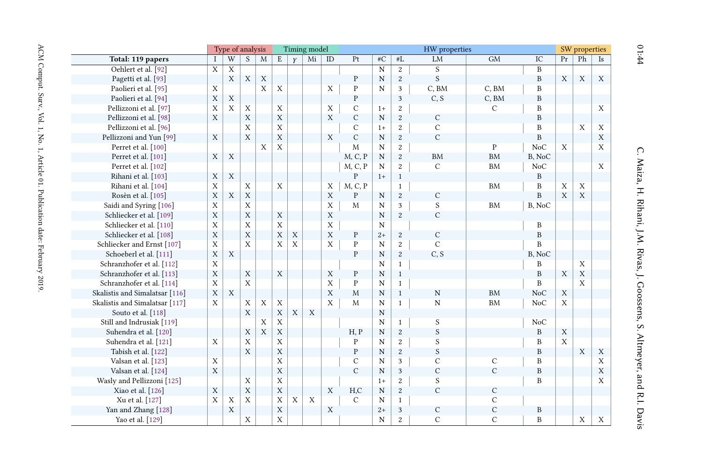|                                |                | Type of analysis |                |                  |                           |             | Timing model |                |                |             |                  | HW properties  |               | SW properties  |                |             |                |
|--------------------------------|----------------|------------------|----------------|------------------|---------------------------|-------------|--------------|----------------|----------------|-------------|------------------|----------------|---------------|----------------|----------------|-------------|----------------|
| Total: 119 papers              | T              | W                | S              | M                | E                         |             | Mi           | ID             | Pt             | #C          | $\#\mathbf{L}$   | LM             | <b>GM</b>     | IC             | Pr             | Ph          | Is             |
| Oehlert et al. [92]            | X              | X                |                |                  |                           |             |              |                |                | $\mathbf N$ | $\overline{2}$   | S              |               | $\mathbf B$    |                |             |                |
| Pagetti et al. [93]            |                | $\mathbf X$      | $\mathbf X$    | $\boldsymbol{X}$ |                           |             |              |                | ${\bf P}$      | $\mathbf N$ | $\sqrt{2}$       | S              |               | $\, {\bf B}$   | X              | X           | X              |
| Paolieri et al. [95]           | $\overline{X}$ |                  |                | X                | X                         |             |              | X              | $\mathbf P$    | $\mathbf N$ | 3                | C, BM          | C, BM         | $\, {\bf B}$   |                |             |                |
| Paolieri et al. [94]           | $\mathbf X$    | $\mathbf X$      |                |                  |                           |             |              |                | ${\bf P}$      |             | 3                | C, S           | C, BM         | $\, {\bf B}$   |                |             |                |
| Pellizzoni et al. [97]         | X              | $\overline{X}$   | X              |                  | X                         |             |              | X              | $\mathsf{C}$   | $1+$        | $\boldsymbol{2}$ |                | $\mathsf{C}$  | $\mathbf B$    |                |             | X              |
| Pellizzoni et al. [98]         | $\mathbf X$    |                  | $\mathbf X$    |                  | $\boldsymbol{\mathrm{X}}$ |             |              | $\mathbf X$    | $\mathsf{C}$   | $\mathbf N$ | $\overline{2}$   | $\mathbf C$    |               | $\, {\bf B}$   |                |             |                |
| Pellizzoni et al. [96]         |                |                  | X              |                  | $\overline{X}$            |             |              |                | $\mathcal{C}$  | $1+$        | $\sqrt{2}$       | $\mathcal{C}$  |               | B              |                | X           | X              |
| Pellizzoni and Yun [99]        | $\mathbf X$    |                  | $\mathbf X$    |                  | $\mathbf X$               |             |              | $\mathbf X$    | $\mathcal{C}$  | ${\bf N}$   | $\,2$            | $\mathsf C$    |               | $\overline{B}$ |                |             | $\mathbf X$    |
| Perret et al. [100]            |                |                  |                | X                | X                         |             |              |                | M              | ${\bf N}$   | $\sqrt{2}$       |                | $\mathbf{P}$  | NoC            | X              |             | X              |
| Perret et al. [101]            | X              | X                |                |                  |                           |             |              |                | M, C, P        | ${\rm N}$   | $\sqrt{2}$       | <b>BM</b>      | <b>BM</b>     | B, NoC         |                |             |                |
| Perret et al. [102]            |                |                  |                |                  |                           |             |              |                | M, C, P        | ${\bf N}$   | $\sqrt{2}$       | $\mathsf{C}$   | BM            | NoC            |                |             | X              |
| Rihani et al. [103]            | $\mathbf X$    | $\mathbf X$      |                |                  |                           |             |              |                | $\mathbf{P}$   | $1+$        | $\mathbf 1$      |                |               | $\mathbf B$    |                |             |                |
| Rihani et al. [104]            | X              |                  | X              |                  | X                         |             |              | X              | M, C, P        |             | $\mathbf{1}$     |                | <b>BM</b>     | B              | X              | X           |                |
| Rosèn et al. [105]             | $\mathbf X$    | $\mathbf X$      | $\mathbf X$    |                  |                           |             |              | $\mathbf X$    | ${\bf P}$      | $\mathbf N$ | $\sqrt{2}$       | $\mathbf C$    |               | B              | $\mathbf X$    | $\mathbf X$ |                |
| Saidi and Syring [106]         | X              |                  | X              |                  |                           |             |              | $\overline{X}$ | M              | ${\bf N}$   | 3                | S              | <b>BM</b>     | B, NoC         |                |             |                |
| Schliecker et al. [109]        | $\mathbf X$    |                  | $\mathbf X$    |                  | $\mathbf X$               |             |              | X              |                | $\mathbf N$ | $\overline{c}$   | $\mathsf C$    |               |                |                |             |                |
| Schliecker et al. [110]        | $\overline{X}$ |                  | $\overline{X}$ |                  | $\mathbf X$               |             |              | $\overline{X}$ |                | N           |                  |                |               | B              |                |             |                |
| Schliecker et al. [108]        | X              |                  | $\mathbf X$    |                  | $\mathbf X$               | $\mathbf X$ |              | $\mathbf X$    | ${\bf P}$      | $2+$        | $\overline{c}$   | $\mathbf C$    |               | $\, {\bf B}$   |                |             |                |
| Schliecker and Ernst [107]     | X              |                  | X              |                  | X                         | X           |              | X              | $\mathbf P$    | N           | $\overline{2}$   | $\mathcal{C}$  |               | $\mathbf{B}$   |                |             |                |
| Schoeberl et al. [111]         | $\mathbf X$    | $\mathbf X$      |                |                  |                           |             |              |                | $\mathbf{P}$   | ${\bf N}$   | $\sqrt{2}$       | C, S           |               | B, NoC         |                |             |                |
| Schranzhofer et al. [112]      | $\overline{X}$ |                  |                |                  |                           |             |              |                |                | $\mathbf N$ | $\mathbf{1}$     |                |               | B              |                | X           |                |
| Schranzhofer et al. [113]      | $\mathbf X$    |                  | $\mathbf X$    |                  | X                         |             |              | X              | $\mathbf{P}$   | $\mathbf N$ | $\mathbf{1}$     |                |               | $\mathbf B$    | X              | X           |                |
| Schranzhofer et al. [114]      | $\mathbf X$    |                  | $\mathbf X$    |                  |                           |             |              | X              | $\mathbf{P}$   | N           | $\mathbf{1}$     |                |               | $\mathbf{B}$   |                | X           |                |
| Skalistis and Simalatsar [116] | $\mathbf X$    | X                |                |                  |                           |             |              | X              | M              | ${\bf N}$   | $\mathbf{1}$     | ${\bf N}$      | <b>BM</b>     | NoC            | $\mathbf X$    |             |                |
| Skalistis and Simalatsar [117] | X              |                  | X              | X                | X                         |             |              | X              | M              | $\mathbf N$ | $\mathbf{1}$     | N              | <b>BM</b>     | NoC            | X              |             |                |
| Souto et al. [118]             |                |                  | $\mathbf X$    |                  | $\mathbf X$               | $\mathbf X$ | $\mathbf X$  |                |                | ${\bf N}$   |                  |                |               |                |                |             |                |
| Still and Indrusiak [119]      |                |                  |                | X                | X                         |             |              |                |                | N           | $\mathbf{1}$     | S              |               | NoC            |                |             |                |
| Suhendra et al. [120]          |                |                  | $\mathbf X$    | $\mathbf X$      | X                         |             |              |                | H, P           | ${\bf N}$   | $\sqrt{2}$       | $\mathbf S$    |               | $\, {\bf B}$   | $\mathbf X$    |             |                |
| Suhendra et al. [121]          | X              |                  | $\overline{X}$ |                  | X                         |             |              |                | $\overline{P}$ | N           | $\overline{2}$   | $\overline{S}$ |               | B              | $\overline{X}$ |             |                |
| Tabish et al. [122]            |                |                  | $\mathbf X$    |                  | $\mathbf X$               |             |              |                | ${\bf P}$      | $\mathbf N$ | $\sqrt{2}$       | $\mathbf S$    |               | $\, {\bf B}$   |                | X           | $\mathbf X$    |
| Valsan et al. [123]            | X              |                  |                |                  | $\overline{X}$            |             |              |                | $\mathcal{C}$  | ${\bf N}$   | 3                | $\mathcal{C}$  | $\mathsf{C}$  | B              |                |             | $\overline{X}$ |
| Valsan et al. [124]            | $\mathbf X$    |                  |                |                  | $\mathbf X$               |             |              |                | $\mathsf{C}$   | $\mathbf N$ | 3                | $\mathsf C$    | $\mathsf{C}$  | $\mathbf B$    |                |             | X              |
| Wasly and Pellizzoni [125]     |                |                  | X              |                  | $\overline{X}$            |             |              |                |                | $1+$        | $\overline{2}$   | S              |               | B              |                |             | X              |
| Xiao et al. [126]              | $\mathbf X$    |                  | $\mathbf X$    |                  | $\mathbf X$               |             |              | $\mathbf X$    | H.C            | ${\bf N}$   | $\overline{c}$   | $\mathsf{C}$   | $\mathbf C$   |                |                |             |                |
| Xu et al. [127]                | $\overline{X}$ | X                | $\overline{X}$ |                  | $\overline{X}$            | X           | X            |                | $\mathcal{C}$  | N           | 1                |                | $\mathcal{C}$ |                |                |             |                |
| Yan and Zhang [128]            |                | X                |                |                  | $\mathbf X$               |             |              | X              |                | $2+$        | 3                | $\mathbf C$    | $\mathsf C$   | $\, {\bf B}$   |                |             |                |
| Yao et al. [129]               |                |                  | $\overline{X}$ |                  | $\overline{X}$            |             |              |                |                | ${\bf N}$   | $\sqrt{2}$       | $\mathcal{C}$  | $\mathsf{C}$  | B              |                | X           | $\mathbf X$    |

01:44

 C. Maiza, H. Rihani, J.M. Rivas, J. Goossens, S. Altmeyer, and R.I. Davis C. Maiza, H. Rihani, J.M. Rivas, J. Goossens, S. Altmeyer, and R.I. Davis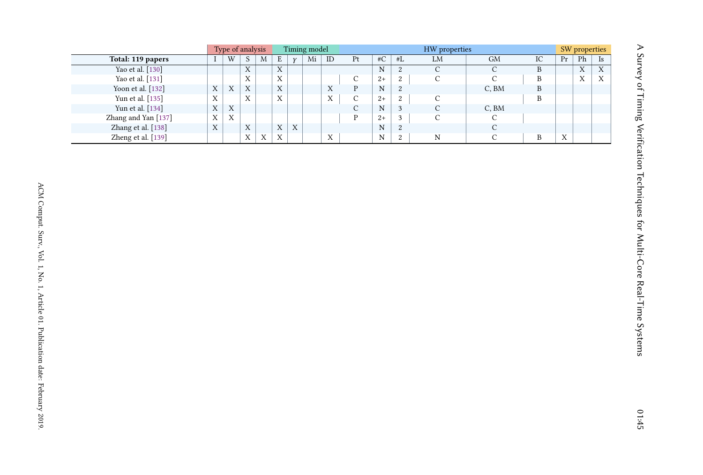|                     |   | Type of analysis |               |   |                  |   | Timing model |                           |                        | SW properties |                        |    |           |    |    |    |    |
|---------------------|---|------------------|---------------|---|------------------|---|--------------|---------------------------|------------------------|---------------|------------------------|----|-----------|----|----|----|----|
| Total: 119 papers   |   | W                | $\mathcal{D}$ | M | E                |   | Mi           | ID                        | Pt                     | $\#C$         | #L                     | LM | <b>GM</b> | IC | Pr | Ph | Is |
| Yao et al. [130]    |   |                  | X             |   | $\boldsymbol{X}$ |   |              |                           |                        | N             | $\Omega$<br>∠          | C  |           | B  |    | X  | X  |
| Yao et al. [131]    |   |                  | X             |   | X                |   |              |                           | $\sqrt{2}$<br><b>1</b> | $2+$          | $\Omega$<br>$\epsilon$ | ⌒  |           | B  |    | Χ  | X  |
| Yoon et al. [132]   | X | X                | X             |   | X                |   |              | $\mathbf{v}$<br>$\Lambda$ | D                      | N             | 2                      |    | C, BM     | B  |    |    |    |
| Yun et al. [135]    | X |                  | X             |   | X                |   |              | X                         | $\sqrt{2}$<br>U.       | $2+$          | 2                      | C  |           | B  |    |    |    |
| Yun et al. [134]    | X | X                |               |   |                  |   |              |                           | $\sim$<br>◡            | N             | 3                      |    | C. BM     |    |    |    |    |
| Zhang and Yan [137] | X | X                |               |   |                  |   |              |                           | D                      | $2+$          | 3                      | C  | С         |    |    |    |    |
| Zhang et al. [138]  | X |                  | X             |   | X                | X |              |                           |                        | N             | 2                      |    |           |    |    |    |    |
| Zheng et al. [139]  |   |                  | X             | X | X                |   |              | $\mathbf v$<br>$\Lambda$  |                        | N             | $\Omega$               | N  |           | B  | X  |    |    |

A Survey of Timing Verification Techniques for Multi-Core Real-Time Systems